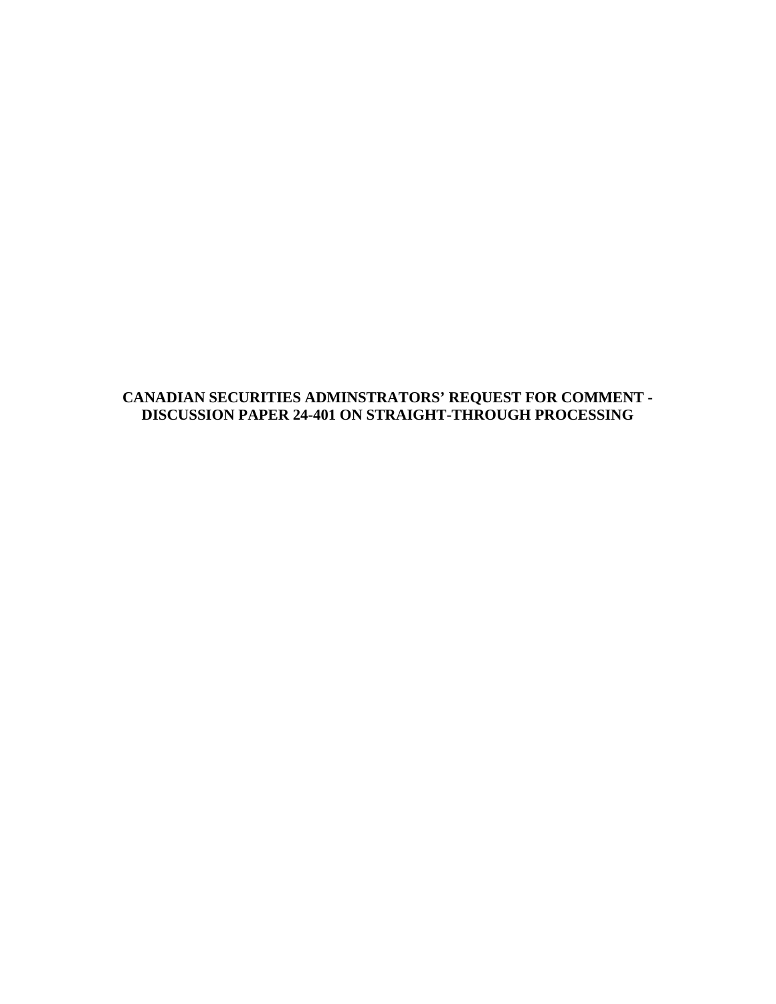#### **CANADIAN SECURITIES ADMINSTRATORS' REQUEST FOR COMMENT - DISCUSSION PAPER 24-401 ON STRAIGHT-THROUGH PROCESSING**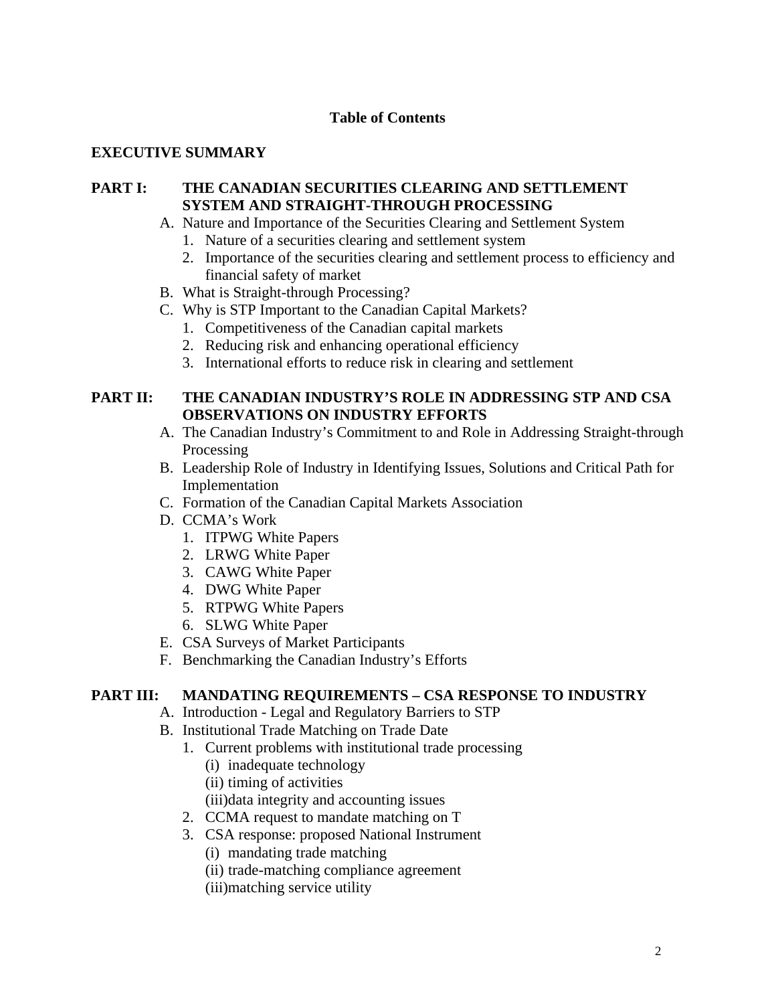### **Table of Contents**

### **EXECUTIVE SUMMARY**

### **PART I: THE CANADIAN SECURITIES CLEARING AND SETTLEMENT SYSTEM AND STRAIGHT-THROUGH PROCESSING**

- A. Nature and Importance of the Securities Clearing and Settlement System
	- 1. Nature of a securities clearing and settlement system
	- 2. Importance of the securities clearing and settlement process to efficiency and financial safety of market
- B. What is Straight-through Processing?
- C. Why is STP Important to the Canadian Capital Markets?
	- 1. Competitiveness of the Canadian capital markets
	- 2. Reducing risk and enhancing operational efficiency
	- 3. International efforts to reduce risk in clearing and settlement

### **PART II: THE CANADIAN INDUSTRY'S ROLE IN ADDRESSING STP AND CSA OBSERVATIONS ON INDUSTRY EFFORTS**

- A. The Canadian Industry's Commitment to and Role in Addressing Straight-through Processing
- B. Leadership Role of Industry in Identifying Issues, Solutions and Critical Path for Implementation
- C. Formation of the Canadian Capital Markets Association
- D. CCMA's Work
	- 1. ITPWG White Papers
	- 2. LRWG White Paper
	- 3. CAWG White Paper
	- 4. DWG White Paper
	- 5. RTPWG White Papers
	- 6. SLWG White Paper
- E. CSA Surveys of Market Participants
- F. Benchmarking the Canadian Industry's Efforts

#### **PART III: MANDATING REQUIREMENTS – CSA RESPONSE TO INDUSTRY**

- A. Introduction Legal and Regulatory Barriers to STP
- B. Institutional Trade Matching on Trade Date
	- 1. Current problems with institutional trade processing
		- (i) inadequate technology
		- (ii) timing of activities
		- (iii)data integrity and accounting issues
	- 2. CCMA request to mandate matching on T
	- 3. CSA response: proposed National Instrument
		- (i) mandating trade matching
		- (ii) trade-matching compliance agreement
		- (iii)matching service utility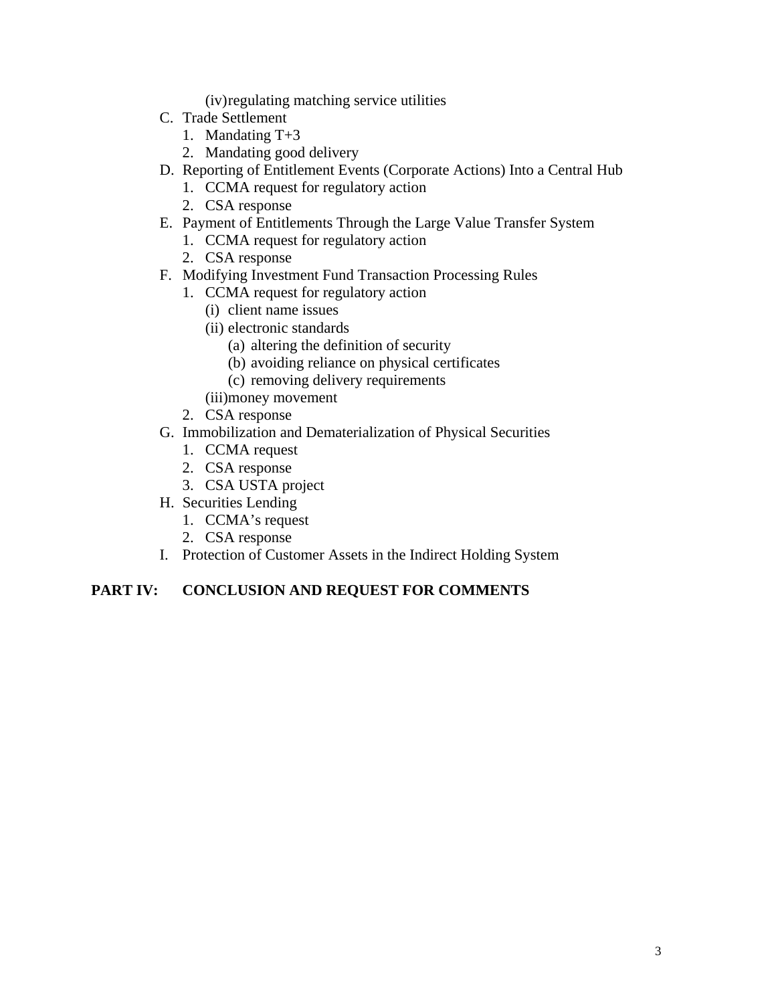(iv) regulating matching service utilities

- C. Trade Settlement
	- 1. Mandating T+3
	- 2. Mandating good delivery
- D. Reporting of Entitlement Events (Corporate Actions) Into a Central Hub
	- 1. CCMA request for regulatory action
	- 2. CSA response
- E. Payment of Entitlements Through the Large Value Transfer System
	- 1. CCMA request for regulatory action
	- 2. CSA response
- F. Modifying Investment Fund Transaction Processing Rules
	- 1. CCMA request for regulatory action
		- (i) client name issues
		- (ii) electronic standards
			- (a) altering the definition of security
			- (b) avoiding reliance on physical certificates
			- (c) removing delivery requirements
		- (iii)money movement
	- 2. CSA response
- G. Immobilization and Dematerialization of Physical Securities
	- 1. CCMA request
	- 2. CSA response
	- 3. CSA USTA project
- H. Securities Lending
	- 1. CCMA's request
	- 2. CSA response
- I. Protection of Customer Assets in the Indirect Holding System

# **PART IV: CONCLUSION AND REQUEST FOR COMMENTS**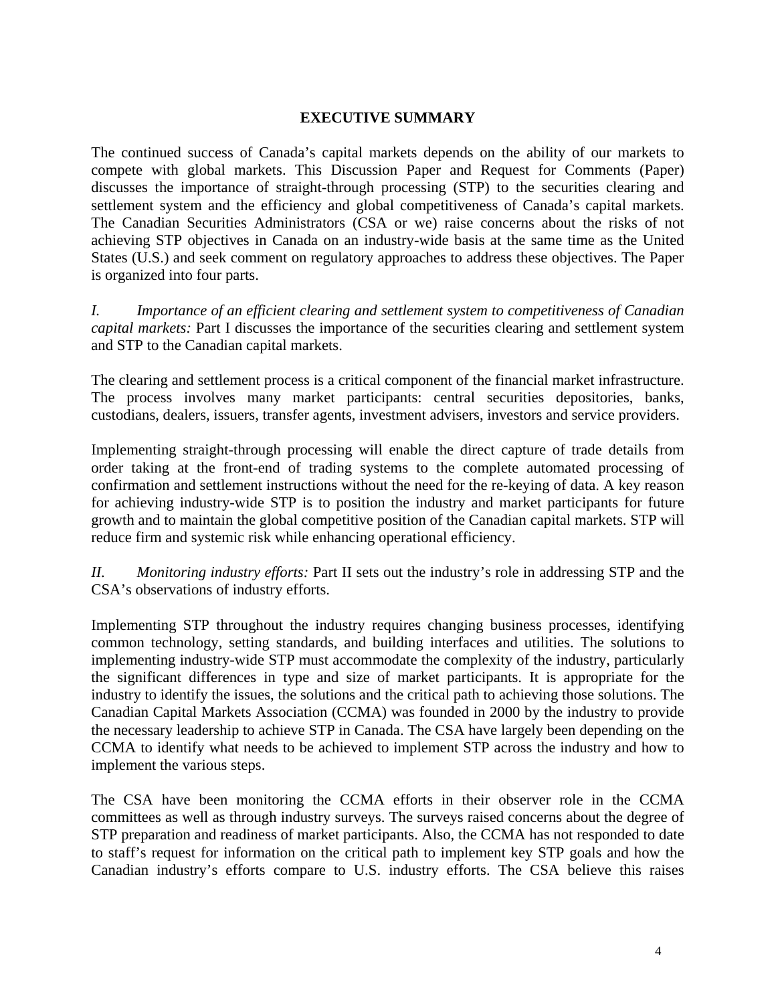#### **EXECUTIVE SUMMARY**

The continued success of Canada's capital markets depends on the ability of our markets to compete with global markets. This Discussion Paper and Request for Comments (Paper) discusses the importance of straight-through processing (STP) to the securities clearing and settlement system and the efficiency and global competitiveness of Canada's capital markets. The Canadian Securities Administrators (CSA or we) raise concerns about the risks of not achieving STP objectives in Canada on an industry-wide basis at the same time as the United States (U.S.) and seek comment on regulatory approaches to address these objectives. The Paper is organized into four parts.

*I. Importance of an efficient clearing and settlement system to competitiveness of Canadian capital markets:* Part I discusses the importance of the securities clearing and settlement system and STP to the Canadian capital markets.

The clearing and settlement process is a critical component of the financial market infrastructure. The process involves many market participants: central securities depositories, banks, custodians, dealers, issuers, transfer agents, investment advisers, investors and service providers.

Implementing straight-through processing will enable the direct capture of trade details from order taking at the front-end of trading systems to the complete automated processing of confirmation and settlement instructions without the need for the re-keying of data. A key reason for achieving industry-wide STP is to position the industry and market participants for future growth and to maintain the global competitive position of the Canadian capital markets. STP will reduce firm and systemic risk while enhancing operational efficiency.

*II. Monitoring industry efforts:* Part II sets out the industry's role in addressing STP and the CSA's observations of industry efforts.

Implementing STP throughout the industry requires changing business processes, identifying common technology, setting standards, and building interfaces and utilities. The solutions to implementing industry-wide STP must accommodate the complexity of the industry, particularly the significant differences in type and size of market participants. It is appropriate for the industry to identify the issues, the solutions and the critical path to achieving those solutions. The Canadian Capital Markets Association (CCMA) was founded in 2000 by the industry to provide the necessary leadership to achieve STP in Canada. The CSA have largely been depending on the CCMA to identify what needs to be achieved to implement STP across the industry and how to implement the various steps.

The CSA have been monitoring the CCMA efforts in their observer role in the CCMA committees as well as through industry surveys. The surveys raised concerns about the degree of STP preparation and readiness of market participants. Also, the CCMA has not responded to date to staff's request for information on the critical path to implement key STP goals and how the Canadian industry's efforts compare to U.S. industry efforts. The CSA believe this raises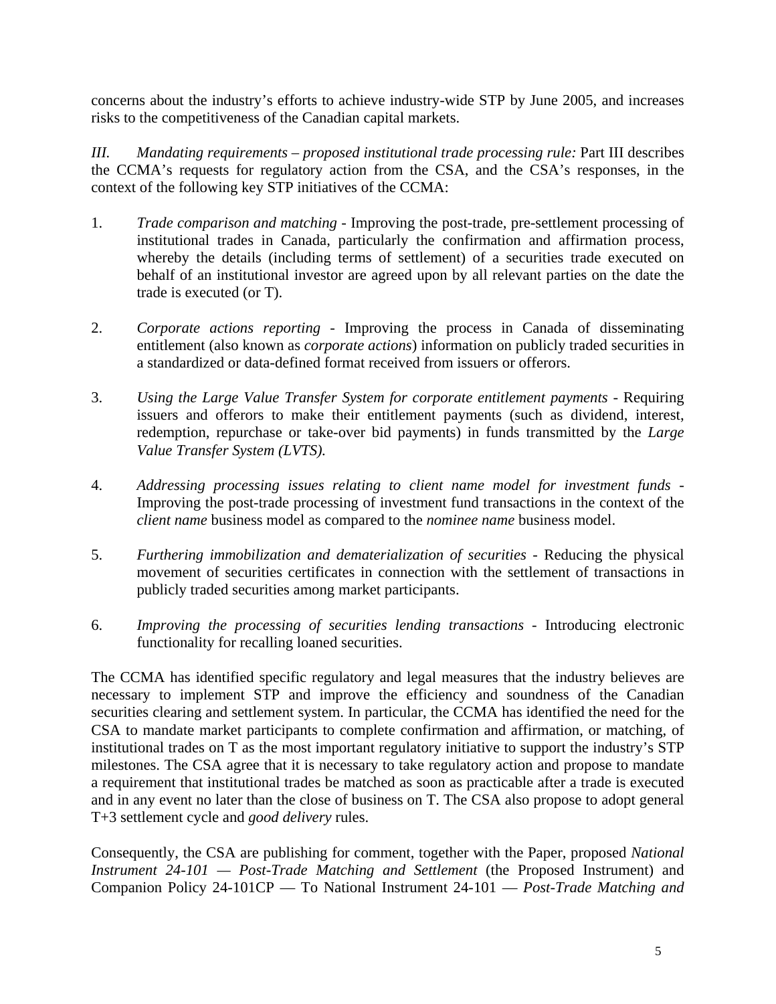concerns about the industry's efforts to achieve industry-wide STP by June 2005, and increases risks to the competitiveness of the Canadian capital markets.

*III. Mandating requirements – proposed institutional trade processing rule:* Part III describes the CCMA's requests for regulatory action from the CSA, and the CSA's responses, in the context of the following key STP initiatives of the CCMA:

- 1. *Trade comparison and matching* Improving the post-trade, pre-settlement processing of institutional trades in Canada, particularly the confirmation and affirmation process, whereby the details (including terms of settlement) of a securities trade executed on behalf of an institutional investor are agreed upon by all relevant parties on the date the trade is executed (or T).
- 2. *Corporate actions reporting* Improving the process in Canada of disseminating entitlement (also known as *corporate actions*) information on publicly traded securities in a standardized or data-defined format received from issuers or offerors.
- 3. *Using the Large Value Transfer System for corporate entitlement payments* Requiring issuers and offerors to make their entitlement payments (such as dividend, interest, redemption, repurchase or take-over bid payments) in funds transmitted by the *Large Value Transfer System (LVTS).*
- 4. *Addressing processing issues relating to client name model for investment funds*  Improving the post-trade processing of investment fund transactions in the context of the *client name* business model as compared to the *nominee name* business model.
- 5. *Furthering immobilization and dematerialization of securities* Reducing the physical movement of securities certificates in connection with the settlement of transactions in publicly traded securities among market participants.
- 6. *Improving the processing of securities lending transactions*  Introducing electronic functionality for recalling loaned securities.

The CCMA has identified specific regulatory and legal measures that the industry believes are necessary to implement STP and improve the efficiency and soundness of the Canadian securities clearing and settlement system. In particular, the CCMA has identified the need for the CSA to mandate market participants to complete confirmation and affirmation, or matching, of institutional trades on T as the most important regulatory initiative to support the industry's STP milestones. The CSA agree that it is necessary to take regulatory action and propose to mandate a requirement that institutional trades be matched as soon as practicable after a trade is executed and in any event no later than the close of business on T. The CSA also propose to adopt general T+3 settlement cycle and *good delivery* rules.

Consequently, the CSA are publishing for comment, together with the Paper, proposed *National Instrument 24-101 — Post-Trade Matching and Settlement* (the Proposed Instrument) and Companion Policy 24-101CP — To National Instrument 24-101 — *Post-Trade Matching and*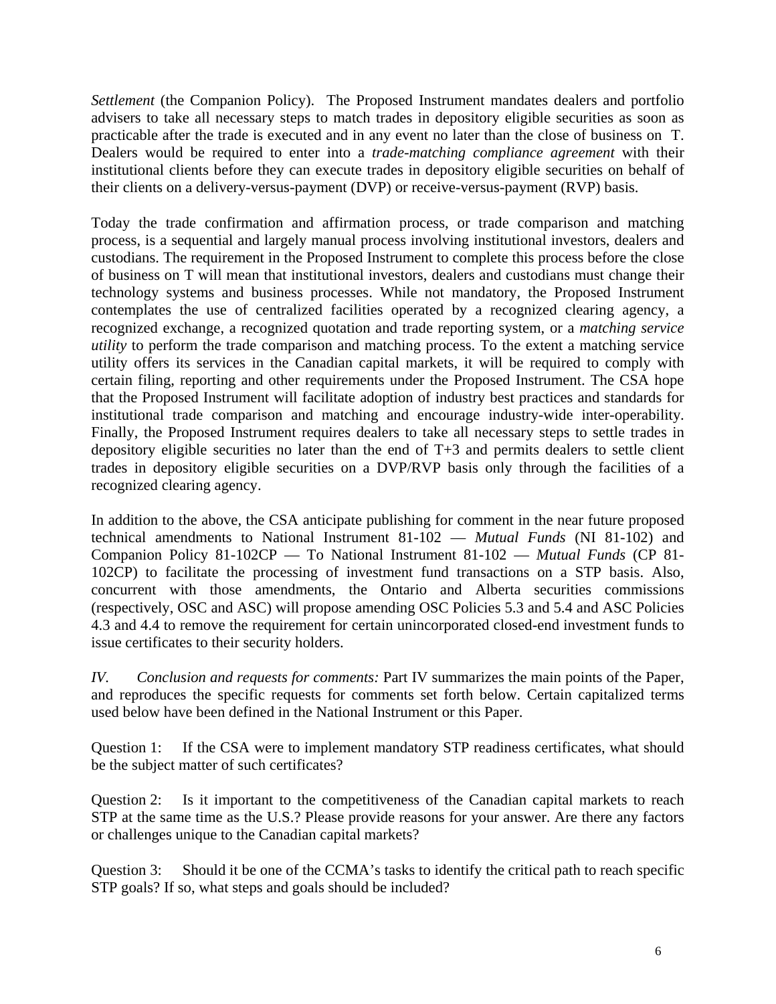*Settlement* (the Companion Policy). The Proposed Instrument mandates dealers and portfolio advisers to take all necessary steps to match trades in depository eligible securities as soon as practicable after the trade is executed and in any event no later than the close of business on T. Dealers would be required to enter into a *trade-matching compliance agreement* with their institutional clients before they can execute trades in depository eligible securities on behalf of their clients on a delivery-versus-payment (DVP) or receive-versus-payment (RVP) basis.

Today the trade confirmation and affirmation process, or trade comparison and matching process, is a sequential and largely manual process involving institutional investors, dealers and custodians. The requirement in the Proposed Instrument to complete this process before the close of business on T will mean that institutional investors, dealers and custodians must change their technology systems and business processes. While not mandatory, the Proposed Instrument contemplates the use of centralized facilities operated by a recognized clearing agency, a recognized exchange, a recognized quotation and trade reporting system, or a *matching service utility* to perform the trade comparison and matching process. To the extent a matching service utility offers its services in the Canadian capital markets, it will be required to comply with certain filing, reporting and other requirements under the Proposed Instrument. The CSA hope that the Proposed Instrument will facilitate adoption of industry best practices and standards for institutional trade comparison and matching and encourage industry-wide inter-operability. Finally, the Proposed Instrument requires dealers to take all necessary steps to settle trades in depository eligible securities no later than the end of T+3 and permits dealers to settle client trades in depository eligible securities on a DVP/RVP basis only through the facilities of a recognized clearing agency.

In addition to the above, the CSA anticipate publishing for comment in the near future proposed technical amendments to National Instrument 81-102 — *Mutual Funds* (NI 81-102) and Companion Policy 81-102CP — To National Instrument 81-102 — *Mutual Funds* (CP 81- 102CP) to facilitate the processing of investment fund transactions on a STP basis. Also, concurrent with those amendments, the Ontario and Alberta securities commissions (respectively, OSC and ASC) will propose amending OSC Policies 5.3 and 5.4 and ASC Policies 4.3 and 4.4 to remove the requirement for certain unincorporated closed-end investment funds to issue certificates to their security holders.

*IV. Conclusion and requests for comments:* Part IV summarizes the main points of the Paper, and reproduces the specific requests for comments set forth below. Certain capitalized terms used below have been defined in the National Instrument or this Paper.

Question 1: If the CSA were to implement mandatory STP readiness certificates, what should be the subject matter of such certificates?

Question 2: Is it important to the competitiveness of the Canadian capital markets to reach STP at the same time as the U.S.? Please provide reasons for your answer. Are there any factors or challenges unique to the Canadian capital markets?

Question 3: Should it be one of the CCMA's tasks to identify the critical path to reach specific STP goals? If so, what steps and goals should be included?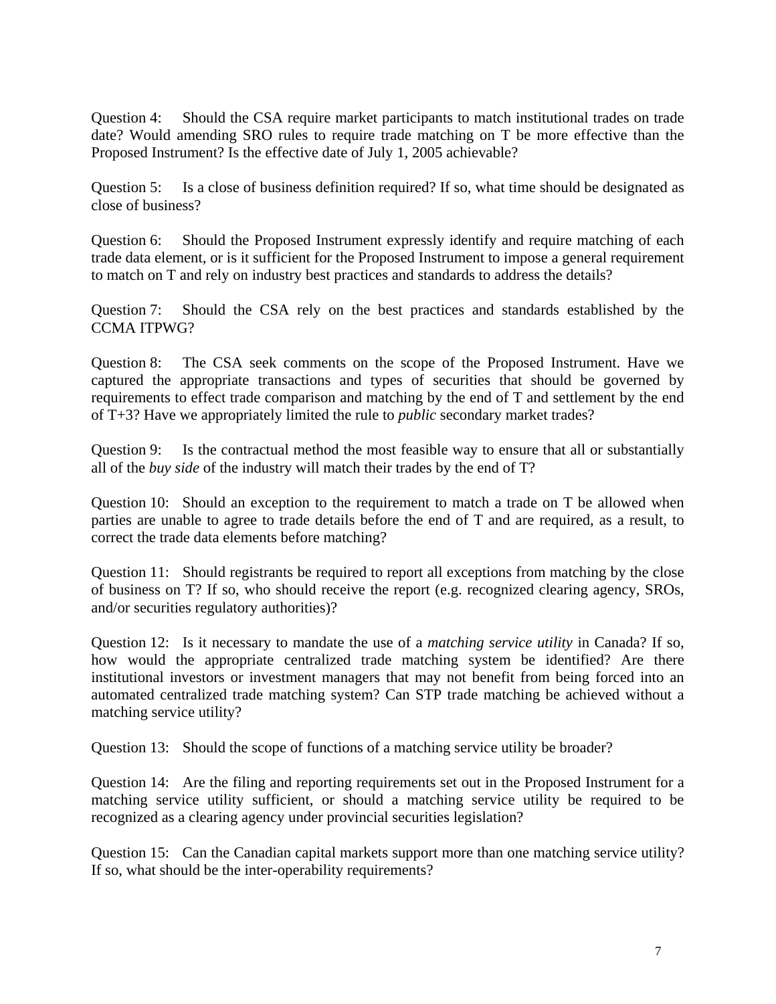Question 4: Should the CSA require market participants to match institutional trades on trade date? Would amending SRO rules to require trade matching on T be more effective than the Proposed Instrument? Is the effective date of July 1, 2005 achievable?

Question 5: Is a close of business definition required? If so, what time should be designated as close of business?

Question 6: Should the Proposed Instrument expressly identify and require matching of each trade data element, or is it sufficient for the Proposed Instrument to impose a general requirement to match on T and rely on industry best practices and standards to address the details?

Question 7: Should the CSA rely on the best practices and standards established by the CCMA ITPWG?

Question 8: The CSA seek comments on the scope of the Proposed Instrument. Have we captured the appropriate transactions and types of securities that should be governed by requirements to effect trade comparison and matching by the end of T and settlement by the end of T+3? Have we appropriately limited the rule to *public* secondary market trades?

Question 9: Is the contractual method the most feasible way to ensure that all or substantially all of the *buy side* of the industry will match their trades by the end of T?

Question 10: Should an exception to the requirement to match a trade on T be allowed when parties are unable to agree to trade details before the end of T and are required, as a result, to correct the trade data elements before matching?

Question 11: Should registrants be required to report all exceptions from matching by the close of business on T? If so, who should receive the report (e.g. recognized clearing agency, SROs, and/or securities regulatory authorities)?

Question 12: Is it necessary to mandate the use of a *matching service utility* in Canada? If so, how would the appropriate centralized trade matching system be identified? Are there institutional investors or investment managers that may not benefit from being forced into an automated centralized trade matching system? Can STP trade matching be achieved without a matching service utility?

Question 13: Should the scope of functions of a matching service utility be broader?

Question 14: Are the filing and reporting requirements set out in the Proposed Instrument for a matching service utility sufficient, or should a matching service utility be required to be recognized as a clearing agency under provincial securities legislation?

Question 15: Can the Canadian capital markets support more than one matching service utility? If so, what should be the inter-operability requirements?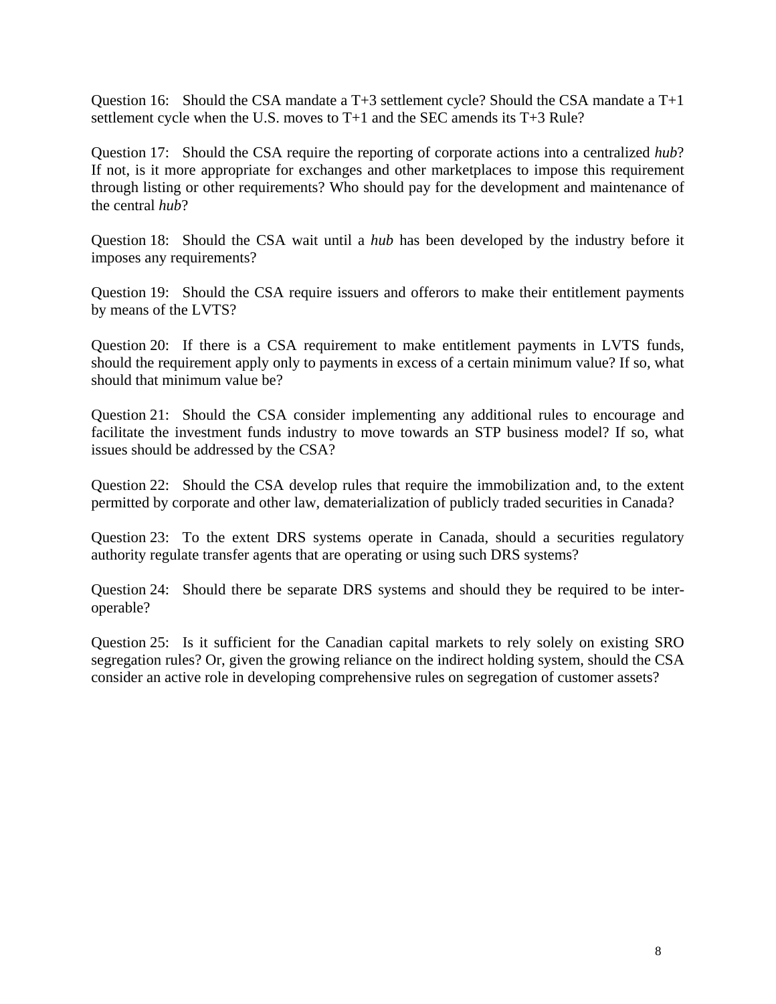Question 16: Should the CSA mandate a T+3 settlement cycle? Should the CSA mandate a T+1 settlement cycle when the U.S. moves to T+1 and the SEC amends its T+3 Rule?

Question 17: Should the CSA require the reporting of corporate actions into a centralized *hub*? If not, is it more appropriate for exchanges and other marketplaces to impose this requirement through listing or other requirements? Who should pay for the development and maintenance of the central *hub*?

Question 18: Should the CSA wait until a *hub* has been developed by the industry before it imposes any requirements?

Question 19: Should the CSA require issuers and offerors to make their entitlement payments by means of the LVTS?

Question 20: If there is a CSA requirement to make entitlement payments in LVTS funds, should the requirement apply only to payments in excess of a certain minimum value? If so, what should that minimum value be?

Question 21: Should the CSA consider implementing any additional rules to encourage and facilitate the investment funds industry to move towards an STP business model? If so, what issues should be addressed by the CSA?

Question 22: Should the CSA develop rules that require the immobilization and, to the extent permitted by corporate and other law, dematerialization of publicly traded securities in Canada?

Question 23: To the extent DRS systems operate in Canada, should a securities regulatory authority regulate transfer agents that are operating or using such DRS systems?

Question 24: Should there be separate DRS systems and should they be required to be interoperable?

Question 25: Is it sufficient for the Canadian capital markets to rely solely on existing SRO segregation rules? Or, given the growing reliance on the indirect holding system, should the CSA consider an active role in developing comprehensive rules on segregation of customer assets?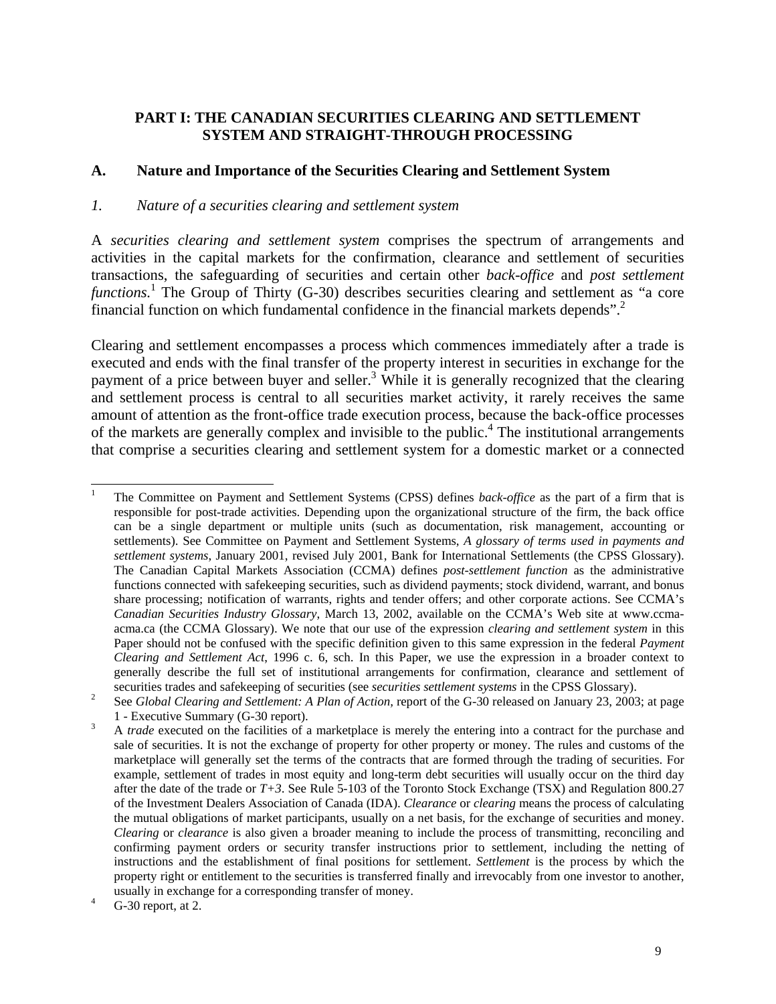### **PART I: THE CANADIAN SECURITIES CLEARING AND SETTLEMENT SYSTEM AND STRAIGHT-THROUGH PROCESSING**

### **A. Nature and Importance of the Securities Clearing and Settlement System**

### *1. Nature of a securities clearing and settlement system*

A *securities clearing and settlement system* comprises the spectrum of arrangements and activities in the capital markets for the confirmation, clearance and settlement of securities transactions, the safeguarding of securities and certain other *back-office* and *post settlement*  functions.<sup>[1](#page-8-0)</sup> The Group of Thirty (G-30) describes securities clearing and settlement as "a core financial function on which fundamental confidence in the financial markets depends"[.2](#page-8-1)

Clearing and settlement encompasses a process which commences immediately after a trade is executed and ends with the final transfer of the property interest in securities in exchange for the payment of a price between buyer and seller.<sup>3</sup> While it is generally recognized that the clearing and settlement process is central to all securities market activity, it rarely receives the same amount of attention as the front-office trade execution process, because the back-office processes of the markets are generally complex and invisible to the public.<sup>4</sup> The institutional arrangements that comprise a securities clearing and settlement system for a domestic market or a connected

<span id="page-8-0"></span> <sup>1</sup> The Committee on Payment and Settlement Systems (CPSS) defines *back-office* as the part of a firm that is responsible for post-trade activities. Depending upon the organizational structure of the firm, the back office can be a single department or multiple units (such as documentation, risk management, accounting or settlements). See Committee on Payment and Settlement Systems, *A glossary of terms used in payments and settlement systems*, January 2001, revised July 2001, Bank for International Settlements (the CPSS Glossary). The Canadian Capital Markets Association (CCMA) defines *post-settlement function* as the administrative functions connected with safekeeping securities, such as dividend payments; stock dividend, warrant, and bonus share processing; notification of warrants, rights and tender offers; and other corporate actions. See CCMA's *Canadian Securities Industry Glossary*, March 13, 2002, available on the CCMA's Web site at www.ccmaacma.ca (the CCMA Glossary). We note that our use of the expression *clearing and settlement system* in this Paper should not be confused with the specific definition given to this same expression in the federal *Payment Clearing and Settlement Act*, 1996 c. 6, sch. In this Paper, we use the expression in a broader context to generally describe the full set of institutional arrangements for confirmation, clearance and settlement of securities trades and safekeeping of securities (see *securities settlement systems* in the CPSS Glossary).<br><sup>2</sup> See *Clobal Classing and Settlement, A Plan of Action moont of the C 20 released on January 22, 2003* 

<span id="page-8-1"></span>See *Global Clearing and Settlement: A Plan of Action,* report of the G-30 released on January 23, 2003; at page 1 - Executive Summary (G-30 report).

<span id="page-8-2"></span>A *trade* executed on the facilities of a marketplace is merely the entering into a contract for the purchase and sale of securities. It is not the exchange of property for other property or money. The rules and customs of the marketplace will generally set the terms of the contracts that are formed through the trading of securities. For example, settlement of trades in most equity and long-term debt securities will usually occur on the third day after the date of the trade or *T+3*. See Rule 5-103 of the Toronto Stock Exchange (TSX) and Regulation 800.27 of the Investment Dealers Association of Canada (IDA). *Clearance* or *clearing* means the process of calculating the mutual obligations of market participants, usually on a net basis, for the exchange of securities and money. *Clearing* or *clearance* is also given a broader meaning to include the process of transmitting, reconciling and confirming payment orders or security transfer instructions prior to settlement, including the netting of instructions and the establishment of final positions for settlement. *Settlement* is the process by which the property right or entitlement to the securities is transferred finally and irrevocably from one investor to another, usually in exchange for a corresponding transfer of money. <sup>4</sup>

<span id="page-8-3"></span>G-30 report, at 2.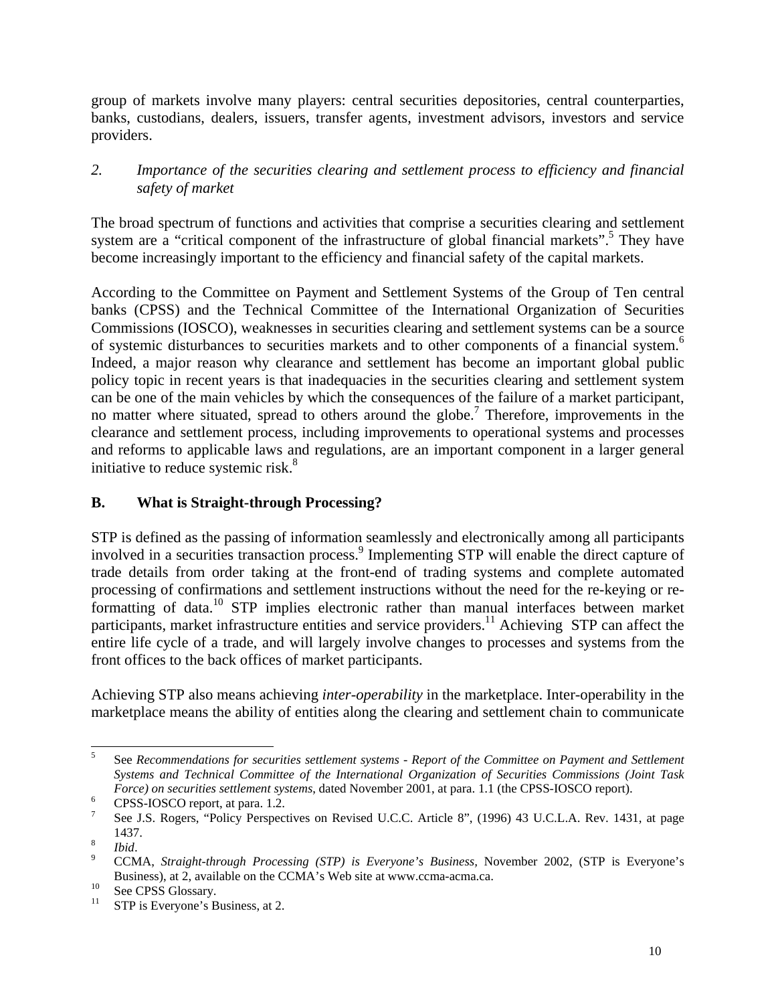group of markets involve many players: central securities depositories, central counterparties, banks, custodians, dealers, issuers, transfer agents, investment advisors, investors and service providers.

## *2. Importance of the securities clearing and settlement process to efficiency and financial safety of market*

The broad spectrum of functions and activities that comprise a securities clearing and settlement system are a "critical component of the infrastructure of global financial markets".<sup>[5](#page-9-0)</sup> They have become increasingly important to the efficiency and financial safety of the capital markets.

According to the Committee on Payment and Settlement Systems of the Group of Ten central banks (CPSS) and the Technical Committee of the International Organization of Securities Commissions (IOSCO), weaknesses in securities clearing and settlement systems can be a source of systemic disturbances to securities markets and to other components of a financial system. [6](#page-9-1) Indeed, a major reason why clearance and settlement has become an important global public policy topic in recent years is that inadequacies in the securities clearing and settlement system can be one of the main vehicles by which the consequences of the failure of a market participant, no matter where situated, spread to others around the globe.<sup>7</sup> Therefore, improvements in the clearance and settlement process, including improvements to operational systems and processes and reforms to applicable laws and regulations, are an important component in a larger general initiative to reduce systemic risk.<sup>[8](#page-9-3)</sup>

## **B. What is Straight-through Processing?**

STP is defined as the passing of information seamlessly and electronically among all participants involved in a securities transaction process.<sup>9</sup> Implementing STP will enable the direct capture of trade details from order taking at the front-end of trading systems and complete automated processing of confirmations and settlement instructions without the need for the re-keying or reformatting of data.<sup>10</sup> STP implies electronic rather than manual interfaces between market participants, market infrastructure entities and service providers.<sup>11</sup> Achieving STP can affect the entire life cycle of a trade, and will largely involve changes to processes and systems from the front offices to the back offices of market participants.

Achieving STP also means achieving *inter-operability* in the marketplace. Inter-operability in the marketplace means the ability of entities along the clearing and settlement chain to communicate

<span id="page-9-0"></span> <sup>5</sup> See *Recommendations for securities settlement systems - Report of the Committee on Payment and Settlement Systems and Technical Committee of the International Organization of Securities Commissions (Joint Task Force) on securities settlement systems*, dated November 2001, at para. 1.1 (the CPSS-IOSCO report). CPSS-IOSCO report, at para. 1.2.

<span id="page-9-1"></span>

<span id="page-9-2"></span>See J.S. Rogers, "Policy Perspectives on Revised U.C.C. Article 8", (1996) 43 U.C.L.A. Rev. 1431, at page 1437.

<span id="page-9-3"></span> $\frac{8}{9}$  *Ibid.* 

<span id="page-9-4"></span>CCMA, *Straight-through Processing (STP) is Everyone's Business,* November 2002, (STP is Everyone's Business), at 2, available on the CCMA's Web site at www.ccma-acma.ca.<br><sup>10</sup> See CPSS Glossary.<br><sup>11</sup> STP is Everyone's Business, at 2.

<span id="page-9-5"></span>

<span id="page-9-6"></span>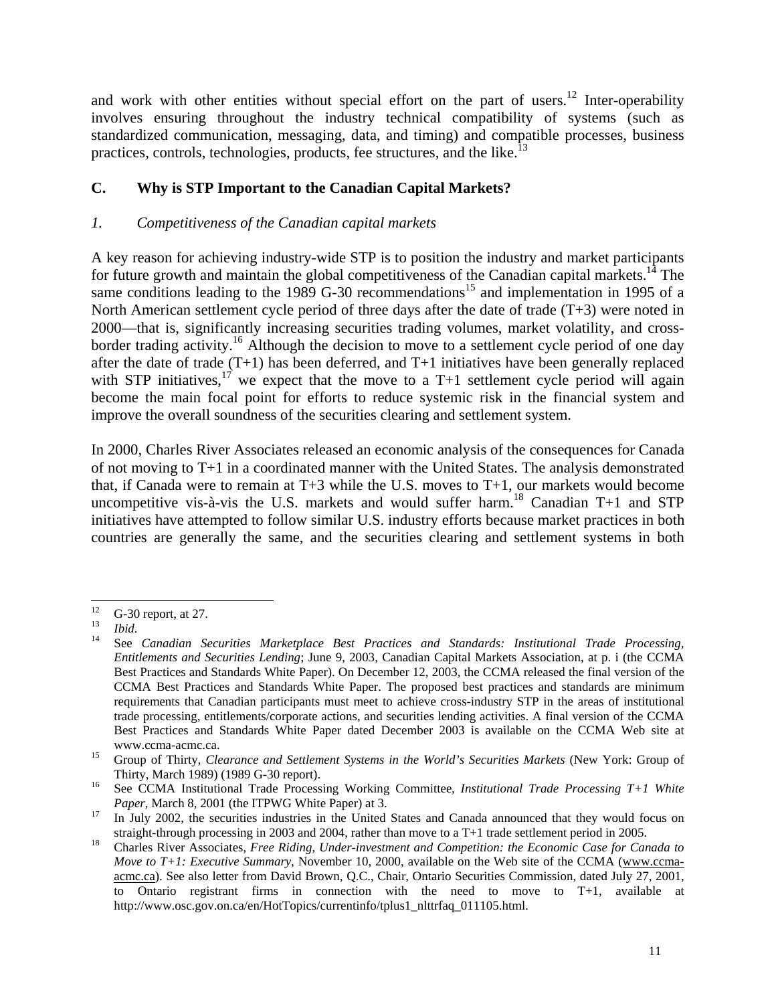and work with other entities without special effort on the part of users.<sup>12</sup> Inter-operability involves ensuring throughout the industry technical compatibility of systems (such as standardized communication, messaging, data, and timing) and compatible processes, business practices, controls, technologies, products, fee structures, and the like.<sup>[13](#page-10-1)</sup>

## **C. Why is STP Important to the Canadian Capital Markets?**

### *1. Competitiveness of the Canadian capital markets*

A key reason for achieving industry-wide STP is to position the industry and market participants for future growth and maintain the global competitiveness of the Canadian capital markets.<sup>14</sup> The same conditions leading to the 1989 G-30 recommendations<sup>15</sup> and implementation in 1995 of a North American settlement cycle period of three days after the date of trade (T+3) were noted in 2000—that is, significantly increasing securities trading volumes, market volatility, and crossborder trading activity.<sup>16</sup> Although the decision to move to a settlement cycle period of one day after the date of trade (T+1) has been deferred, and T+1 initiatives have been generally replaced with STP initiatives,<sup>17</sup> we expect that the move to a T+1 settlement cycle period will again become the main focal point for efforts to reduce systemic risk in the financial system and improve the overall soundness of the securities clearing and settlement system.

In 2000, Charles River Associates released an economic analysis of the consequences for Canada of not moving to T+1 in a coordinated manner with the United States. The analysis demonstrated that, if Canada were to remain at T+3 while the U.S. moves to T+1, our markets would become uncompetitive vis-à-vis the U.S. markets and would suffer harm. [18](#page-10-6) Canadian T+1 and STP initiatives have attempted to follow similar U.S. industry efforts because market practices in both countries are generally the same, and the securities clearing and settlement systems in both

<span id="page-10-0"></span>

<span id="page-10-2"></span><span id="page-10-1"></span>

<sup>12</sup> G-30 report, at 27.<br>
13 *Ibid.*<br>
14 See *Canadian Securities Marketplace Best Practices and Standards: Institutional Trade Processing, Entitlements and Securities Lending*; June 9, 2003, Canadian Capital Markets Association, at p. i (the CCMA Best Practices and Standards White Paper). On December 12, 2003, the CCMA released the final version of the CCMA Best Practices and Standards White Paper. The proposed best practices and standards are minimum requirements that Canadian participants must meet to achieve cross-industry STP in the areas of institutional trade processing, entitlements/corporate actions, and securities lending activities. A final version of the CCMA Best Practices and Standards White Paper dated December 2003 is available on the CCMA Web site at www.ccma-acmc.ca. 15 Group of Thirty, *Clearance and Settlement Systems in the World's Securities Markets* (New York: Group of

<span id="page-10-3"></span>Thirty, March 1989) (1989 G-30 report). 16 See CCMA Institutional Trade Processing Working Committee*, Institutional Trade Processing T+1 White*

<span id="page-10-4"></span>*Paper*, March 8, 2001 (the ITPWG White Paper) at 3.<br><sup>17</sup> In July 2002, the securities industries in the United States and Canada announced that they would focus on

<span id="page-10-5"></span>

<span id="page-10-6"></span>straight-through processing in 2003 and 2004, rather than move to a T+1 trade settlement period in 2005.<br>Charles River Associates, *Free Riding, Under-investment and Competition: the Economic Case for Canada to Move to T+1: Executive Summary*, November 10, 2000, available on the Web site of the CCMA (www.ccmaacmc.ca). See also letter from David Brown, Q.C., Chair, Ontario Securities Commission, dated July 27, 2001, to Ontario registrant firms in connection with the need to move to T+1, available at http://www.osc.gov.on.ca/en/HotTopics/currentinfo/tplus1\_nlttrfaq\_011105.html.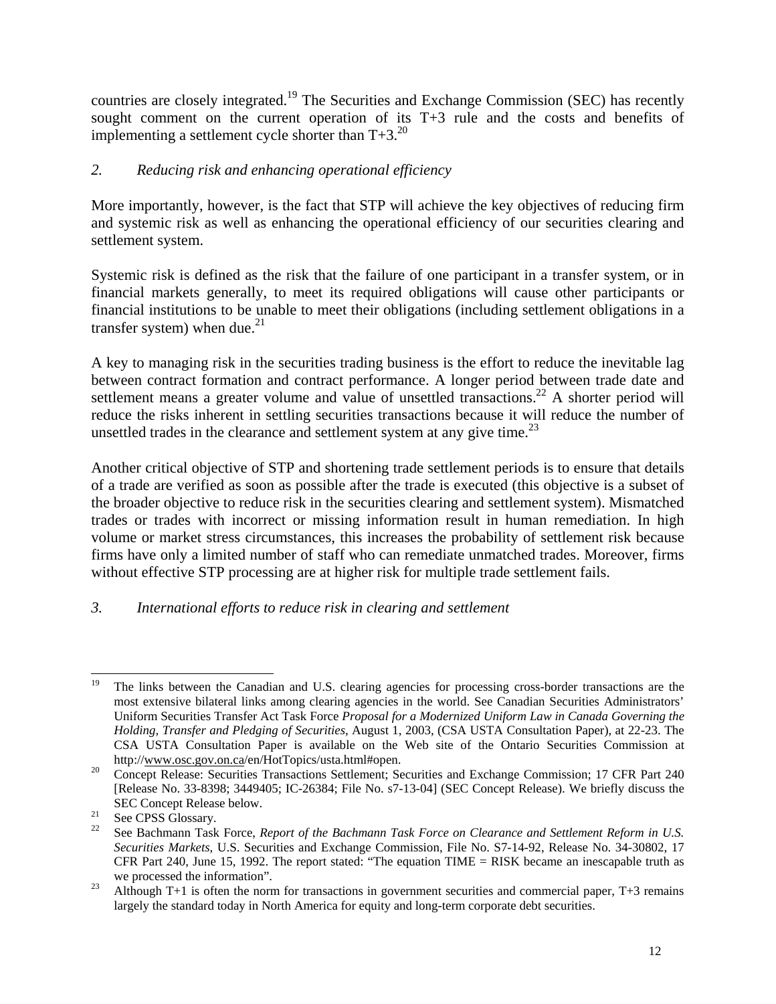countries are closely integrated.<sup>19</sup> The Securities and Exchange Commission (SEC) has recently sought comment on the current operation of its T+3 rule and the costs and benefits of implementing a settlement cycle shorter than  $T+3.^{20}$ 

## *2. Reducing risk and enhancing operational efficiency*

More importantly, however, is the fact that STP will achieve the key objectives of reducing firm and systemic risk as well as enhancing the operational efficiency of our securities clearing and settlement system.

Systemic risk is defined as the risk that the failure of one participant in a transfer system, or in financial markets generally, to meet its required obligations will cause other participants or financial institutions to be unable to meet their obligations (including settlement obligations in a transfer system) when due. $^{21}$ 

A key to managing risk in the securities trading business is the effort to reduce the inevitable lag between contract formation and contract performance. A longer period between trade date and settlement means a greater volume and value of unsettled transactions.<sup>22</sup> A shorter period will reduce the risks inherent in settling securities transactions because it will reduce the number of unsettled trades in the clearance and settlement system at any give time.<sup>[23](#page-11-4)</sup>

Another critical objective of STP and shortening trade settlement periods is to ensure that details of a trade are verified as soon as possible after the trade is executed (this objective is a subset of the broader objective to reduce risk in the securities clearing and settlement system). Mismatched trades or trades with incorrect or missing information result in human remediation. In high volume or market stress circumstances, this increases the probability of settlement risk because firms have only a limited number of staff who can remediate unmatched trades. Moreover, firms without effective STP processing are at higher risk for multiple trade settlement fails.

### *3. International efforts to reduce risk in clearing and settlement*

<span id="page-11-0"></span><sup>&</sup>lt;sup>19</sup> The links between the Canadian and U.S. clearing agencies for processing cross-border transactions are the most extensive bilateral links among clearing agencies in the world. See Canadian Securities Administrators' Uniform Securities Transfer Act Task Force *Proposal for a Modernized Uniform Law in Canada Governing the Holding, Transfer and Pledging of Securities*, August 1, 2003, (CSA USTA Consultation Paper), at 22-23. The CSA USTA Consultation Paper is available on the Web site of the Ontario Securities Commission at

<span id="page-11-1"></span>http://www.osc.gov.on.ca/en/HotTopics/usta.html#open.<br><sup>20</sup> Concept Release: Securities Transactions Settlement; Securities and Exchange Commission; 17 CFR Part 240 [Release No. 33-8398; 3449405; IC-26384; File No. s7-13-04] (SEC Concept Release). We briefly discuss the SEC Concept Release below.<br><sup>21</sup> See CPSS Glossary.<br><sup>22</sup> See Bachmann Task Force, *Report of the Bachmann Task Force on Clearance and Settlement Reform in U.S.* 

<span id="page-11-2"></span>

<span id="page-11-3"></span>*Securities Markets,* U.S. Securities and Exchange Commission, File No. S7-14-92, Release No. 34-30802, 17 CFR Part 240, June 15, 1992. The report stated: "The equation TIME = RISK became an inescapable truth as

<span id="page-11-4"></span>we processed the information".<br><sup>23</sup> Although T+1 is often the norm for transactions in government securities and commercial paper, T+3 remains largely the standard today in North America for equity and long-term corporate debt securities.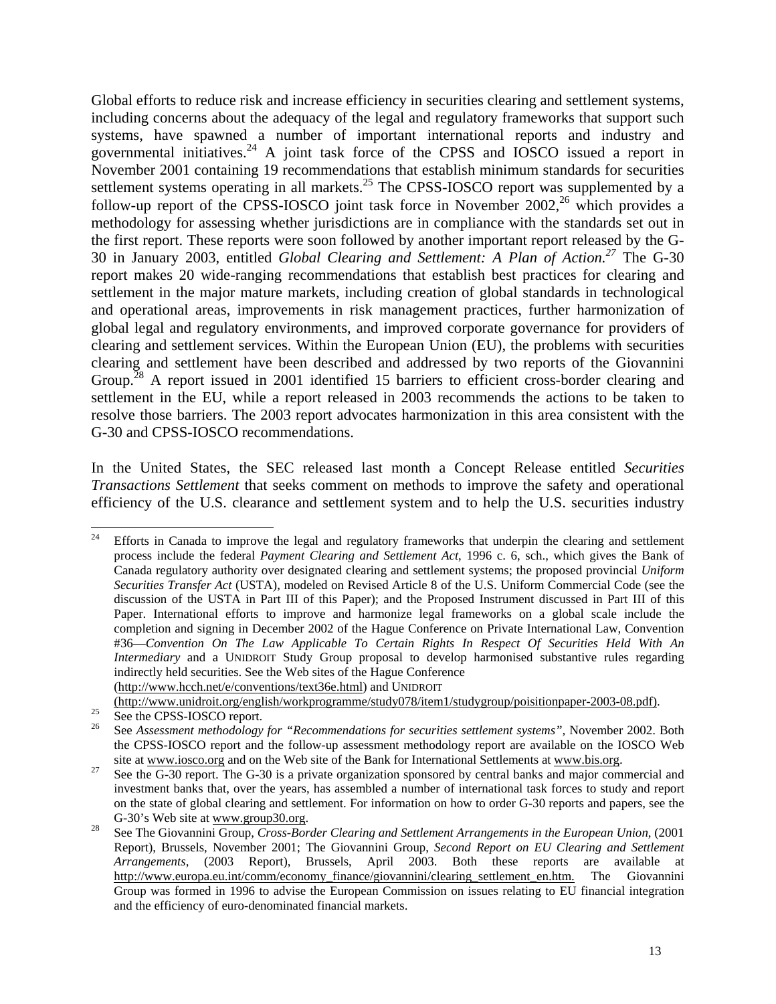Global efforts to reduce risk and increase efficiency in securities clearing and settlement systems, including concerns about the adequacy of the legal and regulatory frameworks that support such systems, have spawned a number of important international reports and industry and governmental initiatives.[24](#page-12-0) A joint task force of the CPSS and IOSCO issued a report in November 2001 containing 19 recommendations that establish minimum standards for securities settlement systems operating in all markets.<sup>25</sup> The CPSS-IOSCO report was supplemented by a follow-up report of the CPSS-IOSCO joint task force in November 2002,<sup>26</sup> which provides a methodology for assessing whether jurisdictions are in compliance with the standards set out in the first report. These reports were soon followed by another important report released by the G-30 in January 2003, entitled *Global Clearing and Settlement: A Plan of Action[.27](#page-12-3)* The G-30 report makes 20 wide-ranging recommendations that establish best practices for clearing and settlement in the major mature markets, including creation of global standards in technological and operational areas, improvements in risk management practices, further harmonization of global legal and regulatory environments, and improved corporate governance for providers of clearing and settlement services. Within the European Union (EU), the problems with securities clearing and settlement have been described and addressed by two reports of the Giovannini Group.<sup>28</sup> A report issued in 2001 identified 15 barriers to efficient cross-border clearing and settlement in the EU, while a report released in 2003 recommends the actions to be taken to resolve those barriers. The 2003 report advocates harmonization in this area consistent with the G-30 and CPSS-IOSCO recommendations.

In the United States, the SEC released last month a Concept Release entitled *Securities Transactions Settlement* that seeks comment on methods to improve the safety and operational efficiency of the U.S. clearance and settlement system and to help the U.S. securities industry

<span id="page-12-0"></span><sup>&</sup>lt;sup>24</sup> Efforts in Canada to improve the legal and regulatory frameworks that underpin the clearing and settlement process include the federal *Payment Clearing and Settlement Act*, 1996 c. 6, sch., which gives the Bank of Canada regulatory authority over designated clearing and settlement systems; the proposed provincial *Uniform Securities Transfer Act* (USTA), modeled on Revised Article 8 of the U.S. Uniform Commercial Code (see the discussion of the USTA in Part III of this Paper); and the Proposed Instrument discussed in Part III of this Paper. International efforts to improve and harmonize legal frameworks on a global scale include the completion and signing in December 2002 of the Hague Conference on Private International Law, Convention #36—*Convention On The Law Applicable To Certain Rights In Respect Of Securities Held With An Intermediary* and a UNIDROIT Study Group proposal to develop harmonised substantive rules regarding indirectly held securities. See the Web sites of the Hague Conference (http://www.hcch.net/e/conventions/text36e.html) and UNIDROIT

<span id="page-12-2"></span><span id="page-12-1"></span>

<sup>25 (</sup>http://www.unidroit.org/english/workprogramme/study078/item1/studygroup/poisitionpaper-2003-08.pdf).<br>
26 See the CPSS-IOSCO report.<br>
26 See Assessment methodology for "Recommendations for securities settlement systems" the CPSS-IOSCO report and the follow-up assessment methodology report are available on the IOSCO Web

<span id="page-12-3"></span>site at www.iosco.org and on the Web site of the Bank for International Settlements at www.bis.org.<br><sup>27</sup> See the G-30 report. The G-30 is a private organization sponsored by central banks and major commercial and investment banks that, over the years, has assembled a number of international task forces to study and report on the state of global clearing and settlement. For information on how to order G-30 reports and papers, see the G-30's Web site at www.group30.org. 28 See The Giovannini Group, *Cross-Border Clearing and Settlement Arrangements in the European Union*, (2001

<span id="page-12-4"></span>Report), Brussels, November 2001; The Giovannini Group, *Second Report on EU Clearing and Settlement Arrangements*, (2003 Report), Brussels, April 2003. Both these reports are available at http://www.europa.eu.int/comm/economy\_finance/giovannini/clearing\_settlement\_en.htm. The Giovannini Group was formed in 1996 to advise the European Commission on issues relating to EU financial integration and the efficiency of euro-denominated financial markets.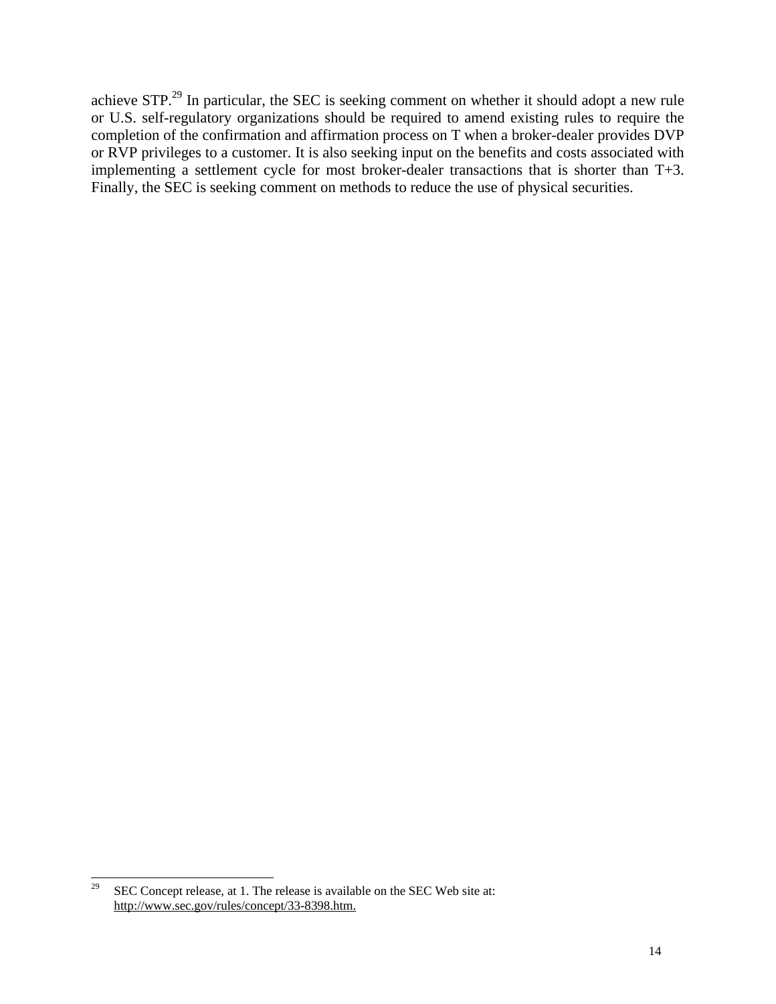achieve STP.<sup>29</sup> In particular, the SEC is seeking comment on whether it should adopt a new rule or U.S. self-regulatory organizations should be required to amend existing rules to require the completion of the confirmation and affirmation process on T when a broker-dealer provides DVP or RVP privileges to a customer. It is also seeking input on the benefits and costs associated with implementing a settlement cycle for most broker-dealer transactions that is shorter than T+3. Finally, the SEC is seeking comment on methods to reduce the use of physical securities.

<span id="page-13-0"></span><sup>&</sup>lt;sup>29</sup> SEC Concept release, at 1. The release is available on the SEC Web site at: http://www.sec.gov/rules/concept/33-8398.htm.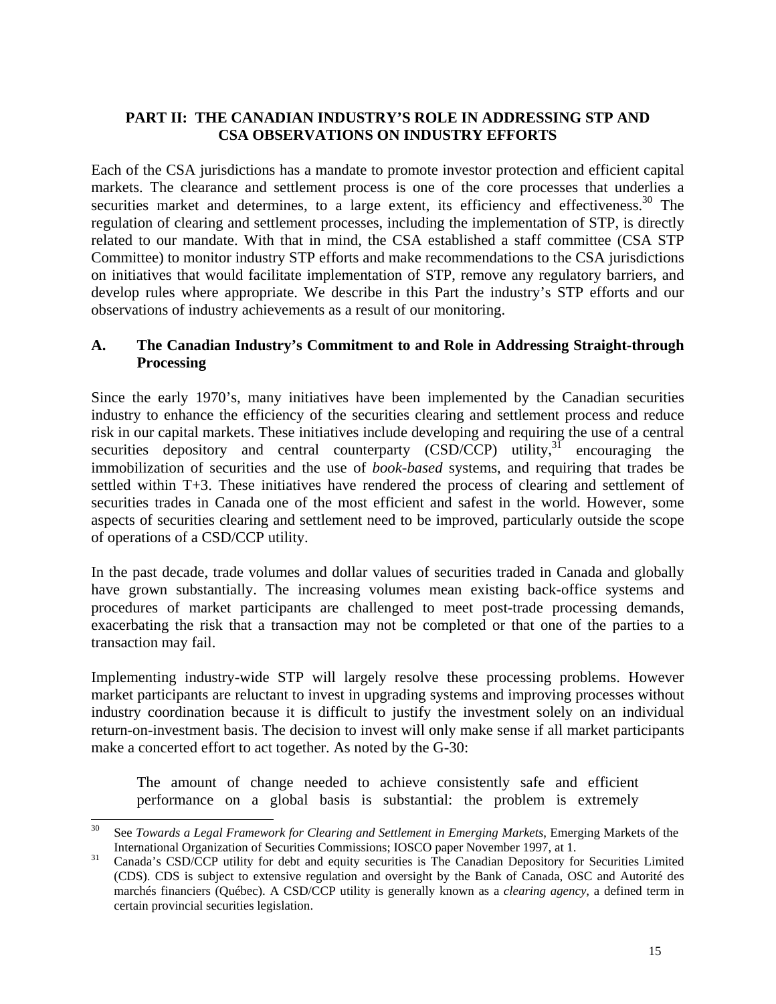## **PART II: THE CANADIAN INDUSTRY'S ROLE IN ADDRESSING STP AND CSA OBSERVATIONS ON INDUSTRY EFFORTS**

Each of the CSA jurisdictions has a mandate to promote investor protection and efficient capital markets. The clearance and settlement process is one of the core processes that underlies a securities market and determines, to a large extent, its efficiency and effectiveness.<sup>30</sup> The regulation of clearing and settlement processes, including the implementation of STP, is directly related to our mandate. With that in mind, the CSA established a staff committee (CSA STP Committee) to monitor industry STP efforts and make recommendations to the CSA jurisdictions on initiatives that would facilitate implementation of STP, remove any regulatory barriers, and develop rules where appropriate. We describe in this Part the industry's STP efforts and our observations of industry achievements as a result of our monitoring.

## **A. The Canadian Industry's Commitment to and Role in Addressing Straight-through Processing**

Since the early 1970's, many initiatives have been implemented by the Canadian securities industry to enhance the efficiency of the securities clearing and settlement process and reduce risk in our capital markets. These initiatives include developing and requiring the use of a central securities depository and central counterparty  $(CSD/CCP)$  utility,<sup>31</sup> encouraging the immobilization of securities and the use of *book-based* systems, and requiring that trades be settled within T+3. These initiatives have rendered the process of clearing and settlement of securities trades in Canada one of the most efficient and safest in the world. However, some aspects of securities clearing and settlement need to be improved, particularly outside the scope of operations of a CSD/CCP utility.

In the past decade, trade volumes and dollar values of securities traded in Canada and globally have grown substantially. The increasing volumes mean existing back-office systems and procedures of market participants are challenged to meet post-trade processing demands, exacerbating the risk that a transaction may not be completed or that one of the parties to a transaction may fail.

Implementing industry-wide STP will largely resolve these processing problems. However market participants are reluctant to invest in upgrading systems and improving processes without industry coordination because it is difficult to justify the investment solely on an individual return-on-investment basis. The decision to invest will only make sense if all market participants make a concerted effort to act together. As noted by the G-30:

The amount of change needed to achieve consistently safe and efficient performance on a global basis is substantial: the problem is extremely

<span id="page-14-0"></span> <sup>30</sup> See *Towards a Legal Framework for Clearing and Settlement in Emerging Markets*, Emerging Markets of the International Organization of Securities Commissions; IOSCO paper November 1997, at 1.<br><sup>31</sup> Canada's CSD/CCP utility for debt and equity securities is The Canadian Depository for Securities Limited

<span id="page-14-1"></span><sup>(</sup>CDS). CDS is subject to extensive regulation and oversight by the Bank of Canada, OSC and Autorité des marchés financiers (Québec). A CSD/CCP utility is generally known as a *clearing agency*, a defined term in certain provincial securities legislation.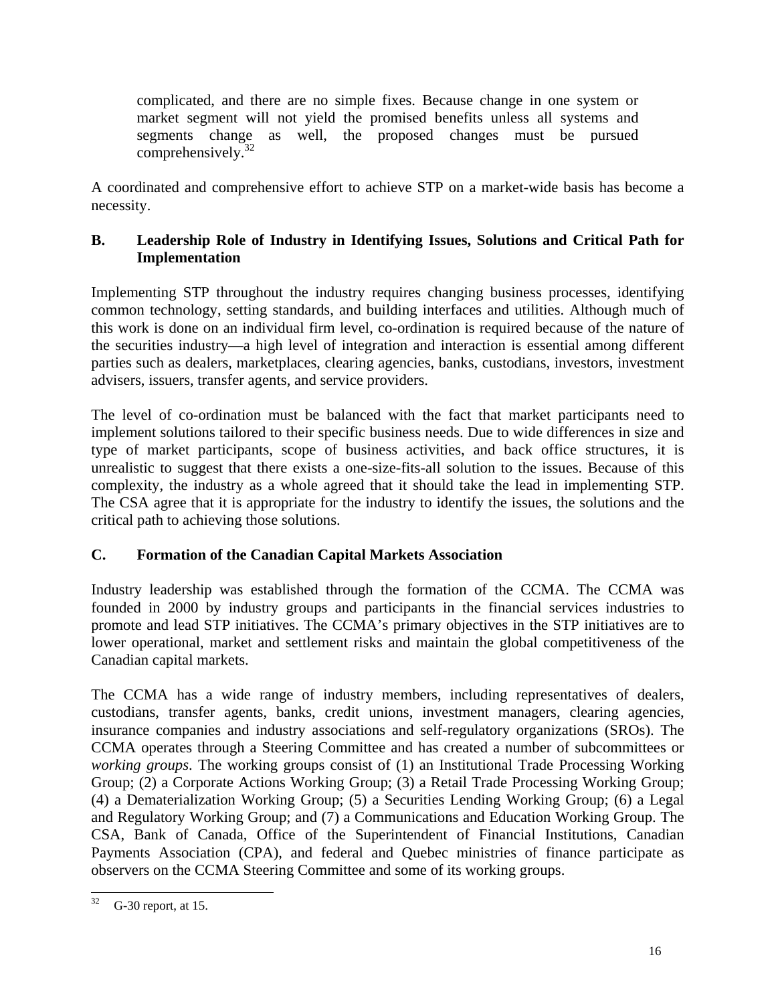complicated, and there are no simple fixes. Because change in one system or market segment will not yield the promised benefits unless all systems and segments change as well, the proposed changes must be pursued comprehensively. $32$ 

A coordinated and comprehensive effort to achieve STP on a market-wide basis has become a necessity.

## **B. Leadership Role of Industry in Identifying Issues, Solutions and Critical Path for Implementation**

Implementing STP throughout the industry requires changing business processes, identifying common technology, setting standards, and building interfaces and utilities. Although much of this work is done on an individual firm level, co-ordination is required because of the nature of the securities industry—a high level of integration and interaction is essential among different parties such as dealers, marketplaces, clearing agencies, banks, custodians, investors, investment advisers, issuers, transfer agents, and service providers.

The level of co-ordination must be balanced with the fact that market participants need to implement solutions tailored to their specific business needs. Due to wide differences in size and type of market participants, scope of business activities, and back office structures, it is unrealistic to suggest that there exists a one-size-fits-all solution to the issues. Because of this complexity, the industry as a whole agreed that it should take the lead in implementing STP. The CSA agree that it is appropriate for the industry to identify the issues, the solutions and the critical path to achieving those solutions.

# **C. Formation of the Canadian Capital Markets Association**

Industry leadership was established through the formation of the CCMA. The CCMA was founded in 2000 by industry groups and participants in the financial services industries to promote and lead STP initiatives. The CCMA's primary objectives in the STP initiatives are to lower operational, market and settlement risks and maintain the global competitiveness of the Canadian capital markets.

The CCMA has a wide range of industry members, including representatives of dealers, custodians, transfer agents, banks, credit unions, investment managers, clearing agencies, insurance companies and industry associations and self-regulatory organizations (SROs). The CCMA operates through a Steering Committee and has created a number of subcommittees or *working groups*. The working groups consist of (1) an Institutional Trade Processing Working Group; (2) a Corporate Actions Working Group; (3) a Retail Trade Processing Working Group; (4) a Dematerialization Working Group; (5) a Securities Lending Working Group; (6) a Legal and Regulatory Working Group; and (7) a Communications and Education Working Group. The CSA, Bank of Canada, Office of the Superintendent of Financial Institutions, Canadian Payments Association (CPA), and federal and Quebec ministries of finance participate as observers on the CCMA Steering Committee and some of its working groups.

<span id="page-15-0"></span> $32$  G-30 report, at 15.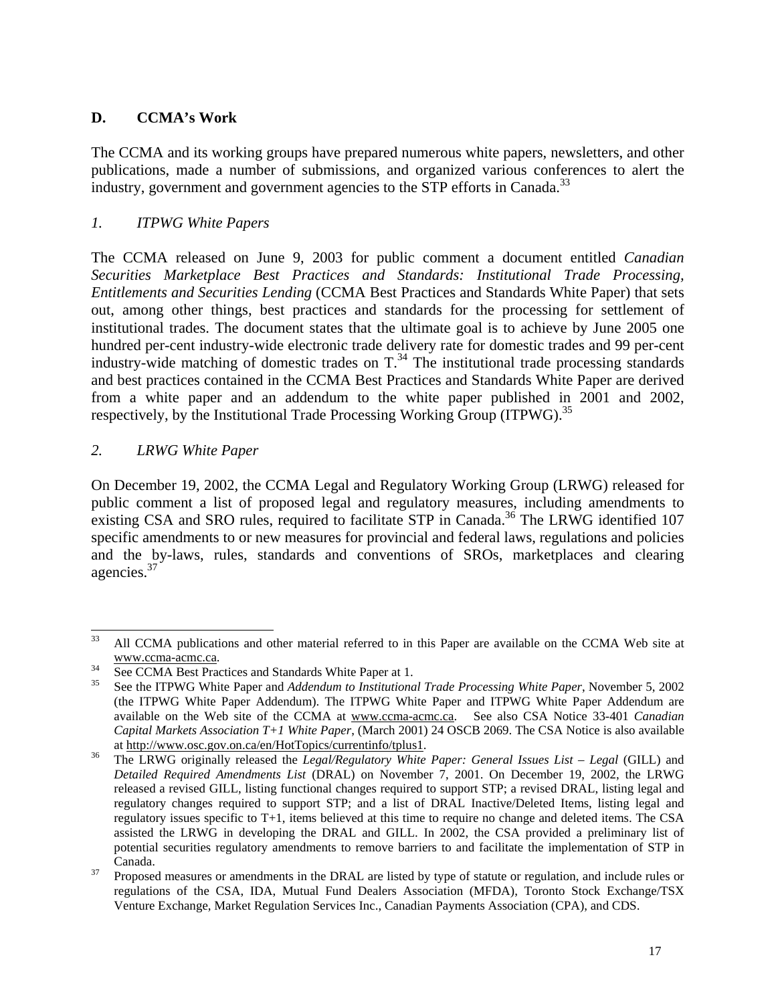## **D. CCMA's Work**

The CCMA and its working groups have prepared numerous white papers, newsletters, and other publications, made a number of submissions, and organized various conferences to alert the industry, government and government agencies to the STP efforts in Canada.<sup>33</sup>

## *1. ITPWG White Papers*

The CCMA released on June 9, 2003 for public comment a document entitled *Canadian Securities Marketplace Best Practices and Standards: Institutional Trade Processing, Entitlements and Securities Lending* (CCMA Best Practices and Standards White Paper) that sets out, among other things, best practices and standards for the processing for settlement of institutional trades. The document states that the ultimate goal is to achieve by June 2005 one hundred per-cent industry-wide electronic trade delivery rate for domestic trades and 99 per-cent industry-wide matching of domestic trades on  $T<sup>34</sup>$ . The institutional trade processing standards and best practices contained in the CCMA Best Practices and Standards White Paper are derived from a white paper and an addendum to the white paper published in 2001 and 2002, respectively, by the Institutional Trade Processing Working Group (ITPWG).<sup>[35](#page-16-2)</sup>

### *2. LRWG White Paper*

On December 19, 2002, the CCMA Legal and Regulatory Working Group (LRWG) released for public comment a list of proposed legal and regulatory measures, including amendments to existing CSA and SRO rules, required to facilitate STP in Canada.<sup>36</sup> The LRWG identified 107 specific amendments to or new measures for provincial and federal laws, regulations and policies and the by-laws, rules, standards and conventions of SROs, marketplaces and clearing agencies[.37](#page-16-4) 

<span id="page-16-0"></span><sup>&</sup>lt;sup>33</sup> All CCMA publications and other material referred to in this Paper are available on the CCMA Web site at www.ccma-acmc.ca. 34 See CCMA Best Practices and Standards White Paper at 1. 35 See the ITPWG White Paper and *Addendum to Institutional Trade Processing White Paper*, November 5, 2002

<span id="page-16-1"></span>

<span id="page-16-2"></span><sup>(</sup>the ITPWG White Paper Addendum). The ITPWG White Paper and ITPWG White Paper Addendum are available on the Web site of the CCMA at www.ccma-acmc.ca. See also CSA Notice 33-401 *Canadian Capital Markets Association T+1 White Paper*, (March 2001) 24 OSCB 2069. The CSA Notice is also available at http://www.osc.gov.on.ca/en/HotTopics/currentinfo/tplus1.<br>The LRWG originally released the *Legal/Regulatory White Paper: General Issues List – Legal* (GILL) and

<span id="page-16-3"></span>*Detailed Required Amendments List* (DRAL) on November 7, 2001. On December 19, 2002, the LRWG released a revised GILL, listing functional changes required to support STP; a revised DRAL, listing legal and regulatory changes required to support STP; and a list of DRAL Inactive/Deleted Items, listing legal and regulatory issues specific to T+1, items believed at this time to require no change and deleted items. The CSA assisted the LRWG in developing the DRAL and GILL. In 2002, the CSA provided a preliminary list of potential securities regulatory amendments to remove barriers to and facilitate the implementation of STP in Canada. 37 Proposed measures or amendments in the DRAL are listed by type of statute or regulation, and include rules or

<span id="page-16-4"></span>regulations of the CSA, IDA, Mutual Fund Dealers Association (MFDA), Toronto Stock Exchange/TSX Venture Exchange, Market Regulation Services Inc., Canadian Payments Association (CPA), and CDS.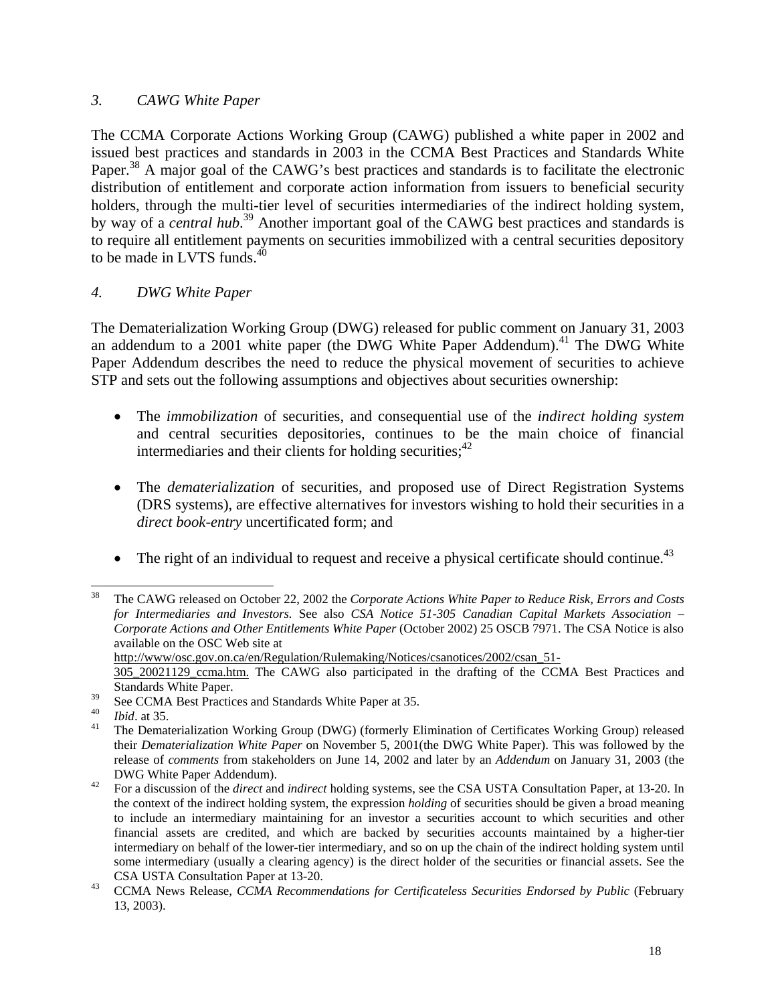### *3. CAWG White Paper*

The CCMA Corporate Actions Working Group (CAWG) published a white paper in 2002 and issued best practices and standards in 2003 in the CCMA Best Practices and Standards White Paper.<sup>38</sup> A major goal of the CAWG's best practices and standards is to facilitate the electronic distribution of entitlement and corporate action information from issuers to beneficial security holders, through the multi-tier level of securities intermediaries of the indirect holding system, by way of a *central hub*. [39](#page-17-1) Another important goal of the CAWG best practices and standards is to require all entitlement payments on securities immobilized with a central securities depository to be made in LVTS funds. $40$ 

### *4. DWG White Paper*

The Dematerialization Working Group (DWG) released for public comment on January 31, 2003 an addendum to a 2001 white paper (the DWG White Paper Addendum).<sup>41</sup> The DWG White Paper Addendum describes the need to reduce the physical movement of securities to achieve STP and sets out the following assumptions and objectives about securities ownership:

- The *immobilization* of securities, and consequential use of the *indirect holding system* and central securities depositories, continues to be the main choice of financial intermediaries and their clients for holding securities;  $42$
- The *dematerialization* of securities, and proposed use of Direct Registration Systems (DRS systems), are effective alternatives for investors wishing to hold their securities in a *direct book-entry* uncertificated form; and
- The right of an individual to request and receive a physical certificate should continue.<sup>[43](#page-17-5)</sup>

http://www/osc.gov.on.ca/en/Regulation/Rulemaking/Notices/csanotices/2002/csan\_51-

<span id="page-17-0"></span> <sup>38</sup> The CAWG released on October 22, 2002 the *Corporate Actions White Paper to Reduce Risk, Errors and Costs for Intermediaries and Investors.* See also *CSA Notice 51-305 Canadian Capital Markets Association – Corporate Actions and Other Entitlements White Paper* (October 2002) 25 OSCB 7971. The CSA Notice is also available on the OSC Web site at

<sup>305</sup>\_20021129\_ccma.htm. The CAWG also participated in the drafting of the CCMA Best Practices and Standards White Paper.

<span id="page-17-1"></span>

<span id="page-17-3"></span><span id="page-17-2"></span>

<sup>&</sup>lt;sup>39</sup> See CCMA Best Practices and Standards White Paper at 35.<br>
<sup>40</sup> *Ibid.* at 35.<br>
<sup>41</sup> The Dematerialization Working Group (DWG) (formerly Elimination of Certificates Working Group) released their *Dematerialization White Paper* on November 5, 2001(the DWG White Paper). This was followed by the release of *comments* from stakeholders on June 14, 2002 and later by an *Addendum* on January 31, 2003 (the DWG White Paper Addendum). <sup>42</sup> For a discussion of the *direct* and *indirect* holding systems, see the CSA USTA Consultation Paper, at 13-20. In

<span id="page-17-4"></span>the context of the indirect holding system, the expression *holding* of securities should be given a broad meaning to include an intermediary maintaining for an investor a securities account to which securities and other financial assets are credited, and which are backed by securities accounts maintained by a higher-tier intermediary on behalf of the lower-tier intermediary, and so on up the chain of the indirect holding system until some intermediary (usually a clearing agency) is the direct holder of the securities or financial assets. See the CSA USTA Consultation Paper at 13-20. 43 CCMA News Release, *CCMA Recommendations for Certificateless Securities Endorsed by Public* (February

<span id="page-17-5"></span><sup>13, 2003).</sup>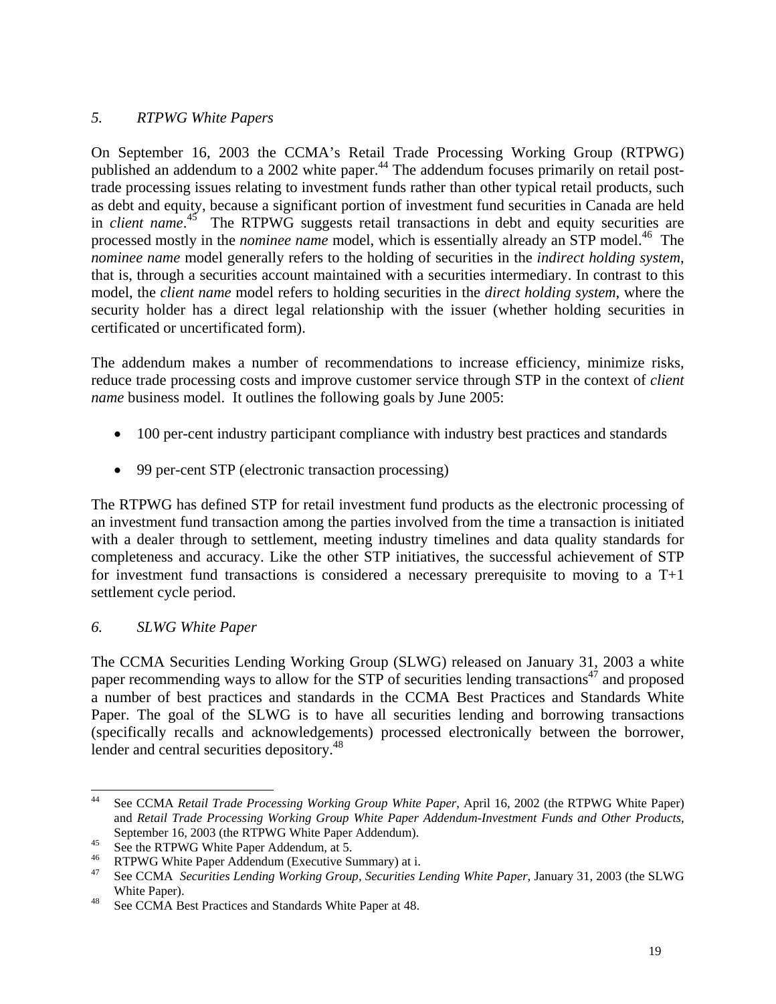## *5. RTPWG White Papers*

On September 16, 2003 the CCMA's Retail Trade Processing Working Group (RTPWG) published an addendum to a 2002 white paper.<sup>44</sup> The addendum focuses primarily on retail posttrade processing issues relating to investment funds rather than other typical retail products, such as debt and equity, because a significant portion of investment fund securities in Canada are held in *client name*. [45](#page-18-1) The RTPWG suggests retail transactions in debt and equity securities are processed mostly in the *nominee name* model, which is essentially already an STP model.<sup>46</sup> The *nominee name* model generally refers to the holding of securities in the *indirect holding system*, that is, through a securities account maintained with a securities intermediary. In contrast to this model, the *client name* model refers to holding securities in the *direct holding system*, where the security holder has a direct legal relationship with the issuer (whether holding securities in certificated or uncertificated form).

The addendum makes a number of recommendations to increase efficiency, minimize risks, reduce trade processing costs and improve customer service through STP in the context of *client name* business model. It outlines the following goals by June 2005:

- 100 per-cent industry participant compliance with industry best practices and standards
- 99 per-cent STP (electronic transaction processing)

The RTPWG has defined STP for retail investment fund products as the electronic processing of an investment fund transaction among the parties involved from the time a transaction is initiated with a dealer through to settlement, meeting industry timelines and data quality standards for completeness and accuracy. Like the other STP initiatives, the successful achievement of STP for investment fund transactions is considered a necessary prerequisite to moving to a T+1 settlement cycle period.

### *6. SLWG White Paper*

The CCMA Securities Lending Working Group (SLWG) released on January 31, 2003 a white paper recommending ways to allow for the STP of securities lending transactions<sup>47</sup> and proposed a number of best practices and standards in the CCMA Best Practices and Standards White Paper. The goal of the SLWG is to have all securities lending and borrowing transactions (specifically recalls and acknowledgements) processed electronically between the borrower, lender and central securities depository.<sup>[48](#page-18-4)</sup>

<span id="page-18-0"></span> <sup>44</sup> See CCMA *Retail Trade Processing Working Group White Paper*, April 16, 2002 (the RTPWG White Paper) and *Retail Trade Processing Working Group White Paper Addendum-Investment Funds and Other Products*,

<span id="page-18-1"></span>

<span id="page-18-3"></span><span id="page-18-2"></span>

September 16, 2003 (the RTPWG White Paper Addendum).<br>
<sup>45</sup> See the RTPWG White Paper Addendum, at 5.<br>
<sup>46</sup> RTPWG White Paper Addendum (Executive Summary) at i.<br>
<sup>47</sup> See CCMA *Securities Lending Working Group, Securities L* White Paper).<br><sup>48</sup> See CCMA Best Practices and Standards White Paper at 48.

<span id="page-18-4"></span>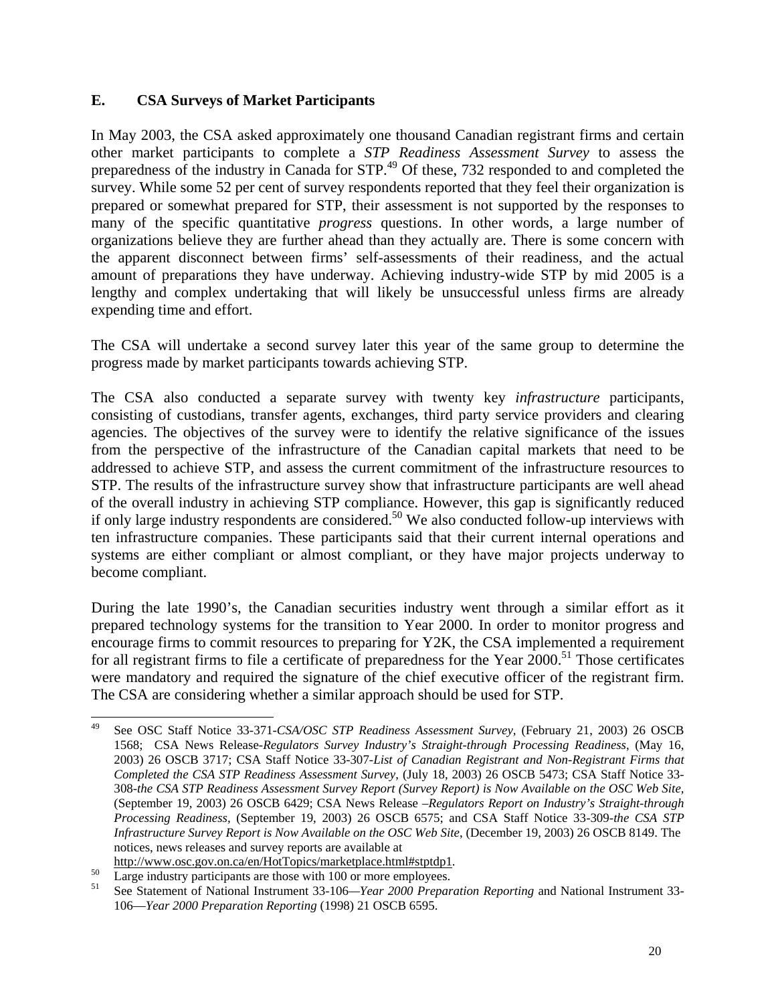### **E. CSA Surveys of Market Participants**

In May 2003, the CSA asked approximately one thousand Canadian registrant firms and certain other market participants to complete a *STP Readiness Assessment Survey* to assess the preparedness of the industry in Canada for STP.<sup>49</sup> Of these, 732 responded to and completed the survey. While some 52 per cent of survey respondents reported that they feel their organization is prepared or somewhat prepared for STP, their assessment is not supported by the responses to many of the specific quantitative *progress* questions. In other words, a large number of organizations believe they are further ahead than they actually are. There is some concern with the apparent disconnect between firms' self-assessments of their readiness, and the actual amount of preparations they have underway. Achieving industry-wide STP by mid 2005 is a lengthy and complex undertaking that will likely be unsuccessful unless firms are already expending time and effort.

The CSA will undertake a second survey later this year of the same group to determine the progress made by market participants towards achieving STP.

The CSA also conducted a separate survey with twenty key *infrastructure* participants, consisting of custodians, transfer agents, exchanges, third party service providers and clearing agencies. The objectives of the survey were to identify the relative significance of the issues from the perspective of the infrastructure of the Canadian capital markets that need to be addressed to achieve STP, and assess the current commitment of the infrastructure resources to STP. The results of the infrastructure survey show that infrastructure participants are well ahead of the overall industry in achieving STP compliance. However, this gap is significantly reduced if only large industry respondents are considered.<sup>50</sup> We also conducted follow-up interviews with ten infrastructure companies. These participants said that their current internal operations and systems are either compliant or almost compliant, or they have major projects underway to become compliant.

During the late 1990's, the Canadian securities industry went through a similar effort as it prepared technology systems for the transition to Year 2000. In order to monitor progress and encourage firms to commit resources to preparing for Y2K, the CSA implemented a requirement for all registrant firms to file a certificate of preparedness for the Year  $2000$ .<sup>51</sup> Those certificates were mandatory and required the signature of the chief executive officer of the registrant firm. The CSA are considering whether a similar approach should be used for STP.

<span id="page-19-0"></span> <sup>49</sup> See OSC Staff Notice 33-371*-CSA/OSC STP Readiness Assessment Survey,* (February 21, 2003) 26 OSCB 1568; CSA News Release*-Regulators Survey Industry's Straight-through Processing Readiness*, (May 16, 2003) 26 OSCB 3717; CSA Staff Notice 33-307*-List of Canadian Registrant and Non-Registrant Firms that Completed the CSA STP Readiness Assessment Survey*, (July 18, 2003) 26 OSCB 5473; CSA Staff Notice 33- 308*-the CSA STP Readiness Assessment Survey Report (Survey Report) is Now Available on the OSC Web Site,* (September 19, 2003) 26 OSCB 6429; CSA News Release *–Regulators Report on Industry's Straight-through Processing Readiness,* (September 19, 2003) 26 OSCB 6575; and CSA Staff Notice 33-309*-the CSA STP Infrastructure Survey Report is Now Available on the OSC Web Site*, (December 19, 2003) 26 OSCB 8149. The notices, news releases and survey reports are available at

<span id="page-19-2"></span><span id="page-19-1"></span>

http://www.osc.gov.on.ca/en/HotTopics/marketplace.html#stptdp1.<br>
Large industry participants are those with 100 or more employees.<br>
See Statement of National Instrument 33-106—*Year 2000 Preparation Reporting* and National 106—*Year 2000 Preparation Reporting* (1998) 21 OSCB 6595.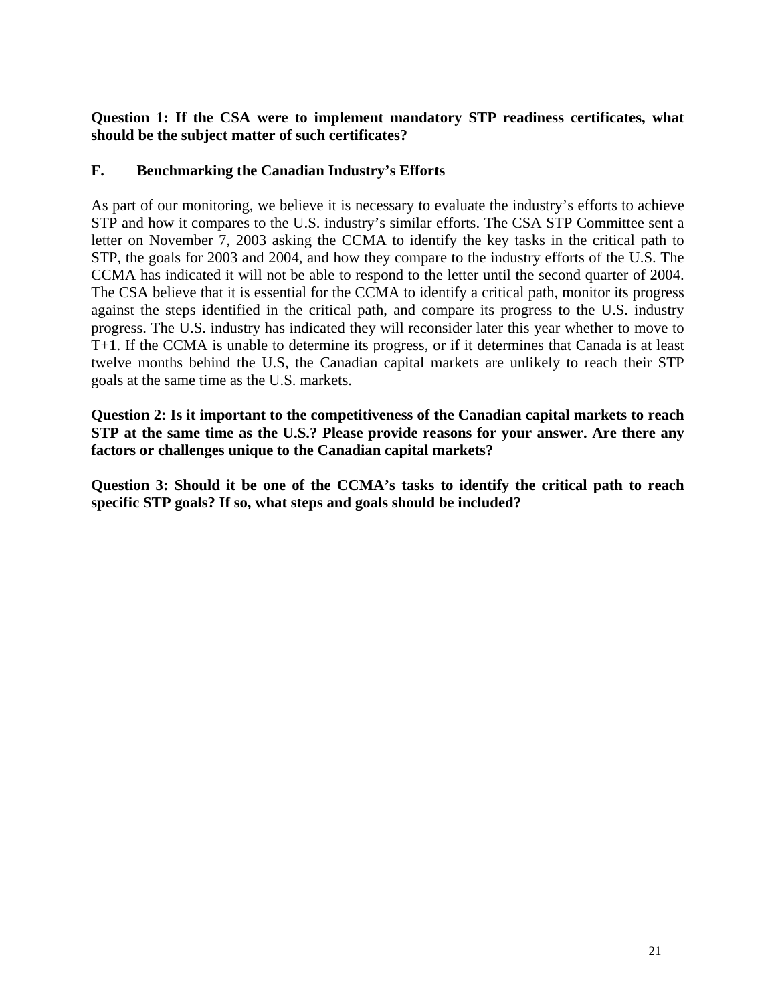**Question 1: If the CSA were to implement mandatory STP readiness certificates, what should be the subject matter of such certificates?**

### **F. Benchmarking the Canadian Industry's Efforts**

As part of our monitoring, we believe it is necessary to evaluate the industry's efforts to achieve STP and how it compares to the U.S. industry's similar efforts. The CSA STP Committee sent a letter on November 7, 2003 asking the CCMA to identify the key tasks in the critical path to STP, the goals for 2003 and 2004, and how they compare to the industry efforts of the U.S. The CCMA has indicated it will not be able to respond to the letter until the second quarter of 2004. The CSA believe that it is essential for the CCMA to identify a critical path, monitor its progress against the steps identified in the critical path, and compare its progress to the U.S. industry progress. The U.S. industry has indicated they will reconsider later this year whether to move to T+1. If the CCMA is unable to determine its progress, or if it determines that Canada is at least twelve months behind the U.S, the Canadian capital markets are unlikely to reach their STP goals at the same time as the U.S. markets.

**Question 2: Is it important to the competitiveness of the Canadian capital markets to reach STP at the same time as the U.S.? Please provide reasons for your answer. Are there any factors or challenges unique to the Canadian capital markets?** 

**Question 3: Should it be one of the CCMA's tasks to identify the critical path to reach specific STP goals? If so, what steps and goals should be included?**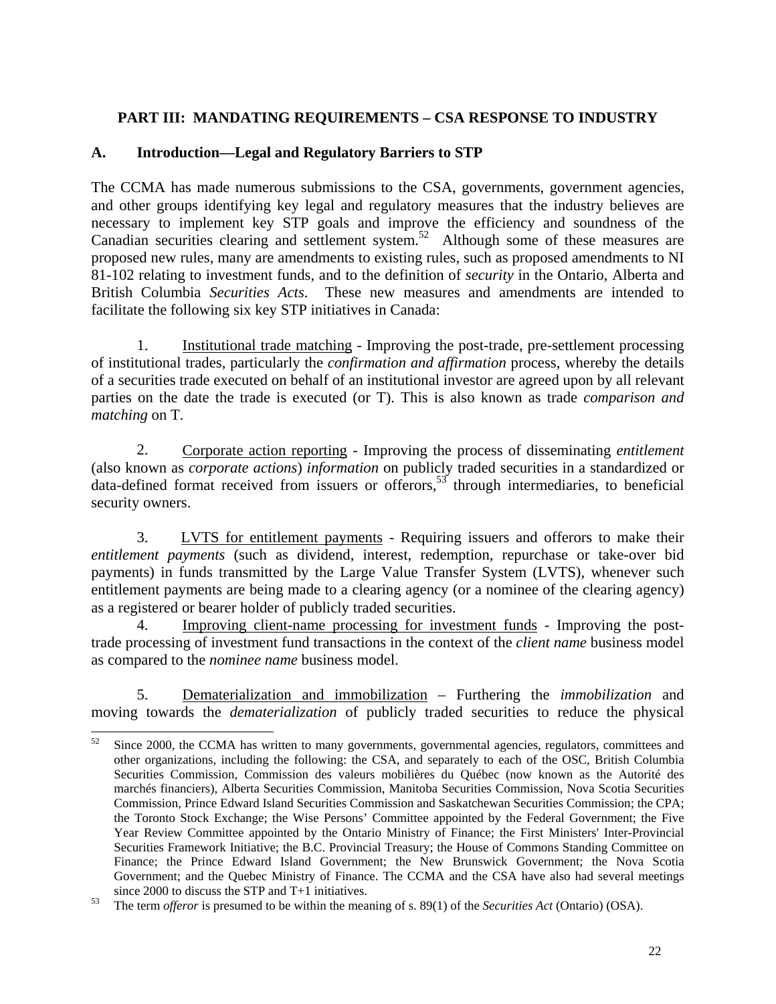## **PART III: MANDATING REQUIREMENTS – CSA RESPONSE TO INDUSTRY**

### **A. Introduction—Legal and Regulatory Barriers to STP**

The CCMA has made numerous submissions to the CSA, governments, government agencies, and other groups identifying key legal and regulatory measures that the industry believes are necessary to implement key STP goals and improve the efficiency and soundness of the Canadian securities clearing and settlement system. [52](#page-21-0) Although some of these measures are proposed new rules, many are amendments to existing rules, such as proposed amendments to NI 81-102 relating to investment funds, and to the definition of *security* in the Ontario, Alberta and British Columbia *Securities Acts*. These new measures and amendments are intended to facilitate the following six key STP initiatives in Canada:

1. Institutional trade matching - Improving the post-trade, pre-settlement processing of institutional trades, particularly the *confirmation and affirmation* process, whereby the details of a securities trade executed on behalf of an institutional investor are agreed upon by all relevant parties on the date the trade is executed (or T). This is also known as trade *comparison and matching* on T.

2. Corporate action reporting - Improving the process of disseminating *entitlement* (also known as *corporate actions*) *information* on publicly traded securities in a standardized or data-defined format received from issuers or offerors,<sup>53</sup> through intermediaries, to beneficial security owners.

3. LVTS for entitlement payments - Requiring issuers and offerors to make their *entitlement payments* (such as dividend, interest, redemption, repurchase or take-over bid payments) in funds transmitted by the Large Value Transfer System (LVTS), whenever such entitlement payments are being made to a clearing agency (or a nominee of the clearing agency) as a registered or bearer holder of publicly traded securities.

4. Improving client-name processing for investment funds - Improving the posttrade processing of investment fund transactions in the context of the *client name* business model as compared to the *nominee name* business model.

5. Dematerialization and immobilization – Furthering the *immobilization* and moving towards the *dematerialization* of publicly traded securities to reduce the physical

<span id="page-21-0"></span> $52$  Since 2000, the CCMA has written to many governments, governmental agencies, regulators, committees and other organizations, including the following: the CSA, and separately to each of the OSC, British Columbia Securities Commission, Commission des valeurs mobilières du Québec (now known as the Autorité des marchés financiers), Alberta Securities Commission, Manitoba Securities Commission, Nova Scotia Securities Commission, Prince Edward Island Securities Commission and Saskatchewan Securities Commission; the CPA; the Toronto Stock Exchange; the Wise Persons' Committee appointed by the Federal Government; the Five Year Review Committee appointed by the Ontario Ministry of Finance; the First Ministers' Inter-Provincial Securities Framework Initiative; the B.C. Provincial Treasury; the House of Commons Standing Committee on Finance; the Prince Edward Island Government; the New Brunswick Government; the Nova Scotia Government; and the Quebec Ministry of Finance. The CCMA and the CSA have also had several meetings

<span id="page-21-1"></span>since 2000 to discuss the STP and T+1 initiatives. 53 The term *offeror* is presumed to be within the meaning of s. 89(1) of the *Securities Act* (Ontario) (OSA).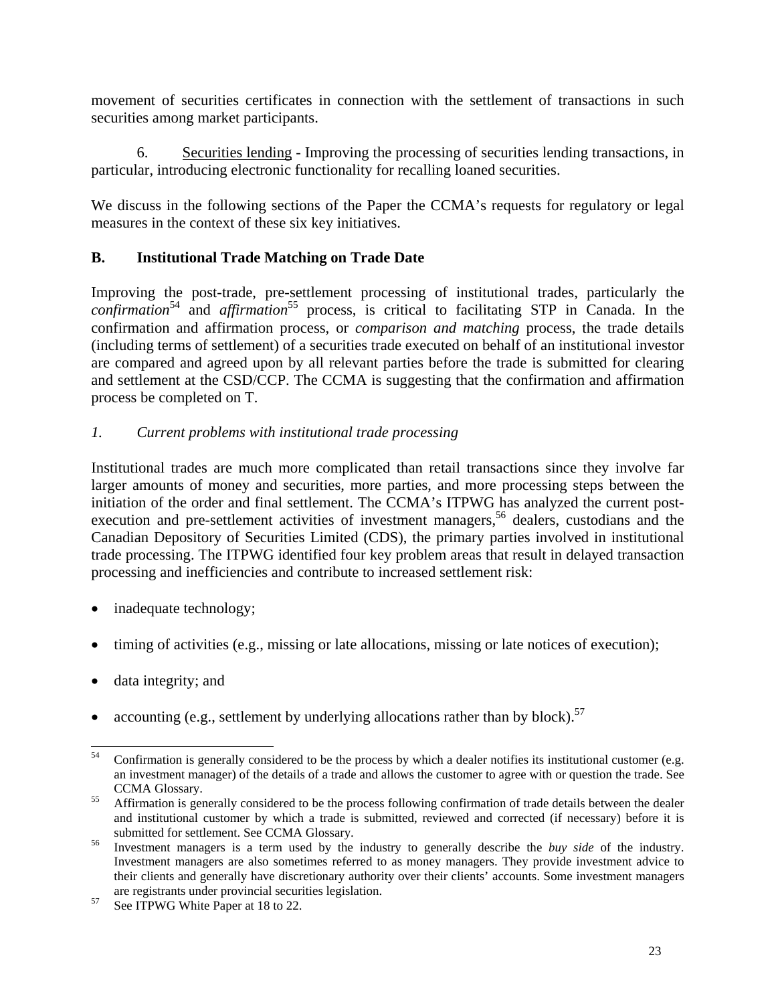movement of securities certificates in connection with the settlement of transactions in such securities among market participants.

6. Securities lending - Improving the processing of securities lending transactions, in particular, introducing electronic functionality for recalling loaned securities.

We discuss in the following sections of the Paper the CCMA's requests for regulatory or legal measures in the context of these six key initiatives.

# **B. Institutional Trade Matching on Trade Date**

Improving the post-trade, pre-settlement processing of institutional trades, particularly the confirmation<sup>54</sup> and *affirmation*<sup>55</sup> process, is critical to facilitating STP in Canada. In the confirmation and affirmation process, or *comparison and matching* process, the trade details (including terms of settlement) of a securities trade executed on behalf of an institutional investor are compared and agreed upon by all relevant parties before the trade is submitted for clearing and settlement at the CSD/CCP. The CCMA is suggesting that the confirmation and affirmation process be completed on T.

# *1. Current problems with institutional trade processing*

Institutional trades are much more complicated than retail transactions since they involve far larger amounts of money and securities, more parties, and more processing steps between the initiation of the order and final settlement. The CCMA's ITPWG has analyzed the current postexecution and pre-settlement activities of investment managers,<sup>56</sup> dealers, custodians and the Canadian Depository of Securities Limited (CDS), the primary parties involved in institutional trade processing. The ITPWG identified four key problem areas that result in delayed transaction processing and inefficiencies and contribute to increased settlement risk:

- inadequate technology;
- timing of activities (e.g., missing or late allocations, missing or late notices of execution);
- data integrity; and
- accounting (e.g., settlement by underlying allocations rather than by block).<sup>57</sup>

<span id="page-22-0"></span><sup>&</sup>lt;sup>54</sup> Confirmation is generally considered to be the process by which a dealer notifies its institutional customer (e.g. an investment manager) of the details of a trade and allows the customer to agree with or question the trade. See

<span id="page-22-1"></span>CCMA Glossary. 55 Affirmation is generally considered to be the process following confirmation of trade details between the dealer and institutional customer by which a trade is submitted, reviewed and corrected (if necessary) before it is submitted for settlement. See CCMA Glossary.<br>Investment managers is a term used by the industry to generally describe the *buy side* of the industry.

<span id="page-22-2"></span>Investment managers are also sometimes referred to as money managers. They provide investment advice to their clients and generally have discretionary authority over their clients' accounts. Some investment managers are registrants under provincial securities legislation.<br>
See ITPWG White Paper at 18 to 22.

<span id="page-22-3"></span>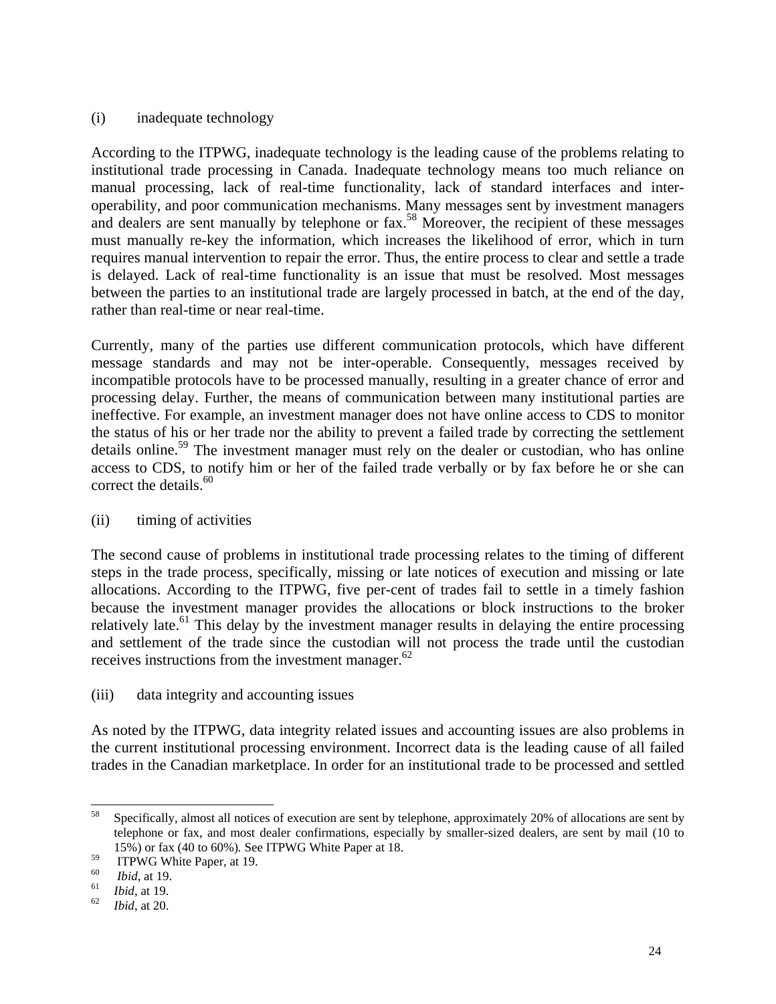#### (i) inadequate technology

According to the ITPWG, inadequate technology is the leading cause of the problems relating to institutional trade processing in Canada. Inadequate technology means too much reliance on manual processing, lack of real-time functionality, lack of standard interfaces and interoperability, and poor communication mechanisms. Many messages sent by investment managers and dealers are sent manually by telephone or fax.<sup>58</sup> Moreover, the recipient of these messages must manually re-key the information, which increases the likelihood of error, which in turn requires manual intervention to repair the error. Thus, the entire process to clear and settle a trade is delayed. Lack of real-time functionality is an issue that must be resolved. Most messages between the parties to an institutional trade are largely processed in batch, at the end of the day, rather than real-time or near real-time.

Currently, many of the parties use different communication protocols, which have different message standards and may not be inter-operable. Consequently, messages received by incompatible protocols have to be processed manually, resulting in a greater chance of error and processing delay. Further, the means of communication between many institutional parties are ineffective. For example, an investment manager does not have online access to CDS to monitor the status of his or her trade nor the ability to prevent a failed trade by correcting the settlement details online.<sup>59</sup> The investment manager must rely on the dealer or custodian, who has online access to CDS, to notify him or her of the failed trade verbally or by fax before he or she can correct the details.<sup>60</sup>

#### (ii) timing of activities

The second cause of problems in institutional trade processing relates to the timing of different steps in the trade process, specifically, missing or late notices of execution and missing or late allocations. According to the ITPWG, five per-cent of trades fail to settle in a timely fashion because the investment manager provides the allocations or block instructions to the broker relatively late.<sup>61</sup> This delay by the investment manager results in delaying the entire processing and settlement of the trade since the custodian will not process the trade until the custodian receives instructions from the investment manager. $62$ 

#### (iii) data integrity and accounting issues

As noted by the ITPWG, data integrity related issues and accounting issues are also problems in the current institutional processing environment. Incorrect data is the leading cause of all failed trades in the Canadian marketplace. In order for an institutional trade to be processed and settled

<span id="page-23-0"></span> <sup>58</sup> Specifically, almost all notices of execution are sent by telephone, approximately 20% of allocations are sent by telephone or fax, and most dealer confirmations, especially by smaller-sized dealers, are sent by mail (10 to 15%) or fax (40 to 60%). See ITPWG White Paper at 18.<br>
<sup>59</sup> ITPWG White Paper, at 19.<br> *ibid*, at 19.<br> *ibid*, at 19.<br> *ibid*, at 20.

<span id="page-23-1"></span>

<span id="page-23-2"></span>

<span id="page-23-3"></span>

<span id="page-23-4"></span>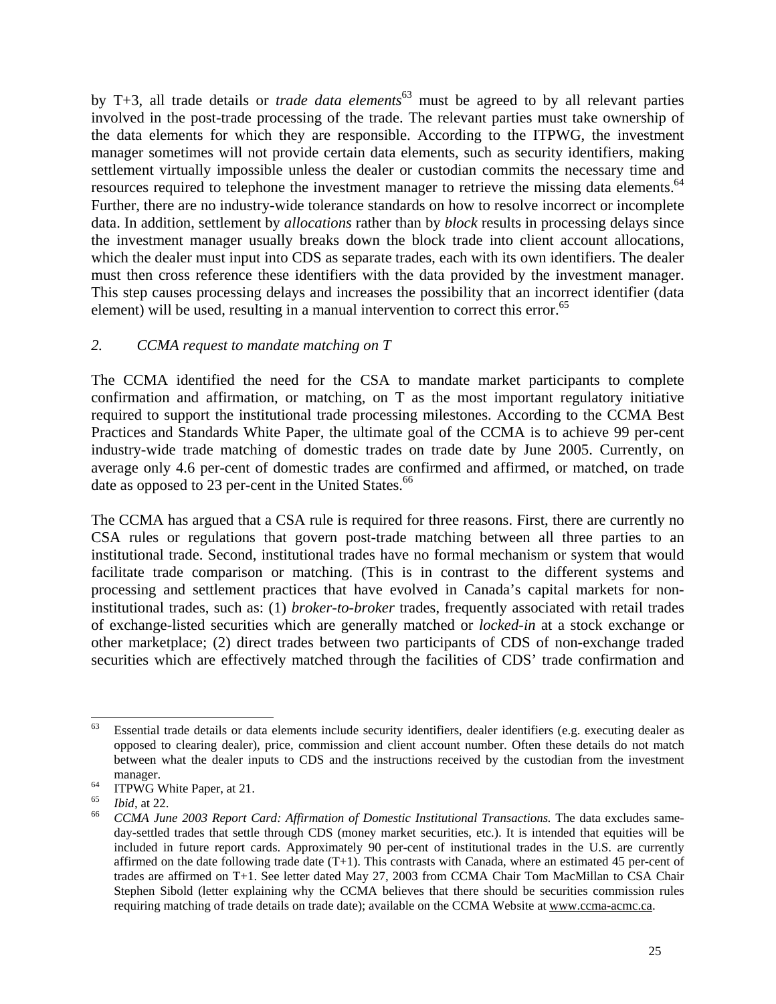by T+3, all trade details or *trade data elements*<sup>63</sup> must be agreed to by all relevant parties involved in the post-trade processing of the trade. The relevant parties must take ownership of the data elements for which they are responsible. According to the ITPWG, the investment manager sometimes will not provide certain data elements, such as security identifiers, making settlement virtually impossible unless the dealer or custodian commits the necessary time and resources required to telephone the investment manager to retrieve the missing data elements.<sup>64</sup> Further, there are no industry-wide tolerance standards on how to resolve incorrect or incomplete data. In addition, settlement by *allocations* rather than by *block* results in processing delays since the investment manager usually breaks down the block trade into client account allocations, which the dealer must input into CDS as separate trades, each with its own identifiers. The dealer must then cross reference these identifiers with the data provided by the investment manager. This step causes processing delays and increases the possibility that an incorrect identifier (data element) will be used, resulting in a manual intervention to correct this error.<sup>65</sup>

### *2. CCMA request to mandate matching on T*

The CCMA identified the need for the CSA to mandate market participants to complete confirmation and affirmation, or matching, on T as the most important regulatory initiative required to support the institutional trade processing milestones. According to the CCMA Best Practices and Standards White Paper, the ultimate goal of the CCMA is to achieve 99 per-cent industry-wide trade matching of domestic trades on trade date by June 2005. Currently, on average only 4.6 per-cent of domestic trades are confirmed and affirmed, or matched, on trade date as opposed to 23 per-cent in the United States.<sup>66</sup>

The CCMA has argued that a CSA rule is required for three reasons. First, there are currently no CSA rules or regulations that govern post-trade matching between all three parties to an institutional trade. Second, institutional trades have no formal mechanism or system that would facilitate trade comparison or matching. (This is in contrast to the different systems and processing and settlement practices that have evolved in Canada's capital markets for noninstitutional trades, such as: (1) *broker-to-broker* trades, frequently associated with retail trades of exchange-listed securities which are generally matched or *locked-in* at a stock exchange or other marketplace; (2) direct trades between two participants of CDS of non-exchange traded securities which are effectively matched through the facilities of CDS' trade confirmation and

<span id="page-24-0"></span> $63$  Essential trade details or data elements include security identifiers, dealer identifiers (e.g. executing dealer as opposed to clearing dealer), price, commission and client account number. Often these details do not match between what the dealer inputs to CDS and the instructions received by the custodian from the investment

<span id="page-24-1"></span>

<span id="page-24-3"></span><span id="page-24-2"></span>

manager.<br>
<sup>64</sup> ITPWG White Paper, at 21.<br>
<sup>65</sup> *Ibid*, at 22.<br>
<sup>66</sup> *CCMA June 2003 Report Card: Affirmation of Domestic Institutional Transactions.* The data excludes sameday-settled trades that settle through CDS (money market securities, etc.). It is intended that equities will be included in future report cards. Approximately 90 per-cent of institutional trades in the U.S. are currently affirmed on the date following trade date  $(T+1)$ . This contrasts with Canada, where an estimated 45 per-cent of trades are affirmed on T+1. See letter dated May 27, 2003 from CCMA Chair Tom MacMillan to CSA Chair Stephen Sibold (letter explaining why the CCMA believes that there should be securities commission rules requiring matching of trade details on trade date); available on the CCMA Website at www.ccma-acmc.ca.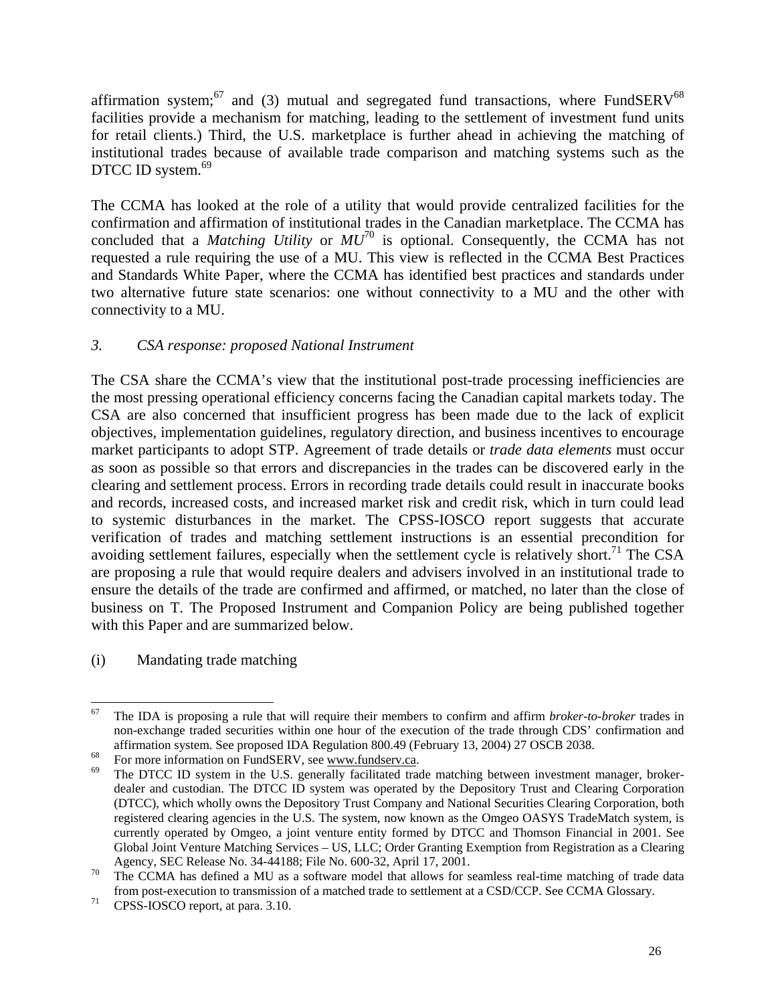affirmation system; $^{67}$  and (3) mutual and segregated fund transactions, where FundSERV $^{68}$  $^{68}$  $^{68}$ facilities provide a mechanism for matching, leading to the settlement of investment fund units for retail clients.) Third, the U.S. marketplace is further ahead in achieving the matching of institutional trades because of available trade comparison and matching systems such as the DTCC ID system.<sup>69</sup>

The CCMA has looked at the role of a utility that would provide centralized facilities for the confirmation and affirmation of institutional trades in the Canadian marketplace. The CCMA has concluded that a *Matching Utility* or  $MU^{70}$  is optional. Consequently, the CCMA has not requested a rule requiring the use of a MU. This view is reflected in the CCMA Best Practices and Standards White Paper, where the CCMA has identified best practices and standards under two alternative future state scenarios: one without connectivity to a MU and the other with connectivity to a MU.

## *3. CSA response: proposed National Instrument*

The CSA share the CCMA's view that the institutional post-trade processing inefficiencies are the most pressing operational efficiency concerns facing the Canadian capital markets today. The CSA are also concerned that insufficient progress has been made due to the lack of explicit objectives, implementation guidelines, regulatory direction, and business incentives to encourage market participants to adopt STP. Agreement of trade details or *trade data elements* must occur as soon as possible so that errors and discrepancies in the trades can be discovered early in the clearing and settlement process. Errors in recording trade details could result in inaccurate books and records, increased costs, and increased market risk and credit risk, which in turn could lead to systemic disturbances in the market. The CPSS-IOSCO report suggests that accurate verification of trades and matching settlement instructions is an essential precondition for avoiding settlement failures, especially when the settlement cycle is relatively short.<sup>71</sup> The CSA are proposing a rule that would require dealers and advisers involved in an institutional trade to ensure the details of the trade are confirmed and affirmed, or matched, no later than the close of business on T. The Proposed Instrument and Companion Policy are being published together with this Paper and are summarized below.

(i) Mandating trade matching

<span id="page-25-0"></span> <sup>67</sup> The IDA is proposing a rule that will require their members to confirm and affirm *broker-to-broker* trades in non-exchange traded securities within one hour of the execution of the trade through CDS' confirmation and affirmation system. See proposed IDA Regulation 800.49 (February 13, 2004) 27 OSCB 2038.<br>For more information on FundSERV, see www.fundserv.ca.<br><sup>69</sup> The DTCC ID system in the U.S. generally facilitated trade matching betwe

<span id="page-25-1"></span>

<span id="page-25-2"></span>dealer and custodian. The DTCC ID system was operated by the Depository Trust and Clearing Corporation (DTCC), which wholly owns the Depository Trust Company and National Securities Clearing Corporation, both registered clearing agencies in the U.S. The system, now known as the Omgeo OASYS TradeMatch system, is currently operated by Omgeo, a joint venture entity formed by DTCC and Thomson Financial in 2001. See Global Joint Venture Matching Services – US, LLC; Order Granting Exemption from Registration as a Clearing

<span id="page-25-3"></span>Agency, SEC Release No. 34-44188; File No. 600-32, April 17, 2001.<br><sup>70</sup> The CCMA has defined a MU as a software model that allows for seamless real-time matching of trade data from post-execution to transmission of a matched trade to settlement at a CSD/CCP. See CCMA Glossary. 71 CPSS-IOSCO report, at para. 3.10.

<span id="page-25-4"></span>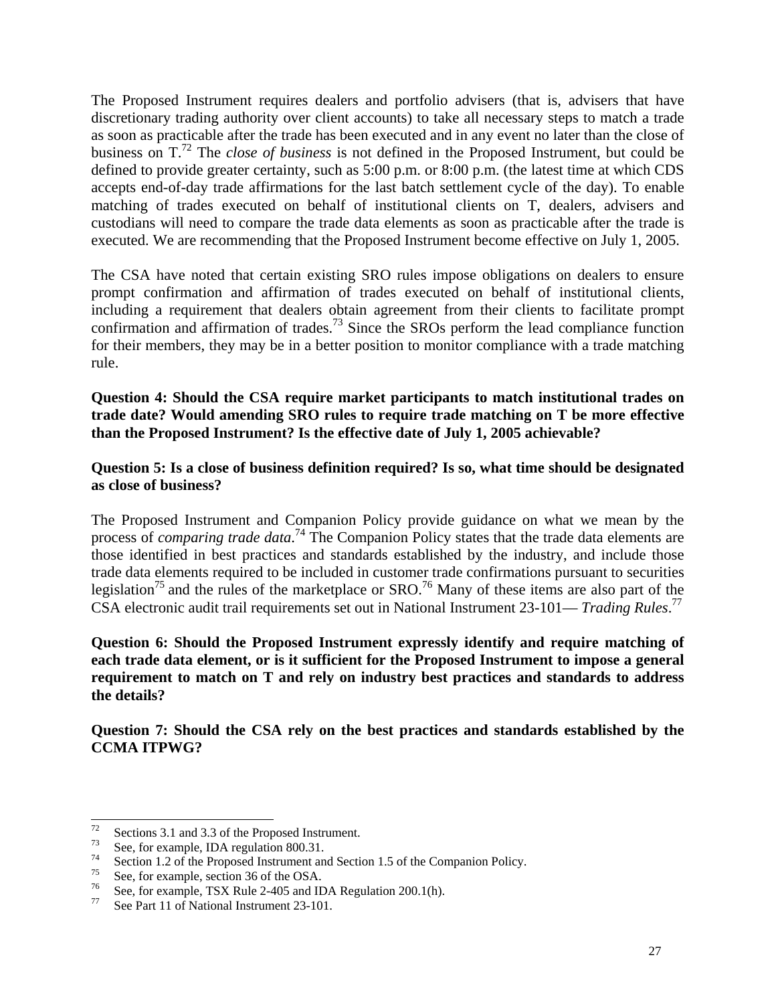The Proposed Instrument requires dealers and portfolio advisers (that is, advisers that have discretionary trading authority over client accounts) to take all necessary steps to match a trade as soon as practicable after the trade has been executed and in any event no later than the close of business on T.[72](#page-26-0) The *close of business* is not defined in the Proposed Instrument, but could be defined to provide greater certainty, such as 5:00 p.m. or 8:00 p.m. (the latest time at which CDS accepts end-of-day trade affirmations for the last batch settlement cycle of the day). To enable matching of trades executed on behalf of institutional clients on T, dealers, advisers and custodians will need to compare the trade data elements as soon as practicable after the trade is executed. We are recommending that the Proposed Instrument become effective on July 1, 2005.

The CSA have noted that certain existing SRO rules impose obligations on dealers to ensure prompt confirmation and affirmation of trades executed on behalf of institutional clients, including a requirement that dealers obtain agreement from their clients to facilitate prompt confirmation and affirmation of trades.<sup>73</sup> Since the SROs perform the lead compliance function for their members, they may be in a better position to monitor compliance with a trade matching rule.

**Question 4: Should the CSA require market participants to match institutional trades on trade date? Would amending SRO rules to require trade matching on T be more effective than the Proposed Instrument? Is the effective date of July 1, 2005 achievable?** 

**Question 5: Is a close of business definition required? Is so, what time should be designated as close of business?** 

The Proposed Instrument and Companion Policy provide guidance on what we mean by the process of *comparing trade data*. [74](#page-26-2) The Companion Policy states that the trade data elements are those identified in best practices and standards established by the industry, and include those trade data elements required to be included in customer trade confirmations pursuant to securities legislation<sup>75</sup> and the rules of the marketplace or  $SRO$ <sup>76</sup> Many of these items are also part of the CSA electronic audit trail requirements set out in National Instrument 23-101— *Trading Rules*. [77](#page-26-5) 

**Question 6: Should the Proposed Instrument expressly identify and require matching of each trade data element, or is it sufficient for the Proposed Instrument to impose a general requirement to match on T and rely on industry best practices and standards to address the details?**

**Question 7: Should the CSA rely on the best practices and standards established by the CCMA ITPWG?** 

<span id="page-26-0"></span>

<span id="page-26-2"></span><span id="page-26-1"></span>

<sup>&</sup>lt;sup>72</sup> Sections 3.1 and 3.3 of the Proposed Instrument.<br>
<sup>73</sup> See, for example, IDA regulation 800.31.<br>
<sup>74</sup> Section 1.2 of the Proposed Instrument and Section 1.5 of the Companion Policy.<br>
<sup>75</sup> See, for example, section 36

<span id="page-26-3"></span>

<span id="page-26-4"></span>

<span id="page-26-5"></span>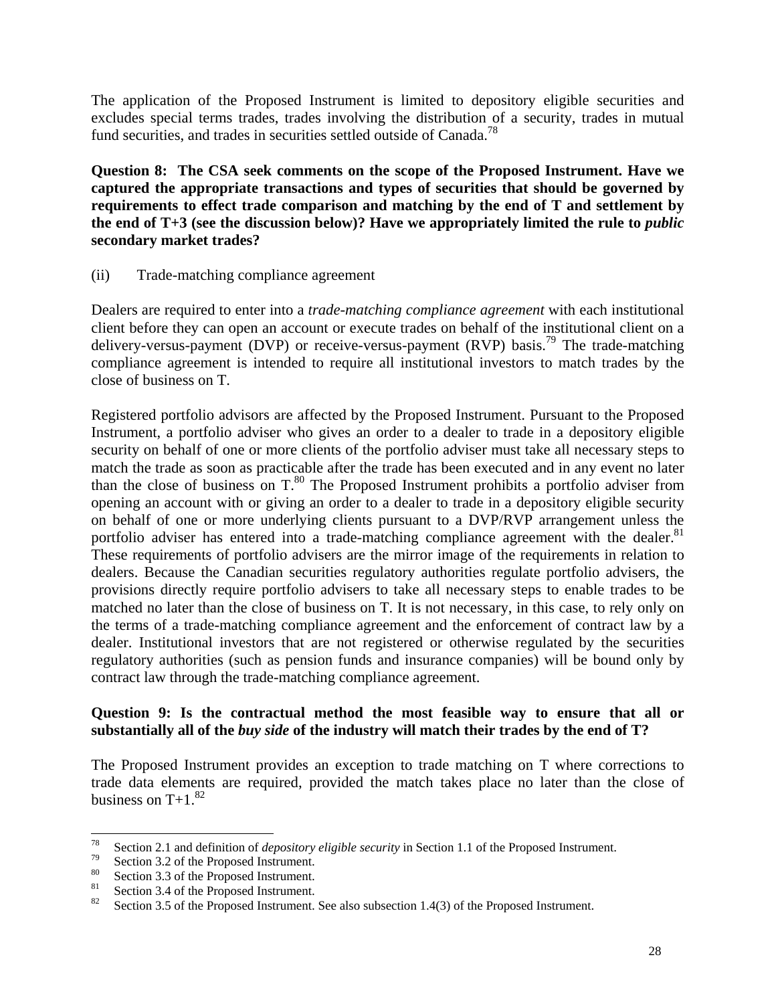The application of the Proposed Instrument is limited to depository eligible securities and excludes special terms trades, trades involving the distribution of a security, trades in mutual fund securities, and trades in securities settled outside of Canada.<sup>[78](#page-27-0)</sup>

**Question 8: The CSA seek comments on the scope of the Proposed Instrument. Have we captured the appropriate transactions and types of securities that should be governed by requirements to effect trade comparison and matching by the end of T and settlement by the end of T+3 (see the discussion below)? Have we appropriately limited the rule to** *public* **secondary market trades?** 

### (ii) Trade-matching compliance agreement

Dealers are required to enter into a *trade-matching compliance agreement* with each institutional client before they can open an account or execute trades on behalf of the institutional client on a delivery-versus-payment (DVP) or receive-versus-payment (RVP) basis.<sup>79</sup> The trade-matching compliance agreement is intended to require all institutional investors to match trades by the close of business on T.

Registered portfolio advisors are affected by the Proposed Instrument. Pursuant to the Proposed Instrument, a portfolio adviser who gives an order to a dealer to trade in a depository eligible security on behalf of one or more clients of the portfolio adviser must take all necessary steps to match the trade as soon as practicable after the trade has been executed and in any event no later than the close of business on  $T<sup>80</sup>$ . The Proposed Instrument prohibits a portfolio adviser from opening an account with or giving an order to a dealer to trade in a depository eligible security on behalf of one or more underlying clients pursuant to a DVP/RVP arrangement unless the portfolio adviser has entered into a trade-matching compliance agreement with the dealer.<sup>81</sup> These requirements of portfolio advisers are the mirror image of the requirements in relation to dealers. Because the Canadian securities regulatory authorities regulate portfolio advisers, the provisions directly require portfolio advisers to take all necessary steps to enable trades to be matched no later than the close of business on T. It is not necessary, in this case, to rely only on the terms of a trade-matching compliance agreement and the enforcement of contract law by a dealer. Institutional investors that are not registered or otherwise regulated by the securities regulatory authorities (such as pension funds and insurance companies) will be bound only by contract law through the trade-matching compliance agreement.

### **Question 9: Is the contractual method the most feasible way to ensure that all or substantially all of the** *buy side* **of the industry will match their trades by the end of T?**

The Proposed Instrument provides an exception to trade matching on T where corrections to trade data elements are required, provided the match takes place no later than the close of business on  $T+1$ .<sup>82</sup>

<span id="page-27-0"></span><sup>&</sup>lt;sup>78</sup><br>Section 2.1 and definition of *depository eligible security* in Section 1.1 of the Proposed Instrument.<br>Section 3.2 of the Proposed Instrument.<br>Section 3.3 of the Proposed Instrument.<br>Section 3.4 of the Proposed Inst

<span id="page-27-1"></span>

<span id="page-27-2"></span>

<span id="page-27-3"></span>

<span id="page-27-4"></span>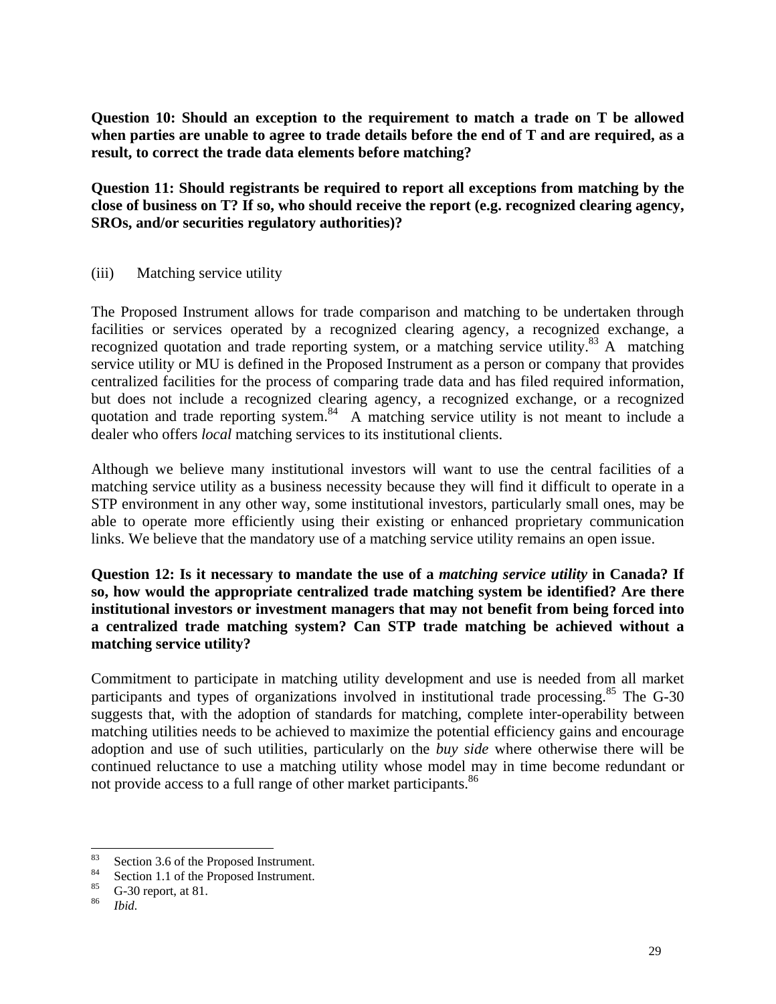**Question 10: Should an exception to the requirement to match a trade on T be allowed when parties are unable to agree to trade details before the end of T and are required, as a result, to correct the trade data elements before matching?** 

**Question 11: Should registrants be required to report all exceptions from matching by the close of business on T? If so, who should receive the report (e.g. recognized clearing agency, SROs, and/or securities regulatory authorities)?** 

(iii) Matching service utility

The Proposed Instrument allows for trade comparison and matching to be undertaken through facilities or services operated by a recognized clearing agency, a recognized exchange, a recognized quotation and trade reporting system, or a matching service utility.<sup>83</sup> A matching service utility or MU is defined in the Proposed Instrument as a person or company that provides centralized facilities for the process of comparing trade data and has filed required information, but does not include a recognized clearing agency, a recognized exchange, or a recognized quotation and trade reporting system.<sup>84</sup> A matching service utility is not meant to include a dealer who offers *local* matching services to its institutional clients.

Although we believe many institutional investors will want to use the central facilities of a matching service utility as a business necessity because they will find it difficult to operate in a STP environment in any other way, some institutional investors, particularly small ones, may be able to operate more efficiently using their existing or enhanced proprietary communication links. We believe that the mandatory use of a matching service utility remains an open issue.

**Question 12: Is it necessary to mandate the use of a** *matching service utility* **in Canada? If so, how would the appropriate centralized trade matching system be identified? Are there institutional investors or investment managers that may not benefit from being forced into a centralized trade matching system? Can STP trade matching be achieved without a matching service utility?** 

Commitment to participate in matching utility development and use is needed from all market participants and types of organizations involved in institutional trade processing.<sup>85</sup> The G-30 suggests that, with the adoption of standards for matching, complete inter-operability between matching utilities needs to be achieved to maximize the potential efficiency gains and encourage adoption and use of such utilities, particularly on the *buy side* where otherwise there will be continued reluctance to use a matching utility whose model may in time become redundant or not provide access to a full range of other market participants.<sup>86</sup>

<span id="page-28-0"></span><sup>83</sup> Section 3.6 of the Proposed Instrument.<br>
84 Section 1.1 of the Proposed Instrument.<br>
85 G-30 report, at 81.<br> *Bid.* 

<span id="page-28-1"></span>

<span id="page-28-2"></span>

<span id="page-28-3"></span>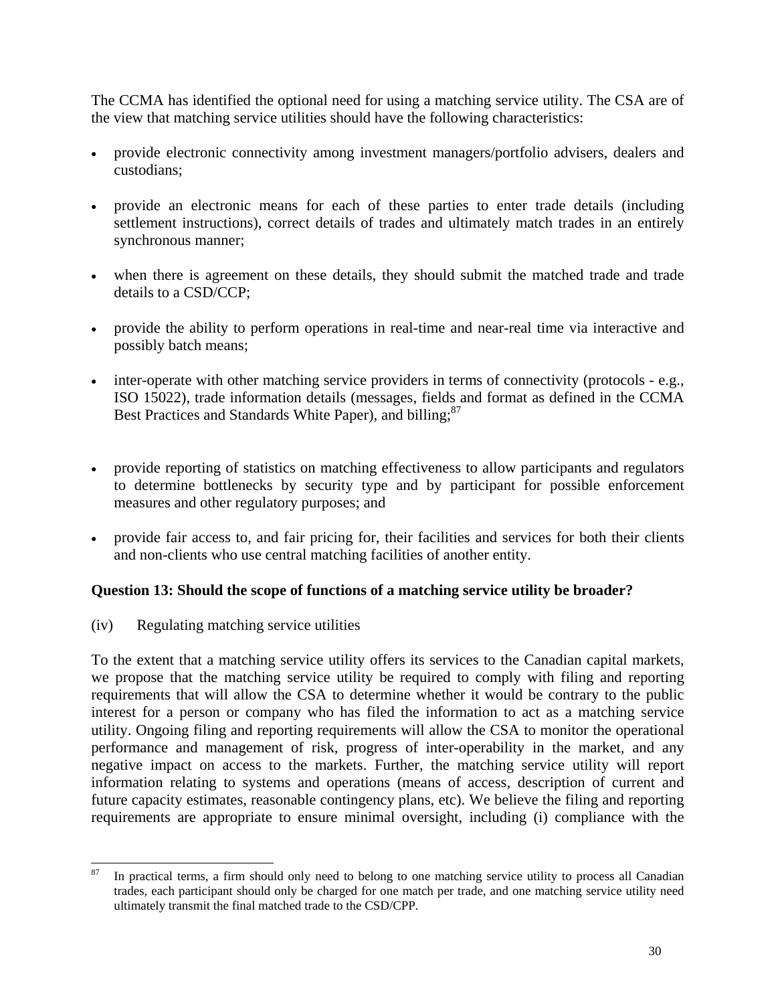The CCMA has identified the optional need for using a matching service utility. The CSA are of the view that matching service utilities should have the following characteristics:

- provide electronic connectivity among investment managers/portfolio advisers, dealers and custodians;
- provide an electronic means for each of these parties to enter trade details (including settlement instructions), correct details of trades and ultimately match trades in an entirely synchronous manner;
- when there is agreement on these details, they should submit the matched trade and trade details to a CSD/CCP;
- provide the ability to perform operations in real-time and near-real time via interactive and possibly batch means;
- inter-operate with other matching service providers in terms of connectivity (protocols e.g., ISO 15022), trade information details (messages, fields and format as defined in the CCMA Best Practices and Standards White Paper), and billing;<sup>87</sup>
- provide reporting of statistics on matching effectiveness to allow participants and regulators to determine bottlenecks by security type and by participant for possible enforcement measures and other regulatory purposes; and
- provide fair access to, and fair pricing for, their facilities and services for both their clients and non-clients who use central matching facilities of another entity.

### **Question 13: Should the scope of functions of a matching service utility be broader?**

(iv) Regulating matching service utilities

To the extent that a matching service utility offers its services to the Canadian capital markets, we propose that the matching service utility be required to comply with filing and reporting requirements that will allow the CSA to determine whether it would be contrary to the public interest for a person or company who has filed the information to act as a matching service utility. Ongoing filing and reporting requirements will allow the CSA to monitor the operational performance and management of risk, progress of inter-operability in the market, and any negative impact on access to the markets. Further, the matching service utility will report information relating to systems and operations (means of access, description of current and future capacity estimates, reasonable contingency plans, etc). We believe the filing and reporting requirements are appropriate to ensure minimal oversight, including (i) compliance with the

<span id="page-29-0"></span><sup>&</sup>lt;sup>87</sup> In practical terms, a firm should only need to belong to one matching service utility to process all Canadian trades, each participant should only be charged for one match per trade, and one matching service utility need ultimately transmit the final matched trade to the CSD/CPP.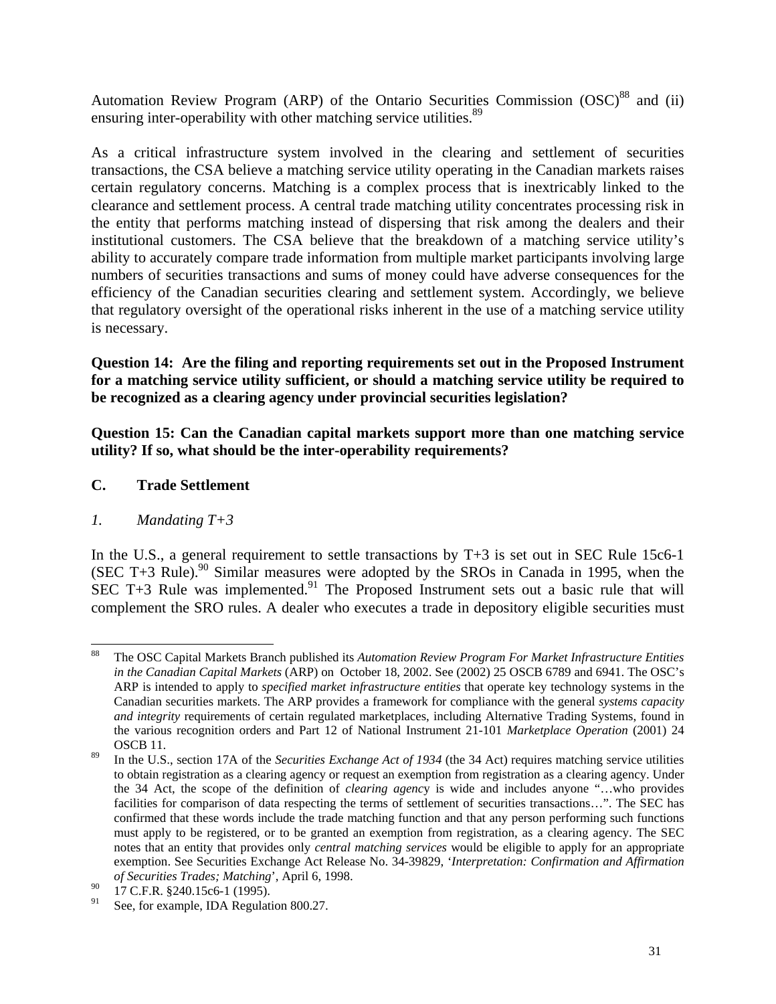Automation Review Program (ARP) of the Ontario Securities Commission (OSC)<sup>88</sup> and (ii) ensuring inter-operability with other matching service utilities.<sup>[89](#page-30-1)</sup>

As a critical infrastructure system involved in the clearing and settlement of securities transactions, the CSA believe a matching service utility operating in the Canadian markets raises certain regulatory concerns. Matching is a complex process that is inextricably linked to the clearance and settlement process. A central trade matching utility concentrates processing risk in the entity that performs matching instead of dispersing that risk among the dealers and their institutional customers. The CSA believe that the breakdown of a matching service utility's ability to accurately compare trade information from multiple market participants involving large numbers of securities transactions and sums of money could have adverse consequences for the efficiency of the Canadian securities clearing and settlement system. Accordingly, we believe that regulatory oversight of the operational risks inherent in the use of a matching service utility is necessary.

**Question 14: Are the filing and reporting requirements set out in the Proposed Instrument for a matching service utility sufficient, or should a matching service utility be required to be recognized as a clearing agency under provincial securities legislation?** 

**Question 15: Can the Canadian capital markets support more than one matching service utility? If so, what should be the inter-operability requirements?** 

## **C. Trade Settlement**

### *1. Mandating T+3*

In the U.S., a general requirement to settle transactions by  $T+3$  is set out in SEC Rule 15c6-1 (SEC T+3 Rule).<sup>90</sup> Similar measures were adopted by the SROs in Canada in 1995, when the SEC T+3 Rule was implemented.<sup>91</sup> The Proposed Instrument sets out a basic rule that will complement the SRO rules. A dealer who executes a trade in depository eligible securities must

<span id="page-30-0"></span> <sup>88</sup> The OSC Capital Markets Branch published its *Automation Review Program For Market Infrastructure Entities in the Canadian Capital Markets* (ARP) on October 18, 2002. See (2002) 25 OSCB 6789 and 6941. The OSC's ARP is intended to apply to *specified market infrastructure entities* that operate key technology systems in the Canadian securities markets. The ARP provides a framework for compliance with the general *systems capacity and integrity* requirements of certain regulated marketplaces, including Alternative Trading Systems, found in the various recognition orders and Part 12 of National Instrument 21-101 *Marketplace Operation* (2001) 24

<span id="page-30-1"></span>OSCB 11. 89 In the U.S., section 17A of the *Securities Exchange Act of 1934* (the 34 Act) requires matching service utilities to obtain registration as a clearing agency or request an exemption from registration as a clearing agency. Under the 34 Act, the scope of the definition of *clearing agenc*y is wide and includes anyone "…who provides facilities for comparison of data respecting the terms of settlement of securities transactions…". The SEC has confirmed that these words include the trade matching function and that any person performing such functions must apply to be registered, or to be granted an exemption from registration, as a clearing agency. The SEC notes that an entity that provides only *central matching services* would be eligible to apply for an appropriate exemption. See Securities Exchange Act Release No. 34-39829, '*Interpretation: Confirmation and Affirmation of Securities Trades; Matching*', April 6, 1998.

<span id="page-30-2"></span> $^{90}$  17 C.F.R. §240.15c6-1 (1995).

<span id="page-30-3"></span>See, for example, IDA Regulation 800.27.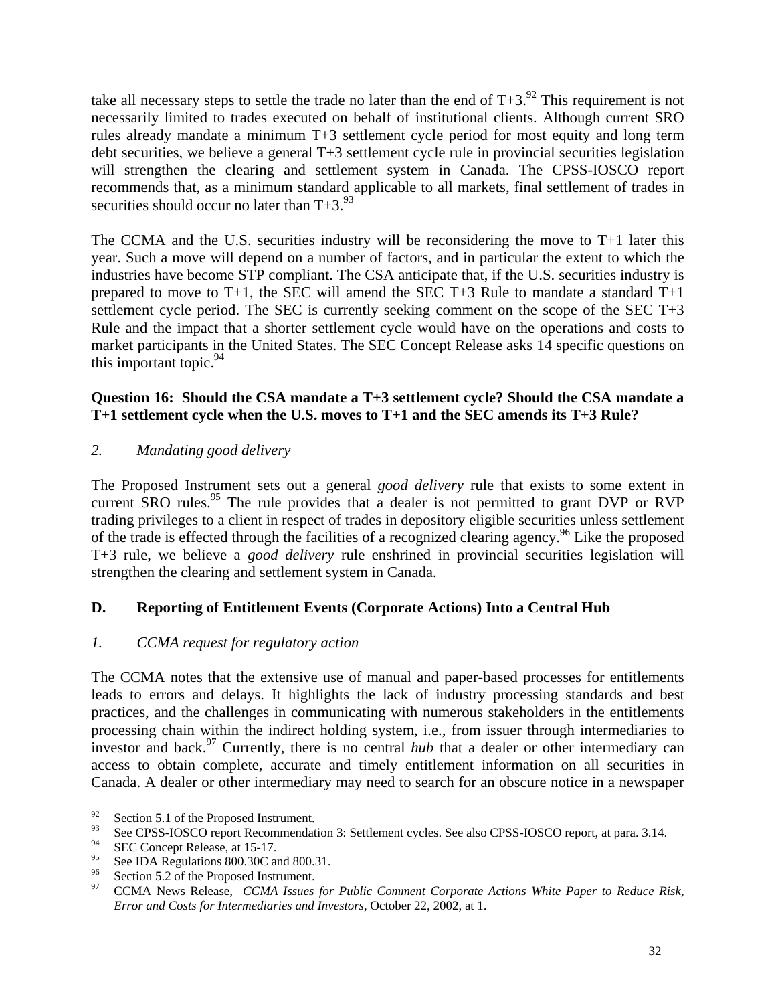take all necessary steps to settle the trade no later than the end of  $T+3$ .<sup>92</sup> This requirement is not necessarily limited to trades executed on behalf of institutional clients. Although current SRO rules already mandate a minimum T+3 settlement cycle period for most equity and long term debt securities, we believe a general T+3 settlement cycle rule in provincial securities legislation will strengthen the clearing and settlement system in Canada. The CPSS-IOSCO report recommends that, as a minimum standard applicable to all markets, final settlement of trades in securities should occur no later than  $T+3.^{93}$ 

The CCMA and the U.S. securities industry will be reconsidering the move to T+1 later this year. Such a move will depend on a number of factors, and in particular the extent to which the industries have become STP compliant. The CSA anticipate that, if the U.S. securities industry is prepared to move to T+1, the SEC will amend the SEC T+3 Rule to mandate a standard T+1 settlement cycle period. The SEC is currently seeking comment on the scope of the SEC T+3 Rule and the impact that a shorter settlement cycle would have on the operations and costs to market participants in the United States. The SEC Concept Release asks 14 specific questions on this important topic.  $94$ 

### **Question 16: Should the CSA mandate a T+3 settlement cycle? Should the CSA mandate a T+1 settlement cycle when the U.S. moves to T+1 and the SEC amends its T+3 Rule?**

*2. Mandating good delivery* 

The Proposed Instrument sets out a general *good delivery* rule that exists to some extent in current SRO rules.<sup>95</sup> The rule provides that a dealer is not permitted to grant DVP or RVP trading privileges to a client in respect of trades in depository eligible securities unless settlement of the trade is effected through the facilities of a recognized clearing agency.<sup>96</sup> Like the proposed T+3 rule, we believe a *good delivery* rule enshrined in provincial securities legislation will strengthen the clearing and settlement system in Canada.

# **D. Reporting of Entitlement Events (Corporate Actions) Into a Central Hub**

# *1. CCMA request for regulatory action*

The CCMA notes that the extensive use of manual and paper-based processes for entitlements leads to errors and delays. It highlights the lack of industry processing standards and best practices, and the challenges in communicating with numerous stakeholders in the entitlements processing chain within the indirect holding system, i.e., from issuer through intermediaries to investor and back.<sup>97</sup> Currently, there is no central *hub* that a dealer or other intermediary can access to obtain complete, accurate and timely entitlement information on all securities in Canada. A dealer or other intermediary may need to search for an obscure notice in a newspaper

<span id="page-31-1"></span><span id="page-31-0"></span>

<sup>&</sup>lt;sup>92</sup> Section 5.1 of the Proposed Instrument.<br><sup>93</sup> See CPSS-IOSCO report Recommendation 3: Settlement cycles. See also CPSS-IOSCO report, at para. 3.14.

<span id="page-31-2"></span> $^{94}$  SEC Concept Release, at 15-17.

<span id="page-31-3"></span>

<span id="page-31-5"></span><span id="page-31-4"></span>

<sup>&</sup>lt;sup>95</sup> See IDA Regulations 800.30C and 800.31.<br><sup>96</sup> Section 5.2 of the Proposed Instrument.<br><sup>97</sup> CCMA News Release, *CCMA Issues for Public Comment Corporate Actions White Paper to Reduce Risk, Error and Costs for Intermediaries and Investors*, October 22, 2002, at 1.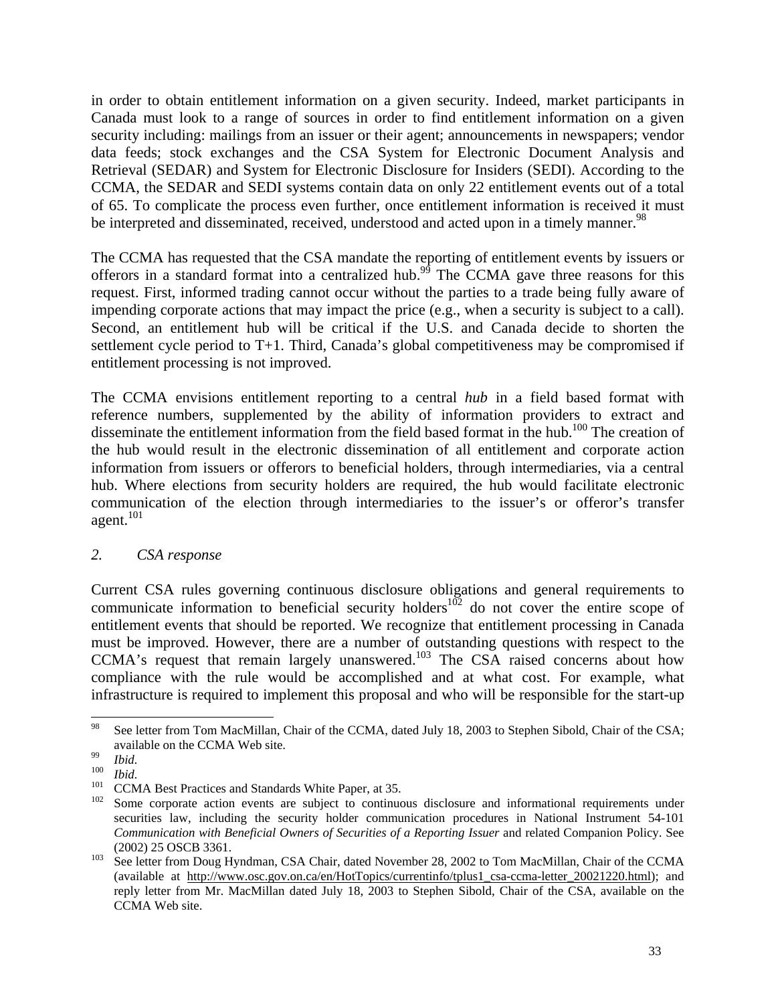in order to obtain entitlement information on a given security. Indeed, market participants in Canada must look to a range of sources in order to find entitlement information on a given security including: mailings from an issuer or their agent; announcements in newspapers; vendor data feeds; stock exchanges and the CSA System for Electronic Document Analysis and Retrieval (SEDAR) and System for Electronic Disclosure for Insiders (SEDI). According to the CCMA, the SEDAR and SEDI systems contain data on only 22 entitlement events out of a total of 65. To complicate the process even further, once entitlement information is received it must be interpreted and disseminated, received, understood and acted upon in a timely manner.<sup>98</sup>

The CCMA has requested that the CSA mandate the reporting of entitlement events by issuers or offerors in a standard format into a centralized hub.<sup>99</sup> The CCMA gave three reasons for this request. First, informed trading cannot occur without the parties to a trade being fully aware of impending corporate actions that may impact the price (e.g., when a security is subject to a call). Second, an entitlement hub will be critical if the U.S. and Canada decide to shorten the settlement cycle period to T+1. Third, Canada's global competitiveness may be compromised if entitlement processing is not improved.

The CCMA envisions entitlement reporting to a central *hub* in a field based format with reference numbers, supplemented by the ability of information providers to extract and disseminate the entitlement information from the field based format in the hub.<sup>100</sup> The creation of the hub would result in the electronic dissemination of all entitlement and corporate action information from issuers or offerors to beneficial holders, through intermediaries, via a central hub. Where elections from security holders are required, the hub would facilitate electronic communication of the election through intermediaries to the issuer's or offeror's transfer agent.<sup>101</sup>

### *2. CSA response*

Current CSA rules governing continuous disclosure obligations and general requirements to communicate information to beneficial security holders<sup>102</sup> do not cover the entire scope of entitlement events that should be reported. We recognize that entitlement processing in Canada must be improved. However, there are a number of outstanding questions with respect to the CCMA's request that remain largely unanswered.<sup>103</sup> The CSA raised concerns about how compliance with the rule would be accomplished and at what cost. For example, what infrastructure is required to implement this proposal and who will be responsible for the start-up

<span id="page-32-0"></span><sup>&</sup>lt;sup>98</sup> See letter from Tom MacMillan, Chair of the CCMA, dated July 18, 2003 to Stephen Sibold, Chair of the CSA; Equalible on the CCMA Web site.<br>
<sup>99</sup><br> *Ibid.*<br> *Ibid.*<br>
CCMA Best Practices and Standards White Paper, at 35.<br>
<sup>101</sup><br>
CCMA Best Practices and Standards White Paper, at 35.<br>
<sup>102</sup><br>
Some corporate action events are subject

<span id="page-32-1"></span>

<span id="page-32-2"></span>

<span id="page-32-3"></span>

<span id="page-32-4"></span>securities law, including the security holder communication procedures in National Instrument 54-101 *Communication with Beneficial Owners of Securities of a Reporting Issuer* and related Companion Policy. See

<span id="page-32-5"></span><sup>(2002)</sup> 25 OSCB 3361. 103 See letter from Doug Hyndman, CSA Chair, dated November 28, 2002 to Tom MacMillan, Chair of the CCMA (available at http://www.osc.gov.on.ca/en/HotTopics/currentinfo/tplus1\_csa-ccma-letter\_20021220.html); and reply letter from Mr. MacMillan dated July 18, 2003 to Stephen Sibold, Chair of the CSA, available on the CCMA Web site.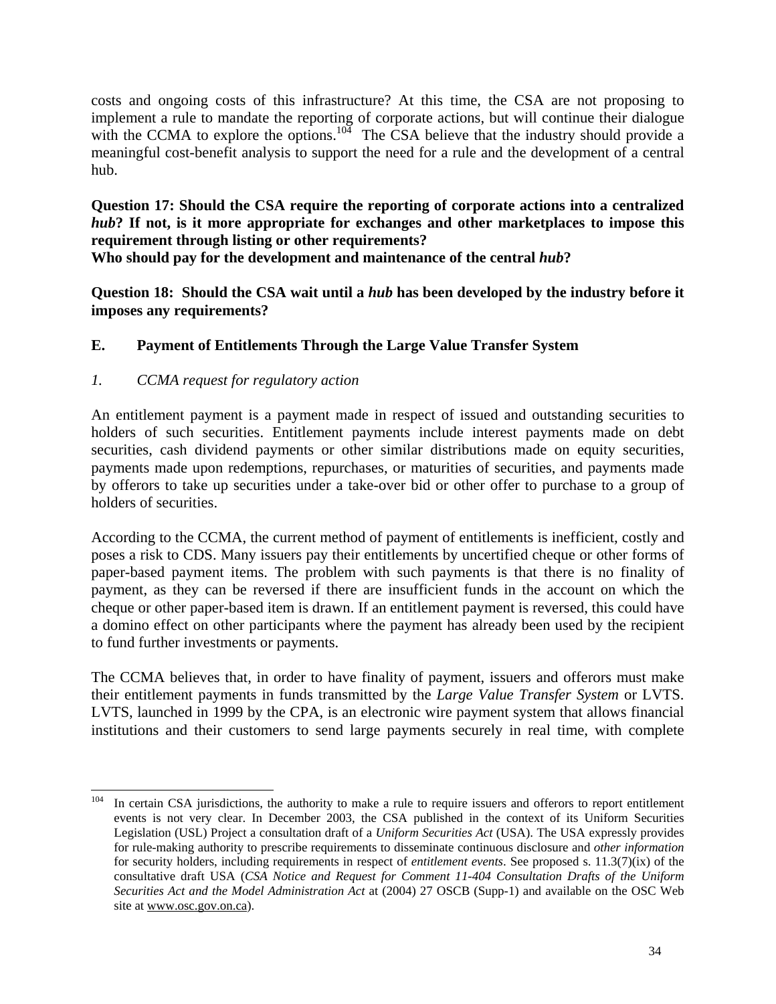costs and ongoing costs of this infrastructure? At this time, the CSA are not proposing to implement a rule to mandate the reporting of corporate actions, but will continue their dialogue with the CCMA to explore the options.<sup>104</sup> The CSA believe that the industry should provide a meaningful cost-benefit analysis to support the need for a rule and the development of a central hub.

**Question 17: Should the CSA require the reporting of corporate actions into a centralized** *hub***? If not, is it more appropriate for exchanges and other marketplaces to impose this requirement through listing or other requirements?** 

**Who should pay for the development and maintenance of the central** *hub***?**

**Question 18: Should the CSA wait until a** *hub* **has been developed by the industry before it imposes any requirements?** 

# **E. Payment of Entitlements Through the Large Value Transfer System**

# *1. CCMA request for regulatory action*

An entitlement payment is a payment made in respect of issued and outstanding securities to holders of such securities. Entitlement payments include interest payments made on debt securities, cash dividend payments or other similar distributions made on equity securities, payments made upon redemptions, repurchases, or maturities of securities, and payments made by offerors to take up securities under a take-over bid or other offer to purchase to a group of holders of securities.

According to the CCMA, the current method of payment of entitlements is inefficient, costly and poses a risk to CDS. Many issuers pay their entitlements by uncertified cheque or other forms of paper-based payment items. The problem with such payments is that there is no finality of payment, as they can be reversed if there are insufficient funds in the account on which the cheque or other paper-based item is drawn. If an entitlement payment is reversed, this could have a domino effect on other participants where the payment has already been used by the recipient to fund further investments or payments.

The CCMA believes that, in order to have finality of payment, issuers and offerors must make their entitlement payments in funds transmitted by the *Large Value Transfer System* or LVTS. LVTS, launched in 1999 by the CPA, is an electronic wire payment system that allows financial institutions and their customers to send large payments securely in real time, with complete

<span id="page-33-0"></span> $104$  In certain CSA jurisdictions, the authority to make a rule to require issuers and offerors to report entitlement events is not very clear. In December 2003, the CSA published in the context of its Uniform Securities Legislation (USL) Project a consultation draft of a *Uniform Securities Act* (USA). The USA expressly provides for rule-making authority to prescribe requirements to disseminate continuous disclosure and *other information* for security holders, including requirements in respect of *entitlement events*. See proposed s. 11.3(7)(ix) of the consultative draft USA (*CSA Notice and Request for Comment 11-404 Consultation Drafts of the Uniform Securities Act and the Model Administration Act* at (2004) 27 OSCB (Supp-1) and available on the OSC Web site at www.osc.gov.on.ca).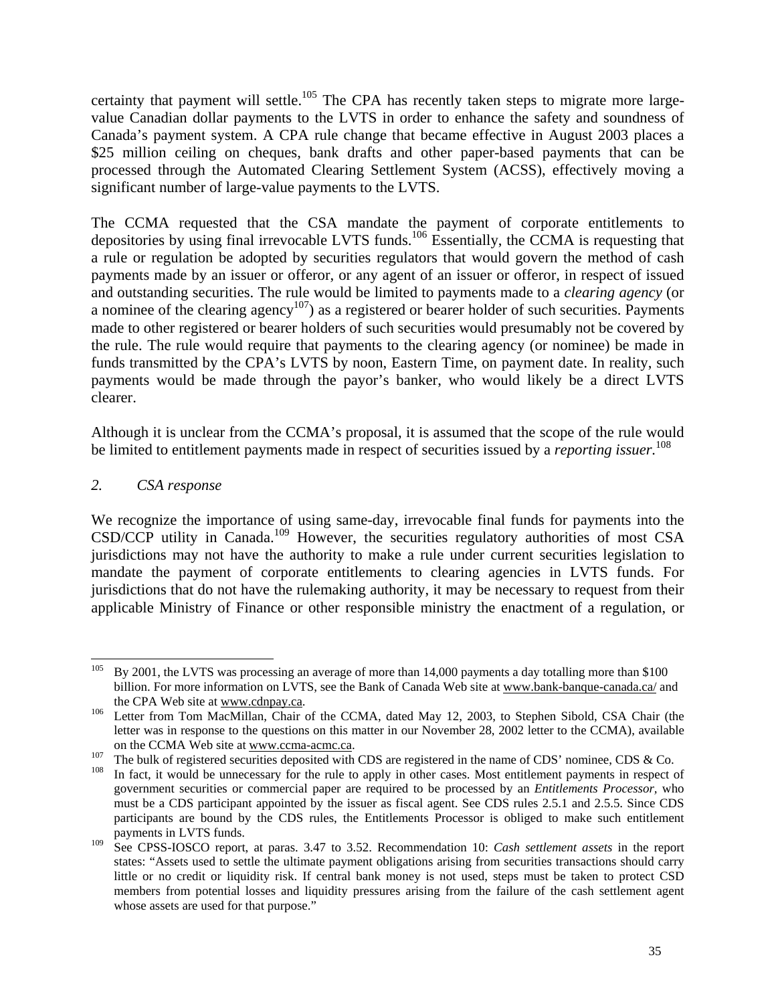certainty that payment will settle.<sup>105</sup> The CPA has recently taken steps to migrate more largevalue Canadian dollar payments to the LVTS in order to enhance the safety and soundness of Canada's payment system. A CPA rule change that became effective in August 2003 places a \$25 million ceiling on cheques, bank drafts and other paper-based payments that can be processed through the Automated Clearing Settlement System (ACSS), effectively moving a significant number of large-value payments to the LVTS.

The CCMA requested that the CSA mandate the payment of corporate entitlements to depositories by using final irrevocable LVTS funds[.106](#page-34-1) Essentially, the CCMA is requesting that a rule or regulation be adopted by securities regulators that would govern the method of cash payments made by an issuer or offeror, or any agent of an issuer or offeror, in respect of issued and outstanding securities. The rule would be limited to payments made to a *clearing agency* (or a nominee of the clearing agency<sup>107</sup>) as a registered or bearer holder of such securities. Payments made to other registered or bearer holders of such securities would presumably not be covered by the rule. The rule would require that payments to the clearing agency (or nominee) be made in funds transmitted by the CPA's LVTS by noon, Eastern Time, on payment date. In reality, such payments would be made through the payor's banker, who would likely be a direct LVTS clearer.

Although it is unclear from the CCMA's proposal, it is assumed that the scope of the rule would be limited to entitlement payments made in respect of securities issued by a *reporting issuer.*[108](#page-34-3)

### *2. CSA response*

We recognize the importance of using same-day, irrevocable final funds for payments into the CSD/CCP utility in Canada.<sup>109</sup> However, the securities regulatory authorities of most CSA jurisdictions may not have the authority to make a rule under current securities legislation to mandate the payment of corporate entitlements to clearing agencies in LVTS funds. For jurisdictions that do not have the rulemaking authority, it may be necessary to request from their applicable Ministry of Finance or other responsible ministry the enactment of a regulation, or

<span id="page-34-3"></span><span id="page-34-2"></span>

<span id="page-34-0"></span><sup>&</sup>lt;sup>105</sup> By 2001, the LVTS was processing an average of more than 14,000 payments a day totalling more than \$100 billion. For more information on LVTS, see the Bank of Canada Web site at www.bank-banque-canada.ca/ and the CPA Web site at www.cdnpay.ca.<br><sup>106</sup> Letter from Tom MacMillan, Chair of the CCMA, dated May 12, 2003, to Stephen Sibold, CSA Chair (the

<span id="page-34-1"></span>letter was in response to the questions on this matter in our November 28, 2002 letter to the CCMA), available

on the CCMA Web site at www.ccma-acmc.ca.<br>
<sup>107</sup> The bulk of registered securities deposited with CDS are registered in the name of CDS' nominee, CDS & Co.<br>
<sup>108</sup> In fact, it would be unnecessary for the rule to apply in government securities or commercial paper are required to be processed by an *Entitlements Processor,* who must be a CDS participant appointed by the issuer as fiscal agent. See CDS rules 2.5.1 and 2.5.5. Since CDS participants are bound by the CDS rules, the Entitlements Processor is obliged to make such entitlement payments in LVTS funds.

<span id="page-34-4"></span><sup>109</sup> See CPSS-IOSCO report, at paras. 3.47 to 3.52. Recommendation 10: *Cash settlement assets* in the report states: "Assets used to settle the ultimate payment obligations arising from securities transactions should carry little or no credit or liquidity risk. If central bank money is not used, steps must be taken to protect CSD members from potential losses and liquidity pressures arising from the failure of the cash settlement agent whose assets are used for that purpose."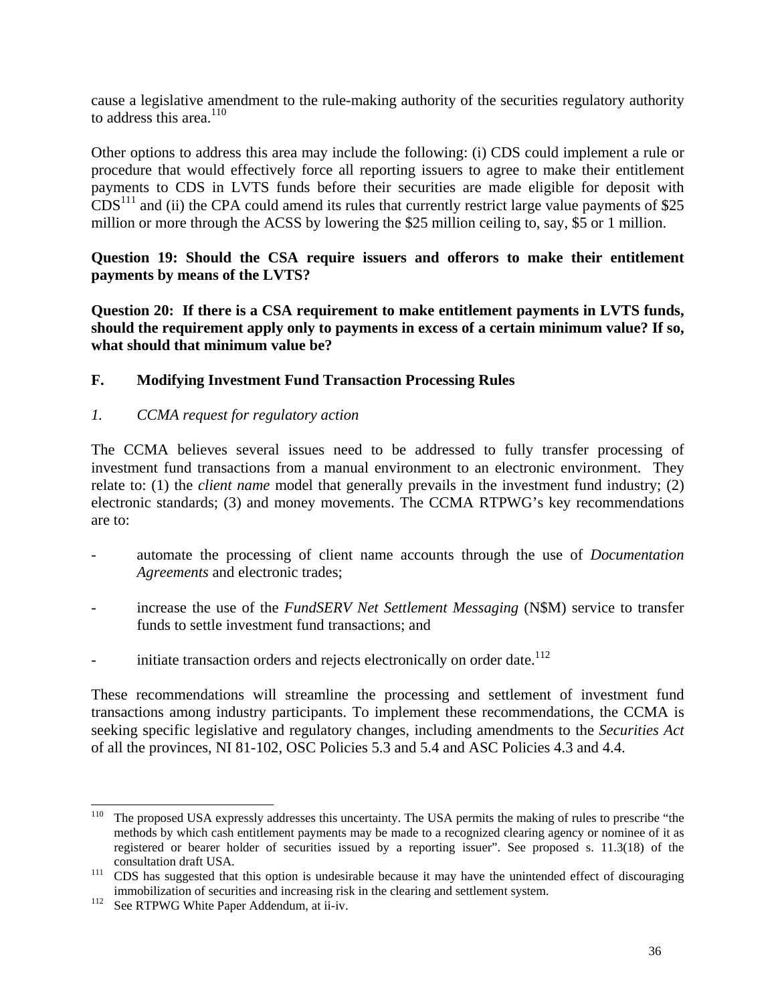cause a legislative amendment to the rule-making authority of the securities regulatory authority to address this area. [110](#page-35-0) 

Other options to address this area may include the following: (i) CDS could implement a rule or procedure that would effectively force all reporting issuers to agree to make their entitlement payments to CDS in LVTS funds before their securities are made eligible for deposit with  $CDS<sup>111</sup>$  and (ii) the CPA could amend its rules that currently restrict large value payments of \$25 million or more through the ACSS by lowering the \$25 million ceiling to, say, \$5 or 1 million.

**Question 19: Should the CSA require issuers and offerors to make their entitlement payments by means of the LVTS?** 

**Question 20: If there is a CSA requirement to make entitlement payments in LVTS funds, should the requirement apply only to payments in excess of a certain minimum value? If so, what should that minimum value be?** 

### **F. Modifying Investment Fund Transaction Processing Rules**

### *1. CCMA request for regulatory action*

The CCMA believes several issues need to be addressed to fully transfer processing of investment fund transactions from a manual environment to an electronic environment. They relate to: (1) the *client name* model that generally prevails in the investment fund industry; (2) electronic standards; (3) and money movements. The CCMA RTPWG's key recommendations are to:

- automate the processing of client name accounts through the use of *Documentation Agreements* and electronic trades;
- increase the use of the *FundSERV Net Settlement Messaging* (N\$M) service to transfer funds to settle investment fund transactions; and
- initiate transaction orders and rejects electronically on order date.<sup>112</sup>

These recommendations will streamline the processing and settlement of investment fund transactions among industry participants. To implement these recommendations, the CCMA is seeking specific legislative and regulatory changes, including amendments to the *Securities Act* of all the provinces, NI 81-102, OSC Policies 5.3 and 5.4 and ASC Policies 4.3 and 4.4.

<span id="page-35-0"></span><sup>&</sup>lt;sup>110</sup> The proposed USA expressly addresses this uncertainty. The USA permits the making of rules to prescribe "the methods by which cash entitlement payments may be made to a recognized clearing agency or nominee of it as registered or bearer holder of securities issued by a reporting issuer". See proposed s. 11.3(18) of the

<span id="page-35-1"></span>consultation draft USA. 111 CDS has suggested that this option is undesirable because it may have the unintended effect of discouraging immobilization of securities and increasing risk in the clearing and settlement system.<br><sup>112</sup> See RTPWG White Paper Addendum, at ii-iv.

<span id="page-35-2"></span>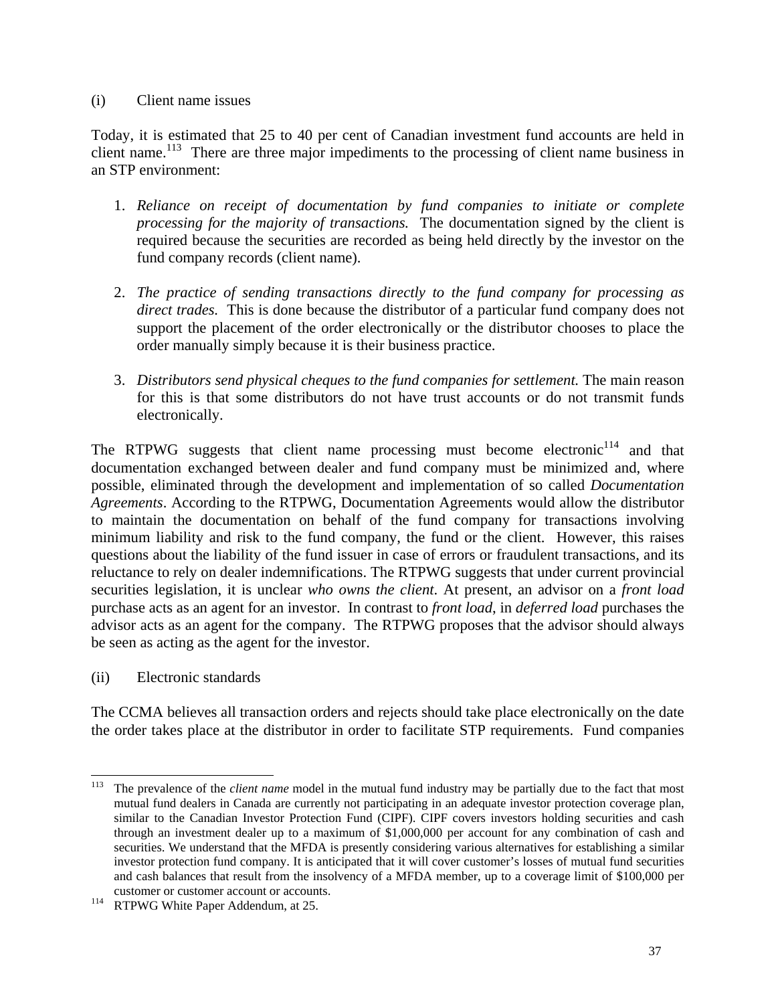#### (i) Client name issues

Today, it is estimated that 25 to 40 per cent of Canadian investment fund accounts are held in client name.<sup>113</sup> There are three major impediments to the processing of client name business in an STP environment:

- 1. *Reliance on receipt of documentation by fund companies to initiate or complete processing for the majority of transactions.* The documentation signed by the client is required because the securities are recorded as being held directly by the investor on the fund company records (client name).
- 2. *The practice of sending transactions directly to the fund company for processing as direct trades.* This is done because the distributor of a particular fund company does not support the placement of the order electronically or the distributor chooses to place the order manually simply because it is their business practice.
- 3. *Distributors send physical cheques to the fund companies for settlement.* The main reason for this is that some distributors do not have trust accounts or do not transmit funds electronically.

The RTPWG suggests that client name processing must become electronic<sup>114</sup> and that documentation exchanged between dealer and fund company must be minimized and, where possible, eliminated through the development and implementation of so called *Documentation Agreements*. According to the RTPWG, Documentation Agreements would allow the distributor to maintain the documentation on behalf of the fund company for transactions involving minimum liability and risk to the fund company, the fund or the client. However, this raises questions about the liability of the fund issuer in case of errors or fraudulent transactions, and its reluctance to rely on dealer indemnifications. The RTPWG suggests that under current provincial securities legislation, it is unclear *who owns the client*. At present, an advisor on a *front load* purchase acts as an agent for an investor. In contrast to *front load*, in *deferred load* purchases the advisor acts as an agent for the company. The RTPWG proposes that the advisor should always be seen as acting as the agent for the investor.

(ii) Electronic standards

The CCMA believes all transaction orders and rejects should take place electronically on the date the order takes place at the distributor in order to facilitate STP requirements. Fund companies

<span id="page-36-0"></span><sup>&</sup>lt;sup>113</sup> The prevalence of the *client name* model in the mutual fund industry may be partially due to the fact that most mutual fund dealers in Canada are currently not participating in an adequate investor protection coverage plan, similar to the Canadian Investor Protection Fund (CIPF). CIPF covers investors holding securities and cash through an investment dealer up to a maximum of \$1,000,000 per account for any combination of cash and securities. We understand that the MFDA is presently considering various alternatives for establishing a similar investor protection fund company. It is anticipated that it will cover customer's losses of mutual fund securities and cash balances that result from the insolvency of a MFDA member, up to a coverage limit of \$100,000 per

<span id="page-36-1"></span>customer or customer account or accounts.<br>
<sup>114</sup> RTPWG White Paper Addendum, at 25.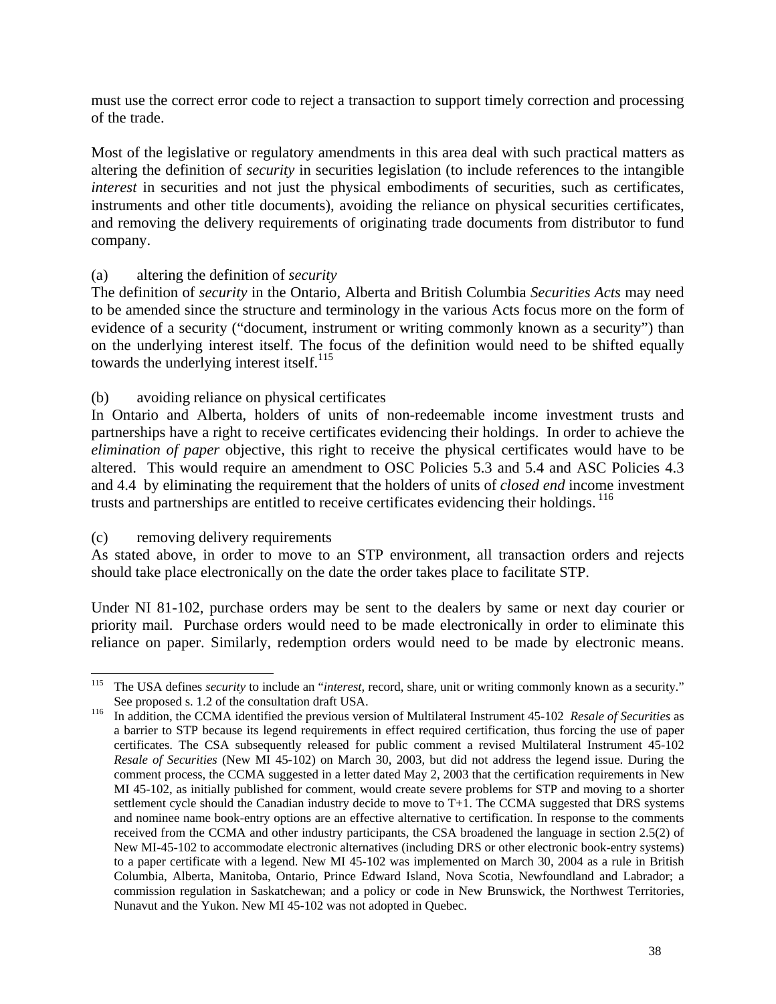must use the correct error code to reject a transaction to support timely correction and processing of the trade.

Most of the legislative or regulatory amendments in this area deal with such practical matters as altering the definition of *security* in securities legislation (to include references to the intangible *interest* in securities and not just the physical embodiments of securities, such as certificates, instruments and other title documents), avoiding the reliance on physical securities certificates, and removing the delivery requirements of originating trade documents from distributor to fund company.

### (a) altering the definition of *security*

The definition of *security* in the Ontario, Alberta and British Columbia *Securities Acts* may need to be amended since the structure and terminology in the various Acts focus more on the form of evidence of a security ("document, instrument or writing commonly known as a security") than on the underlying interest itself. The focus of the definition would need to be shifted equally towards the underlying interest itself. $^{115}$ 

### (b) avoiding reliance on physical certificates

In Ontario and Alberta, holders of units of non-redeemable income investment trusts and partnerships have a right to receive certificates evidencing their holdings. In order to achieve the *elimination of paper* objective, this right to receive the physical certificates would have to be altered. This would require an amendment to OSC Policies 5.3 and 5.4 and ASC Policies 4.3 and 4.4 by eliminating the requirement that the holders of units of *closed end* income investment trusts and partnerships are entitled to receive certificates evidencing their holdings. <sup>116</sup>

#### (c) removing delivery requirements

As stated above, in order to move to an STP environment, all transaction orders and rejects should take place electronically on the date the order takes place to facilitate STP.

Under NI 81-102, purchase orders may be sent to the dealers by same or next day courier or priority mail. Purchase orders would need to be made electronically in order to eliminate this reliance on paper. Similarly, redemption orders would need to be made by electronic means.

<span id="page-37-0"></span> <sup>115</sup> The USA defines *security* to include an "*interest,* record, share, unit or writing commonly known as a security." See proposed s. 1.2 of the consultation draft USA. <sup>116</sup> In addition, the CCMA identified the previous version of Multilateral Instrument 45-102 *Resale of Securities* as

<span id="page-37-1"></span>a barrier to STP because its legend requirements in effect required certification, thus forcing the use of paper certificates. The CSA subsequently released for public comment a revised Multilateral Instrument 45-102 *Resale of Securities* (New MI 45-102) on March 30, 2003, but did not address the legend issue. During the comment process, the CCMA suggested in a letter dated May 2, 2003 that the certification requirements in New MI 45-102, as initially published for comment, would create severe problems for STP and moving to a shorter settlement cycle should the Canadian industry decide to move to T+1. The CCMA suggested that DRS systems and nominee name book-entry options are an effective alternative to certification. In response to the comments received from the CCMA and other industry participants, the CSA broadened the language in section 2.5(2) of New MI-45-102 to accommodate electronic alternatives (including DRS or other electronic book-entry systems) to a paper certificate with a legend. New MI 45-102 was implemented on March 30, 2004 as a rule in British Columbia, Alberta, Manitoba, Ontario, Prince Edward Island, Nova Scotia, Newfoundland and Labrador; a commission regulation in Saskatchewan; and a policy or code in New Brunswick, the Northwest Territories, Nunavut and the Yukon. New MI 45-102 was not adopted in Quebec.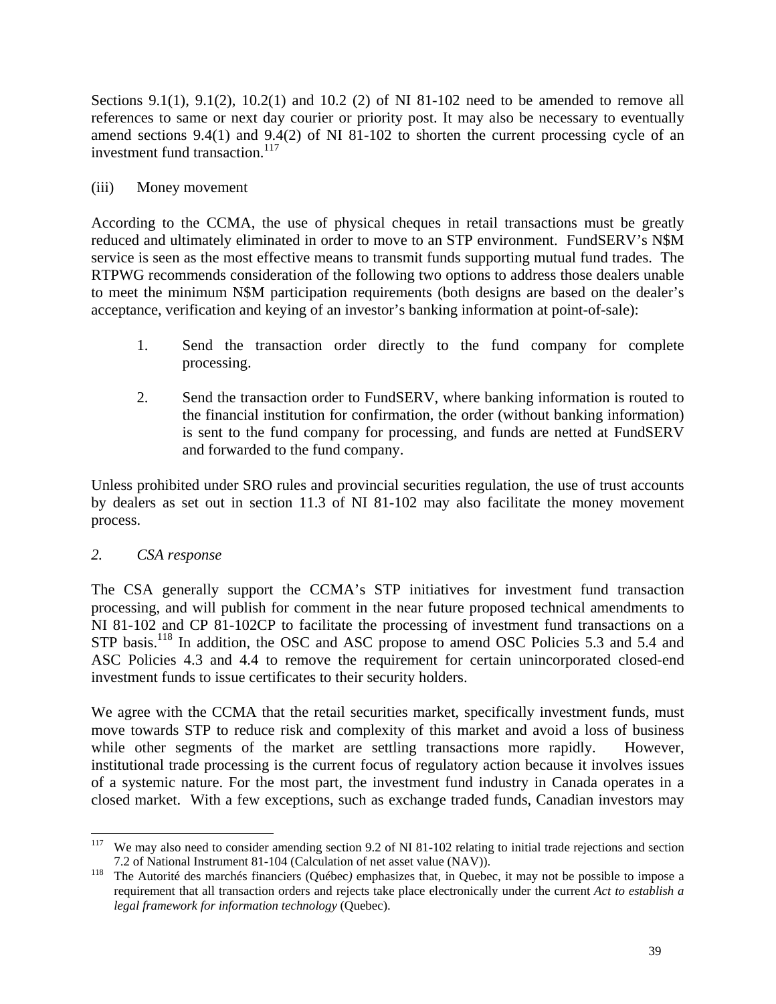Sections 9.1(1), 9.1(2), 10.2(1) and 10.2 (2) of NI 81-102 need to be amended to remove all references to same or next day courier or priority post. It may also be necessary to eventually amend sections 9.4(1) and 9.4(2) of NI 81-102 to shorten the current processing cycle of an investment fund transaction.<sup>117</sup>

### (iii) Money movement

According to the CCMA, the use of physical cheques in retail transactions must be greatly reduced and ultimately eliminated in order to move to an STP environment. FundSERV's N\$M service is seen as the most effective means to transmit funds supporting mutual fund trades. The RTPWG recommends consideration of the following two options to address those dealers unable to meet the minimum N\$M participation requirements (both designs are based on the dealer's acceptance, verification and keying of an investor's banking information at point-of-sale):

- 1. Send the transaction order directly to the fund company for complete processing.
- 2. Send the transaction order to FundSERV, where banking information is routed to the financial institution for confirmation, the order (without banking information) is sent to the fund company for processing, and funds are netted at FundSERV and forwarded to the fund company.

Unless prohibited under SRO rules and provincial securities regulation, the use of trust accounts by dealers as set out in section 11.3 of NI 81-102 may also facilitate the money movement process.

### *2. CSA response*

The CSA generally support the CCMA's STP initiatives for investment fund transaction processing, and will publish for comment in the near future proposed technical amendments to NI 81-102 and CP 81-102CP to facilitate the processing of investment fund transactions on a STP basis.<sup>118</sup> In addition, the OSC and ASC propose to amend OSC Policies 5.3 and 5.4 and ASC Policies 4.3 and 4.4 to remove the requirement for certain unincorporated closed-end investment funds to issue certificates to their security holders.

We agree with the CCMA that the retail securities market, specifically investment funds, must move towards STP to reduce risk and complexity of this market and avoid a loss of business while other segments of the market are settling transactions more rapidly. However, institutional trade processing is the current focus of regulatory action because it involves issues of a systemic nature. For the most part, the investment fund industry in Canada operates in a closed market. With a few exceptions, such as exchange traded funds, Canadian investors may

<span id="page-38-0"></span><sup>&</sup>lt;sup>117</sup> We may also need to consider amending section 9.2 of NI 81-102 relating to initial trade rejections and section 7.2 of National Instrument 81-104 (Calculation of net asset value (NAV)). <sup>118</sup> The Autorité des marchés financiers (Québec*)* emphasizes that, in Quebec, it may not be possible to impose a

<span id="page-38-1"></span>requirement that all transaction orders and rejects take place electronically under the current *Act to establish a legal framework for information technology* (Quebec).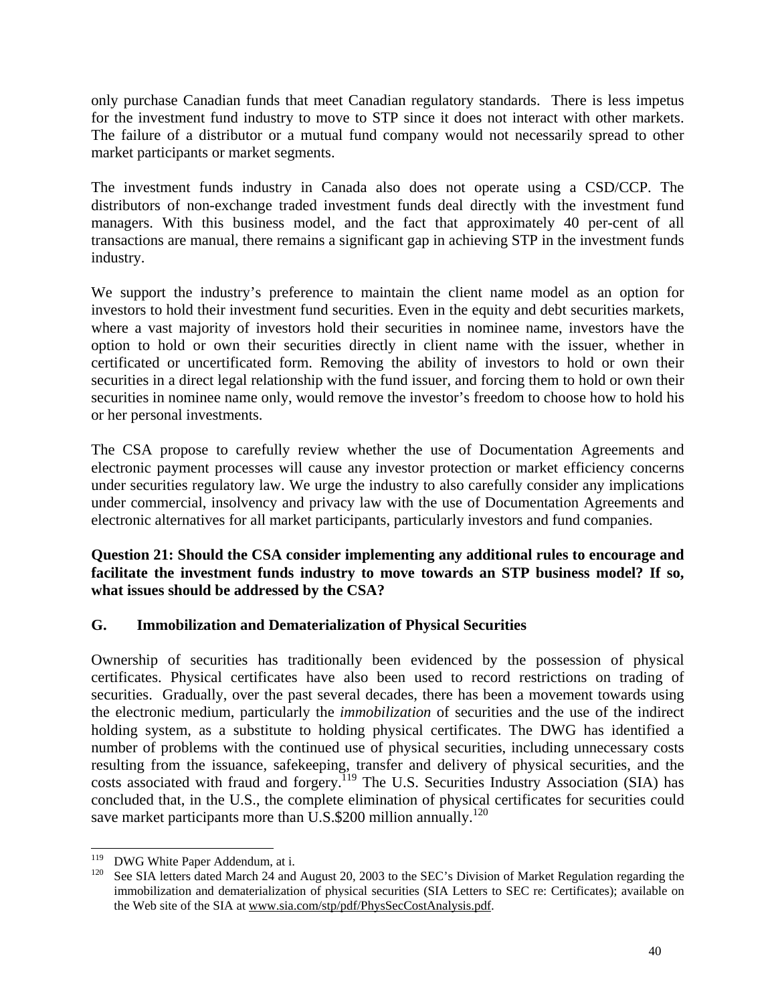only purchase Canadian funds that meet Canadian regulatory standards. There is less impetus for the investment fund industry to move to STP since it does not interact with other markets. The failure of a distributor or a mutual fund company would not necessarily spread to other market participants or market segments.

The investment funds industry in Canada also does not operate using a CSD/CCP. The distributors of non-exchange traded investment funds deal directly with the investment fund managers. With this business model, and the fact that approximately 40 per-cent of all transactions are manual, there remains a significant gap in achieving STP in the investment funds industry.

We support the industry's preference to maintain the client name model as an option for investors to hold their investment fund securities. Even in the equity and debt securities markets, where a vast majority of investors hold their securities in nominee name, investors have the option to hold or own their securities directly in client name with the issuer, whether in certificated or uncertificated form. Removing the ability of investors to hold or own their securities in a direct legal relationship with the fund issuer, and forcing them to hold or own their securities in nominee name only, would remove the investor's freedom to choose how to hold his or her personal investments.

The CSA propose to carefully review whether the use of Documentation Agreements and electronic payment processes will cause any investor protection or market efficiency concerns under securities regulatory law. We urge the industry to also carefully consider any implications under commercial, insolvency and privacy law with the use of Documentation Agreements and electronic alternatives for all market participants, particularly investors and fund companies.

**Question 21: Should the CSA consider implementing any additional rules to encourage and facilitate the investment funds industry to move towards an STP business model? If so, what issues should be addressed by the CSA?** 

### **G. Immobilization and Dematerialization of Physical Securities**

Ownership of securities has traditionally been evidenced by the possession of physical certificates. Physical certificates have also been used to record restrictions on trading of securities. Gradually, over the past several decades, there has been a movement towards using the electronic medium, particularly the *immobilization* of securities and the use of the indirect holding system, as a substitute to holding physical certificates. The DWG has identified a number of problems with the continued use of physical securities, including unnecessary costs resulting from the issuance, safekeeping, transfer and delivery of physical securities, and the costs associated with fraud and forgery.<sup>119</sup> The U.S. Securities Industry Association (SIA) has concluded that, in the U.S., the complete elimination of physical certificates for securities could save market participants more than U.S.\$200 million annually.<sup>120</sup>

<span id="page-39-1"></span><span id="page-39-0"></span>

<sup>&</sup>lt;sup>119</sup> DWG White Paper Addendum, at i.<br><sup>120</sup> See SIA letters dated March 24 and August 20, 2003 to the SEC's Division of Market Regulation regarding the immobilization and dematerialization of physical securities (SIA Letters to SEC re: Certificates); available on the Web site of the SIA at www.sia.com/stp/pdf/PhysSecCostAnalysis.pdf.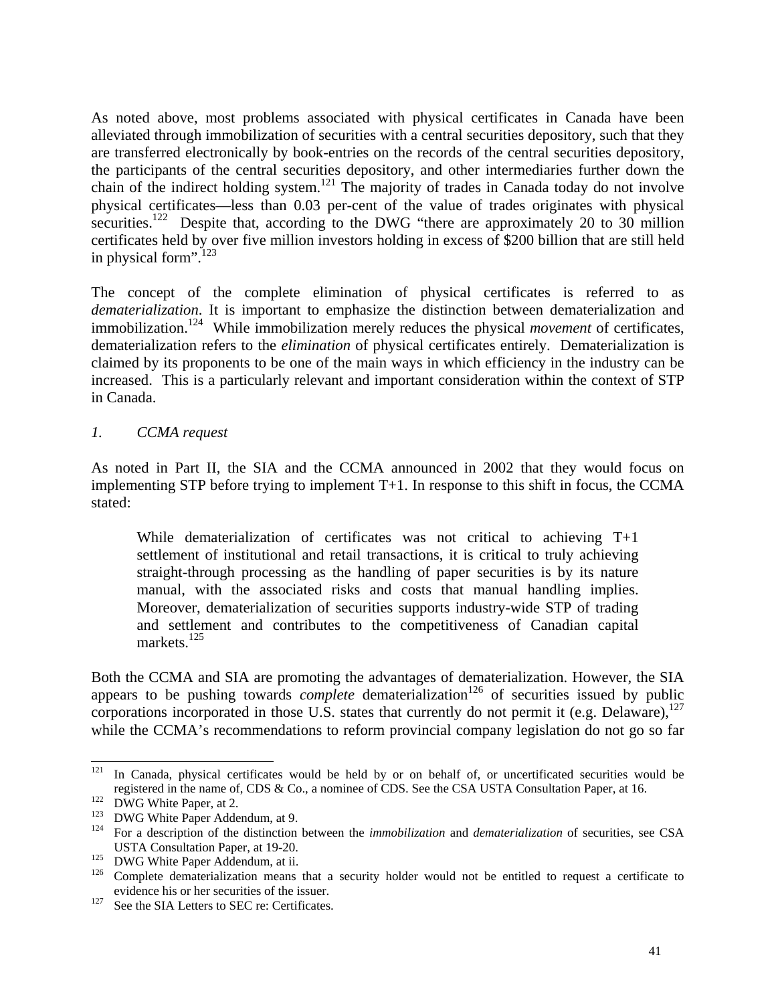As noted above, most problems associated with physical certificates in Canada have been alleviated through immobilization of securities with a central securities depository, such that they are transferred electronically by book-entries on the records of the central securities depository, the participants of the central securities depository, and other intermediaries further down the chain of the indirect holding system.<sup>121</sup> The majority of trades in Canada today do not involve physical certificates—less than 0.03 per-cent of the value of trades originates with physical securities.<sup>122</sup> Despite that, according to the DWG "there are approximately 20 to 30 million" certificates held by over five million investors holding in excess of \$200 billion that are still held in physical form". $123$ 

The concept of the complete elimination of physical certificates is referred to as *dematerialization*. It is important to emphasize the distinction between dematerialization and immobilization.<sup>124</sup> While immobilization merely reduces the physical *movement* of certificates, dematerialization refers to the *elimination* of physical certificates entirely. Dematerialization is claimed by its proponents to be one of the main ways in which efficiency in the industry can be increased. This is a particularly relevant and important consideration within the context of STP in Canada.

### *1. CCMA request*

As noted in Part II, the SIA and the CCMA announced in 2002 that they would focus on implementing STP before trying to implement T+1. In response to this shift in focus, the CCMA stated:

While dematerialization of certificates was not critical to achieving  $T+1$ settlement of institutional and retail transactions, it is critical to truly achieving straight-through processing as the handling of paper securities is by its nature manual, with the associated risks and costs that manual handling implies. Moreover, dematerialization of securities supports industry-wide STP of trading and settlement and contributes to the competitiveness of Canadian capital markets. [125](#page-40-4) 

Both the CCMA and SIA are promoting the advantages of dematerialization. However, the SIA appears to be pushing towards *complete* dematerialization<sup>126</sup> of securities issued by public corporations incorporated in those U.S. states that currently do not permit it (e.g. Delaware), $127$ while the CCMA's recommendations to reform provincial company legislation do not go so far

<span id="page-40-0"></span><sup>&</sup>lt;sup>121</sup> In Canada, physical certificates would be held by or on behalf of, or uncertificated securities would be registered in the name of, CDS & Co., a nominee of CDS. See the CSA USTA Consultation Paper, at 16.<br>
<sup>122</sup> DWG White Paper, at 2.<br>
<sup>123</sup> DWG White Paper Addendum, at 9.<br>
<sup>124</sup> For a description of the distinction between t

<span id="page-40-1"></span>

<span id="page-40-2"></span>

<span id="page-40-3"></span>

<span id="page-40-5"></span><span id="page-40-4"></span>

USTA Consultation Paper, at 19-20.<br><sup>125</sup> DWG White Paper Addendum, at ii.<br><sup>126</sup> Complete dematerialization means that a security holder would not be entitled to request a certificate to

<span id="page-40-6"></span>evidence his or her securities of the issuer.<br><sup>127</sup> See the SIA Letters to SEC re: Certificates.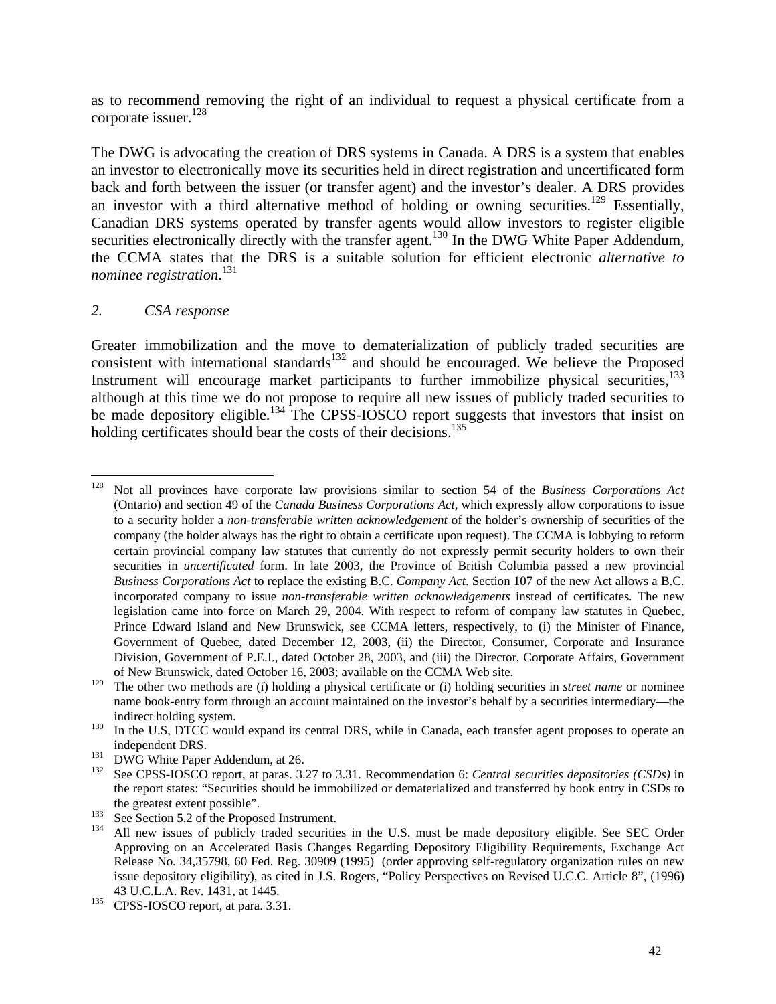as to recommend removing the right of an individual to request a physical certificate from a corporate issuer. $^{128}$ 

The DWG is advocating the creation of DRS systems in Canada. A DRS is a system that enables an investor to electronically move its securities held in direct registration and uncertificated form back and forth between the issuer (or transfer agent) and the investor's dealer. A DRS provides an investor with a third alternative method of holding or owning securities.<sup>129</sup> Essentially, Canadian DRS systems operated by transfer agents would allow investors to register eligible securities electronically directly with the transfer agent.<sup>130</sup> In the DWG White Paper Addendum, the CCMA states that the DRS is a suitable solution for efficient electronic *alternative to nominee registration*. [131](#page-41-3)

### *2. CSA response*

Greater immobilization and the move to dematerialization of publicly traded securities are consistent with international standards $132$  and should be encouraged. We believe the Proposed Instrument will encourage market participants to further immobilize physical securities, $133$ although at this time we do not propose to require all new issues of publicly traded securities to be made depository eligible.<sup>134</sup> The CPSS-IOSCO report suggests that investors that insist on holding certificates should bear the costs of their decisions.<sup>135</sup>

<span id="page-41-0"></span> <sup>128</sup> Not all provinces have corporate law provisions similar to section 54 of the *Business Corporations Act* (Ontario) and section 49 of the *Canada Business Corporations Act,* which expressly allow corporations to issue to a security holder a *non-transferable written acknowledgement* of the holder's ownership of securities of the company (the holder always has the right to obtain a certificate upon request). The CCMA is lobbying to reform certain provincial company law statutes that currently do not expressly permit security holders to own their securities in *uncertificated* form. In late 2003, the Province of British Columbia passed a new provincial *Business Corporations Act* to replace the existing B.C. *Company Act*. Section 107 of the new Act allows a B.C. incorporated company to issue *non-transferable written acknowledgements* instead of certificates*.* The new legislation came into force on March 29, 2004. With respect to reform of company law statutes in Quebec, Prince Edward Island and New Brunswick, see CCMA letters, respectively, to (i) the Minister of Finance, Government of Quebec, dated December 12, 2003, (ii) the Director, Consumer, Corporate and Insurance Division, Government of P.E.I., dated October 28, 2003, and (iii) the Director, Corporate Affairs, Government

<span id="page-41-1"></span>of New Brunswick, dated October 16, 2003; available on the CCMA Web site. 129 The other two methods are (i) holding a physical certificate or (i) holding securities in *street name* or nominee name book-entry form through an account maintained on the investor's behalf by a securities intermediary—the indirect holding system.<br><sup>130</sup> In the U.S, DTCC would expand its central DRS, while in Canada, each transfer agent proposes to operate an

<span id="page-41-2"></span>

<span id="page-41-4"></span><span id="page-41-3"></span>

independent DRS.<br><sup>131</sup> DWG White Paper Addendum, at 26.<br><sup>132</sup> See CPSS-IOSCO report, at paras. 3.27 to 3.31. Recommendation 6: *Central securities depositories (CSDs)* in the report states: "Securities should be immobilized or dematerialized and transferred by book entry in CSDs to

<span id="page-41-6"></span><span id="page-41-5"></span>

the greatest extent possible".<br>
<sup>133</sup> See Section 5.2 of the Proposed Instrument.<br>
<sup>134</sup> All new issues of publicly traded securities in the U.S. must be made depository eligible. See SEC Order Approving on an Accelerated Basis Changes Regarding Depository Eligibility Requirements, Exchange Act Release No. 34,35798, 60 Fed. Reg. 30909 (1995) (order approving self-regulatory organization rules on new issue depository eligibility), as cited in J.S. Rogers, "Policy Perspectives on Revised U.C.C. Article 8", (1996)

<span id="page-41-7"></span><sup>43</sup> U.C.L.A. Rev. 1431, at 1445.<br><sup>135</sup> CPSS-IOSCO report, at para. 3.31.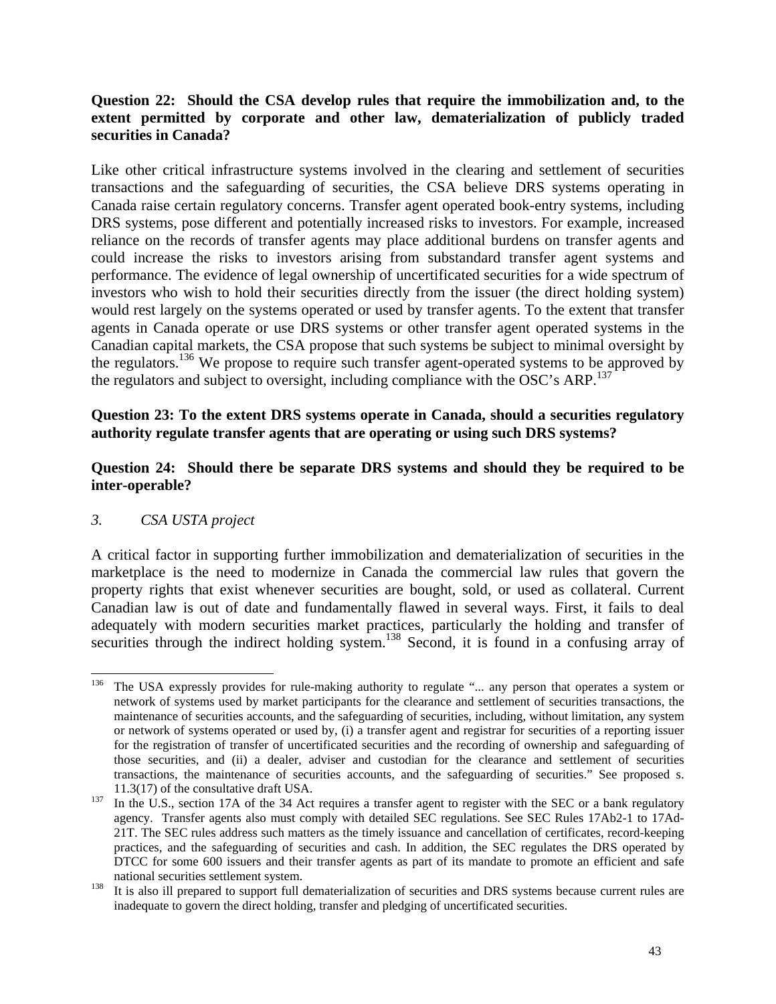### **Question 22: Should the CSA develop rules that require the immobilization and, to the extent permitted by corporate and other law, dematerialization of publicly traded securities in Canada?**

Like other critical infrastructure systems involved in the clearing and settlement of securities transactions and the safeguarding of securities, the CSA believe DRS systems operating in Canada raise certain regulatory concerns. Transfer agent operated book-entry systems, including DRS systems, pose different and potentially increased risks to investors. For example, increased reliance on the records of transfer agents may place additional burdens on transfer agents and could increase the risks to investors arising from substandard transfer agent systems and performance. The evidence of legal ownership of uncertificated securities for a wide spectrum of investors who wish to hold their securities directly from the issuer (the direct holding system) would rest largely on the systems operated or used by transfer agents. To the extent that transfer agents in Canada operate or use DRS systems or other transfer agent operated systems in the Canadian capital markets, the CSA propose that such systems be subject to minimal oversight by the regulators[.136](#page-42-0) We propose to require such transfer agent-operated systems to be approved by the regulators and subject to oversight, including compliance with the OSC's ARP.<sup>[137](#page-42-1)</sup>

### **Question 23: To the extent DRS systems operate in Canada, should a securities regulatory authority regulate transfer agents that are operating or using such DRS systems?**

### **Question 24: Should there be separate DRS systems and should they be required to be inter-operable?**

### *3. CSA USTA project*

A critical factor in supporting further immobilization and dematerialization of securities in the marketplace is the need to modernize in Canada the commercial law rules that govern the property rights that exist whenever securities are bought, sold, or used as collateral. Current Canadian law is out of date and fundamentally flawed in several ways. First, it fails to deal adequately with modern securities market practices, particularly the holding and transfer of securities through the indirect holding system.<sup>138</sup> Second, it is found in a confusing array of

<span id="page-42-0"></span><sup>&</sup>lt;sup>136</sup> The USA expressly provides for rule-making authority to regulate "... any person that operates a system or network of systems used by market participants for the clearance and settlement of securities transactions, the maintenance of securities accounts, and the safeguarding of securities, including, without limitation, any system or network of systems operated or used by, (i) a transfer agent and registrar for securities of a reporting issuer for the registration of transfer of uncertificated securities and the recording of ownership and safeguarding of those securities, and (ii) a dealer, adviser and custodian for the clearance and settlement of securities transactions, the maintenance of securities accounts, and the safeguarding of securities." See proposed s. 11.3(17) of the consultative draft USA.<br><sup>137</sup> In the U.S., section 17A of the 34 Act requires a transfer agent to register with the SEC or a bank regulatory

<span id="page-42-1"></span>agency. Transfer agents also must comply with detailed SEC regulations. See SEC Rules 17Ab2-1 to 17Ad-21T. The SEC rules address such matters as the timely issuance and cancellation of certificates, record-keeping practices, and the safeguarding of securities and cash. In addition, the SEC regulates the DRS operated by DTCC for some 600 issuers and their transfer agents as part of its mandate to promote an efficient and safe national securities settlement system.<br><sup>138</sup> It is also ill prepared to support full dematerialization of securities and DRS systems because current rules are

<span id="page-42-2"></span>inadequate to govern the direct holding, transfer and pledging of uncertificated securities.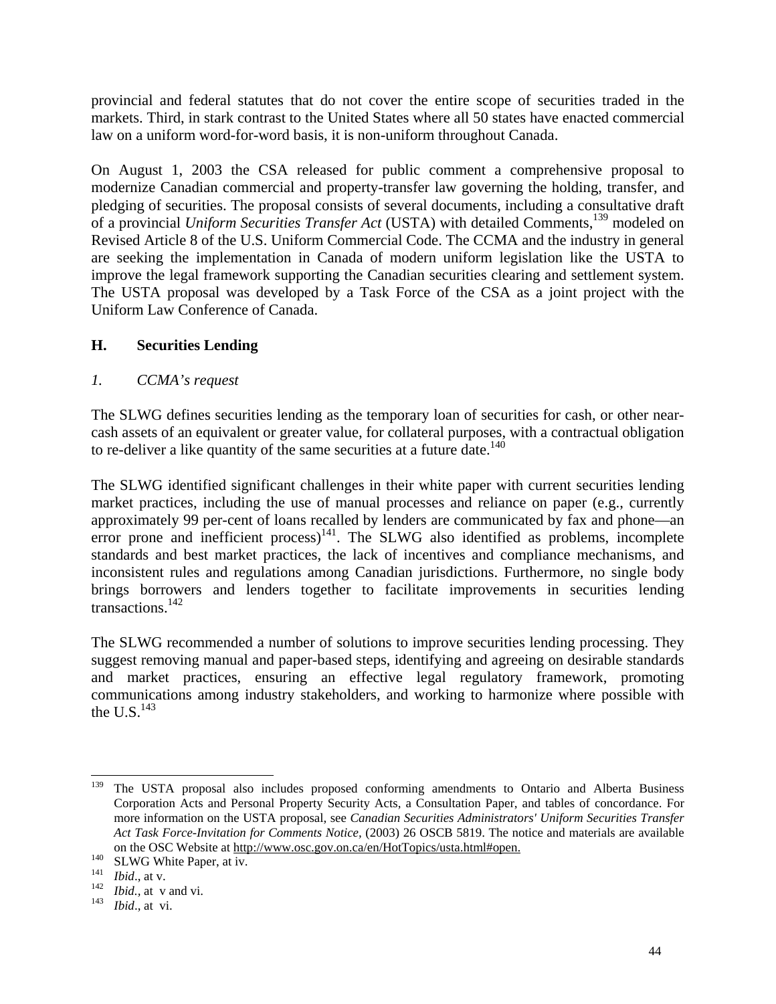provincial and federal statutes that do not cover the entire scope of securities traded in the markets. Third, in stark contrast to the United States where all 50 states have enacted commercial law on a uniform word-for-word basis, it is non-uniform throughout Canada.

On August 1, 2003 the CSA released for public comment a comprehensive proposal to modernize Canadian commercial and property-transfer law governing the holding, transfer, and pledging of securities. The proposal consists of several documents, including a consultative draft of a provincial *Uniform Securities Transfer Act* (USTA) with detailed Comments,<sup>139</sup> modeled on Revised Article 8 of the U.S. Uniform Commercial Code. The CCMA and the industry in general are seeking the implementation in Canada of modern uniform legislation like the USTA to improve the legal framework supporting the Canadian securities clearing and settlement system. The USTA proposal was developed by a Task Force of the CSA as a joint project with the Uniform Law Conference of Canada.

### **H. Securities Lending**

## *1. CCMA's request*

The SLWG defines securities lending as the temporary loan of securities for cash, or other nearcash assets of an equivalent or greater value, for collateral purposes, with a contractual obligation to re-deliver a like quantity of the same securities at a future date.<sup>[140](#page-43-1)</sup>

The SLWG identified significant challenges in their white paper with current securities lending market practices, including the use of manual processes and reliance on paper (e.g., currently approximately 99 per-cent of loans recalled by lenders are communicated by fax and phone—an error prone and inefficient process)<sup>141</sup>. The SLWG also identified as problems, incomplete standards and best market practices, the lack of incentives and compliance mechanisms, and inconsistent rules and regulations among Canadian jurisdictions. Furthermore, no single body brings borrowers and lenders together to facilitate improvements in securities lending transactions[.142](#page-43-3) 

The SLWG recommended a number of solutions to improve securities lending processing. They suggest removing manual and paper-based steps, identifying and agreeing on desirable standards and market practices, ensuring an effective legal regulatory framework, promoting communications among industry stakeholders, and working to harmonize where possible with the U.S. $^{143}$ 

<span id="page-43-0"></span><sup>&</sup>lt;sup>139</sup> The USTA proposal also includes proposed conforming amendments to Ontario and Alberta Business Corporation Acts and Personal Property Security Acts, a Consultation Paper, and tables of concordance. For more information on the USTA proposal, see *Canadian Securities Administrators' Uniform Securities Transfer Act Task Force-Invitation for Comments Notice,* (2003) 26 OSCB 5819. The notice and materials are available on the OSC Website at <u>http://www.osc.gov.on.ca/en/HotTopics/usta.html#open.</u><br>
<sup>140</sup> SLWG White Paper, at iv.<br> *Ibid.*, at v. 142 *Ibid.*, at v and vi.<br>
<sup>143</sup> *Ibid.*, at vi.

<span id="page-43-1"></span>

<span id="page-43-2"></span>

<span id="page-43-3"></span>

<span id="page-43-4"></span>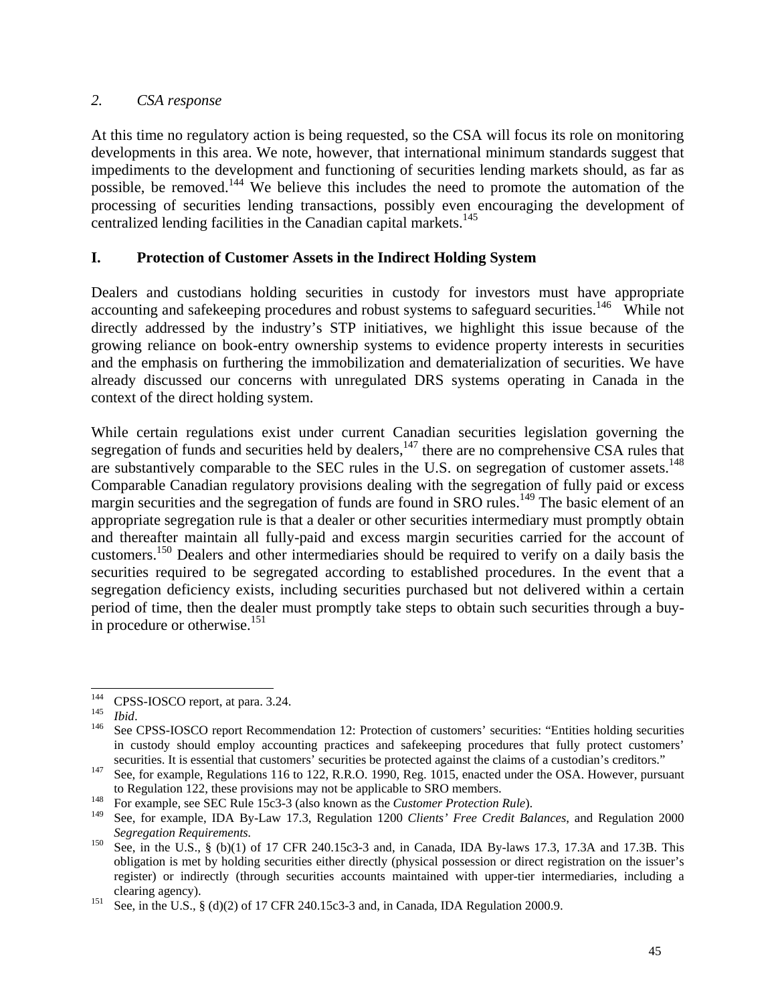### *2. CSA response*

At this time no regulatory action is being requested, so the CSA will focus its role on monitoring developments in this area. We note, however, that international minimum standards suggest that impediments to the development and functioning of securities lending markets should, as far as possible, be removed.[144](#page-44-0) We believe this includes the need to promote the automation of the processing of securities lending transactions, possibly even encouraging the development of centralized lending facilities in the Canadian capital markets.<sup>145</sup>

### **I. Protection of Customer Assets in the Indirect Holding System**

Dealers and custodians holding securities in custody for investors must have appropriate accounting and safekeeping procedures and robust systems to safeguard securities.<sup>146</sup> While not directly addressed by the industry's STP initiatives, we highlight this issue because of the growing reliance on book-entry ownership systems to evidence property interests in securities and the emphasis on furthering the immobilization and dematerialization of securities. We have already discussed our concerns with unregulated DRS systems operating in Canada in the context of the direct holding system.

While certain regulations exist under current Canadian securities legislation governing the segregation of funds and securities held by dealers,<sup>147</sup> there are no comprehensive CSA rules that are substantively comparable to the SEC rules in the U.S. on segregation of customer assets.<sup>148</sup> Comparable Canadian regulatory provisions dealing with the segregation of fully paid or excess margin securities and the segregation of funds are found in SRO rules.<sup>149</sup> The basic element of an appropriate segregation rule is that a dealer or other securities intermediary must promptly obtain and thereafter maintain all fully-paid and excess margin securities carried for the account of customers.[150](#page-44-6) Dealers and other intermediaries should be required to verify on a daily basis the securities required to be segregated according to established procedures. In the event that a segregation deficiency exists, including securities purchased but not delivered within a certain period of time, then the dealer must promptly take steps to obtain such securities through a buy-in procedure or otherwise.<sup>[151](#page-44-7)</sup>

<span id="page-44-0"></span>

<span id="page-44-2"></span><span id="page-44-1"></span>

<sup>&</sup>lt;sup>144</sup> CPSS-IOSCO report, at para. 3.24.<br>
<sup>145</sup> *Ibid.* 2008 CPSS-IOSCO report Recommendation 12: Protection of customers' securities: "Entities holding securities in custody should employ accounting practices and safekeeping procedures that fully protect customers'

<span id="page-44-3"></span>securities. It is essential that customers' securities be protected against the claims of a custodian's creditors."<br>See, for example, Regulations 116 to 122, R.R.O. 1990, Reg. 1015, enacted under the OSA. However, pursuant

<span id="page-44-4"></span>to Regulation 122, these provisions may not be applicable to SRO members.<br><sup>148</sup> For example, see SEC Rule 15c3-3 (also known as the *Customer Protection Rule*).

<span id="page-44-5"></span><sup>149</sup> See, for example, IDA By-Law 17.3, Regulation 1200 *Clients' Free Credit Balances*, and Regulation 2000

<span id="page-44-6"></span>*Segregation Requirements.*<br><sup>150</sup> See, in the U.S., § (b)(1) of 17 CFR 240.15c3-3 and, in Canada, IDA By-laws 17.3, 17.3A and 17.3B. This obligation is met by holding securities either directly (physical possession or direct registration on the issuer's register) or indirectly (through securities accounts maintained with upper-tier intermediaries, including a

<span id="page-44-7"></span>clearing agency).<br>
<sup>151</sup> See, in the U.S., § (d)(2) of 17 CFR 240.15c3-3 and, in Canada, IDA Regulation 2000.9.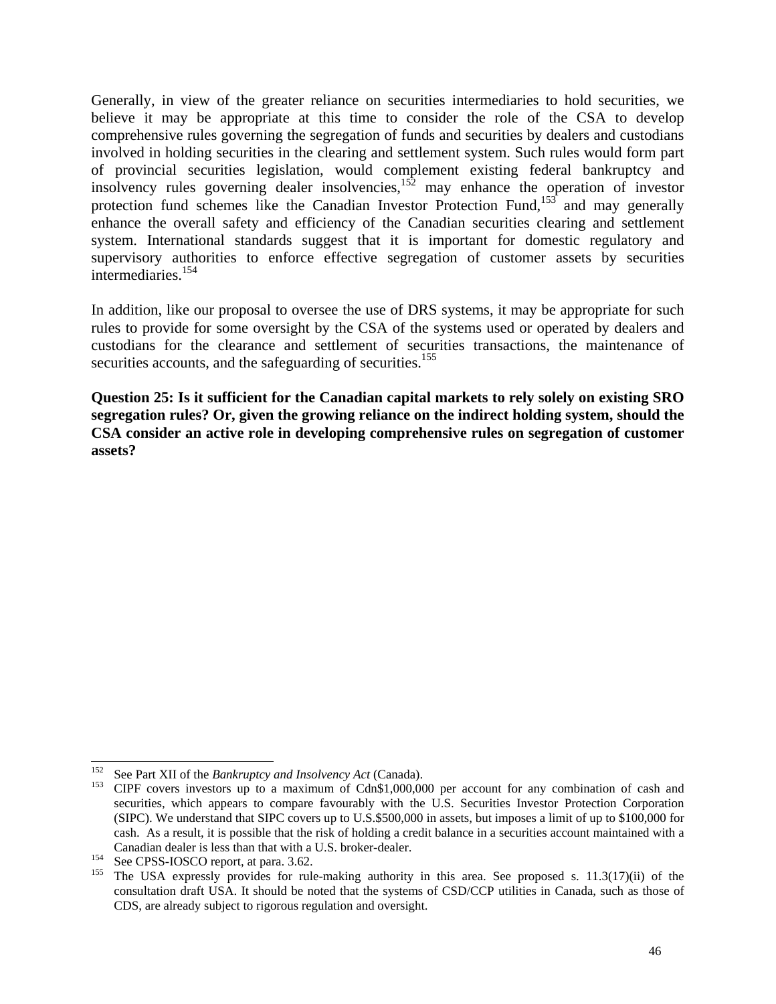Generally, in view of the greater reliance on securities intermediaries to hold securities, we believe it may be appropriate at this time to consider the role of the CSA to develop comprehensive rules governing the segregation of funds and securities by dealers and custodians involved in holding securities in the clearing and settlement system. Such rules would form part of provincial securities legislation, would complement existing federal bankruptcy and insolvency rules governing dealer insolvencies,<sup>152</sup> may enhance the operation of investor protection fund schemes like the Canadian Investor Protection Fund,<sup>153</sup> and may generally enhance the overall safety and efficiency of the Canadian securities clearing and settlement system. International standards suggest that it is important for domestic regulatory and supervisory authorities to enforce effective segregation of customer assets by securities intermediaries[.154](#page-45-2)

In addition, like our proposal to oversee the use of DRS systems, it may be appropriate for such rules to provide for some oversight by the CSA of the systems used or operated by dealers and custodians for the clearance and settlement of securities transactions, the maintenance of securities accounts, and the safeguarding of securities.<sup>155</sup>

**Question 25: Is it sufficient for the Canadian capital markets to rely solely on existing SRO segregation rules? Or, given the growing reliance on the indirect holding system, should the CSA consider an active role in developing comprehensive rules on segregation of customer assets?** 

<span id="page-45-1"></span><span id="page-45-0"></span>

<sup>&</sup>lt;sup>152</sup> See Part XII of the *Bankruptcy and Insolvency Act* (Canada).<br><sup>153</sup> CIPF covers investors up to a maximum of Cdn\$1,000,000 per account for any combination of cash and securities, which appears to compare favourably with the U.S. Securities Investor Protection Corporation (SIPC). We understand that SIPC covers up to U.S.\$500,000 in assets, but imposes a limit of up to \$100,000 for cash. As a result, it is possible that the risk of holding a credit balance in a securities account maintained with a

<span id="page-45-3"></span><span id="page-45-2"></span>

Canadian dealer is less than that with a U.S. broker-dealer.<br>
<sup>154</sup> See CPSS-IOSCO report, at para. 3.62.<br>
<sup>155</sup> The USA expressly provides for rule-making authority in this area. See proposed s. 11.3(17)(ii) of the consultation draft USA. It should be noted that the systems of CSD/CCP utilities in Canada, such as those of CDS, are already subject to rigorous regulation and oversight.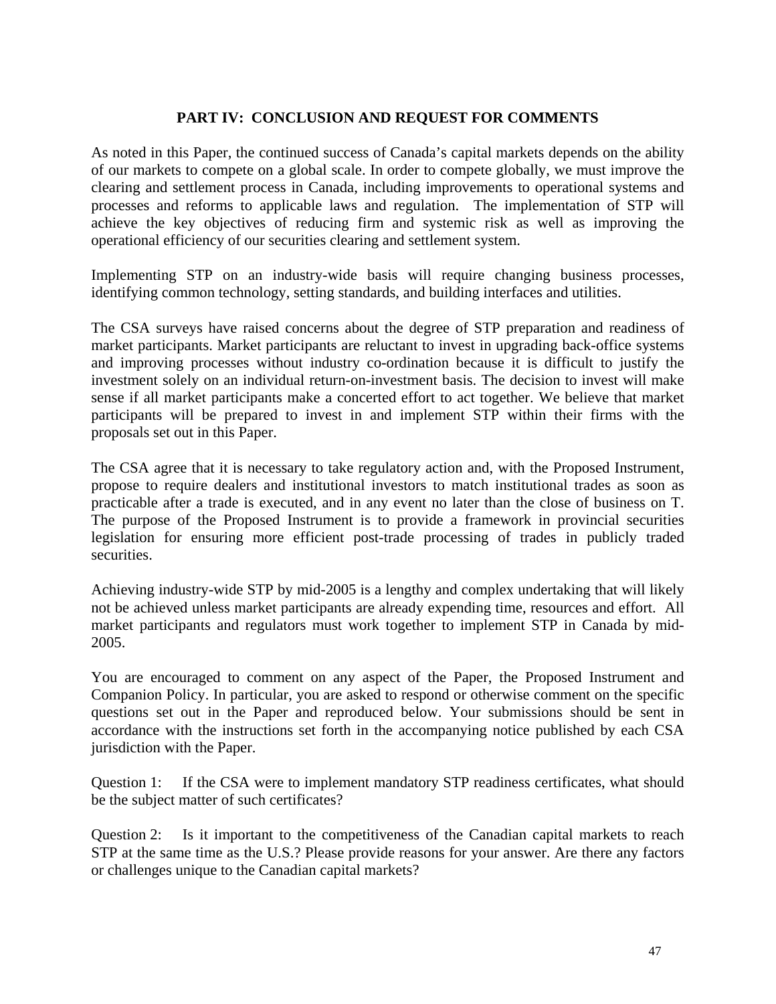### **PART IV: CONCLUSION AND REQUEST FOR COMMENTS**

As noted in this Paper, the continued success of Canada's capital markets depends on the ability of our markets to compete on a global scale. In order to compete globally, we must improve the clearing and settlement process in Canada, including improvements to operational systems and processes and reforms to applicable laws and regulation. The implementation of STP will achieve the key objectives of reducing firm and systemic risk as well as improving the operational efficiency of our securities clearing and settlement system.

Implementing STP on an industry-wide basis will require changing business processes, identifying common technology, setting standards, and building interfaces and utilities.

The CSA surveys have raised concerns about the degree of STP preparation and readiness of market participants. Market participants are reluctant to invest in upgrading back-office systems and improving processes without industry co-ordination because it is difficult to justify the investment solely on an individual return-on-investment basis. The decision to invest will make sense if all market participants make a concerted effort to act together. We believe that market participants will be prepared to invest in and implement STP within their firms with the proposals set out in this Paper.

The CSA agree that it is necessary to take regulatory action and, with the Proposed Instrument, propose to require dealers and institutional investors to match institutional trades as soon as practicable after a trade is executed, and in any event no later than the close of business on T. The purpose of the Proposed Instrument is to provide a framework in provincial securities legislation for ensuring more efficient post-trade processing of trades in publicly traded securities.

Achieving industry-wide STP by mid-2005 is a lengthy and complex undertaking that will likely not be achieved unless market participants are already expending time, resources and effort. All market participants and regulators must work together to implement STP in Canada by mid-2005.

You are encouraged to comment on any aspect of the Paper, the Proposed Instrument and Companion Policy. In particular, you are asked to respond or otherwise comment on the specific questions set out in the Paper and reproduced below. Your submissions should be sent in accordance with the instructions set forth in the accompanying notice published by each CSA jurisdiction with the Paper.

Question 1: If the CSA were to implement mandatory STP readiness certificates, what should be the subject matter of such certificates?

Question 2: Is it important to the competitiveness of the Canadian capital markets to reach STP at the same time as the U.S.? Please provide reasons for your answer. Are there any factors or challenges unique to the Canadian capital markets?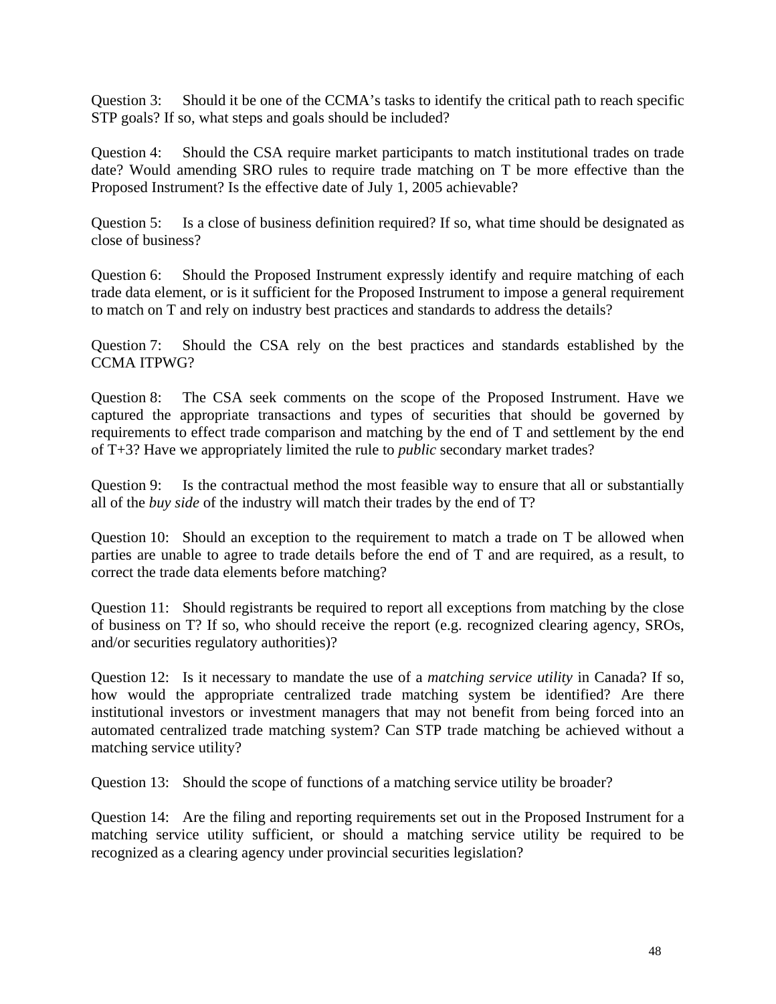Question 3: Should it be one of the CCMA's tasks to identify the critical path to reach specific STP goals? If so, what steps and goals should be included?

Question 4: Should the CSA require market participants to match institutional trades on trade date? Would amending SRO rules to require trade matching on T be more effective than the Proposed Instrument? Is the effective date of July 1, 2005 achievable?

Question 5: Is a close of business definition required? If so, what time should be designated as close of business?

Question 6: Should the Proposed Instrument expressly identify and require matching of each trade data element, or is it sufficient for the Proposed Instrument to impose a general requirement to match on T and rely on industry best practices and standards to address the details?

Question 7: Should the CSA rely on the best practices and standards established by the CCMA ITPWG?

Question 8: The CSA seek comments on the scope of the Proposed Instrument. Have we captured the appropriate transactions and types of securities that should be governed by requirements to effect trade comparison and matching by the end of T and settlement by the end of T+3? Have we appropriately limited the rule to *public* secondary market trades?

Question 9: Is the contractual method the most feasible way to ensure that all or substantially all of the *buy side* of the industry will match their trades by the end of T?

Question 10: Should an exception to the requirement to match a trade on T be allowed when parties are unable to agree to trade details before the end of T and are required, as a result, to correct the trade data elements before matching?

Question 11: Should registrants be required to report all exceptions from matching by the close of business on T? If so, who should receive the report (e.g. recognized clearing agency, SROs, and/or securities regulatory authorities)?

Question 12: Is it necessary to mandate the use of a *matching service utility* in Canada? If so, how would the appropriate centralized trade matching system be identified? Are there institutional investors or investment managers that may not benefit from being forced into an automated centralized trade matching system? Can STP trade matching be achieved without a matching service utility?

Question 13: Should the scope of functions of a matching service utility be broader?

Question 14: Are the filing and reporting requirements set out in the Proposed Instrument for a matching service utility sufficient, or should a matching service utility be required to be recognized as a clearing agency under provincial securities legislation?